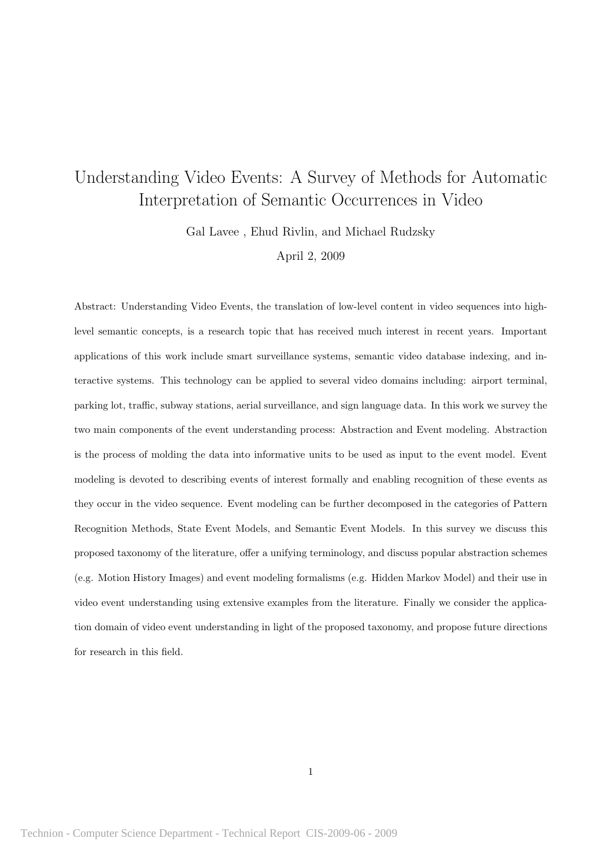# Understanding Video Events: A Survey of Methods for Automatic Interpretation of Semantic Occurrences in Video

Gal Lavee , Ehud Rivlin, and Michael Rudzsky

April 2, 2009

Abstract: Understanding Video Events, the translation of low-level content in video sequences into highlevel semantic concepts, is a research topic that has received much interest in recent years. Important applications of this work include smart surveillance systems, semantic video database indexing, and interactive systems. This technology can be applied to several video domains including: airport terminal, parking lot, traffic, subway stations, aerial surveillance, and sign language data. In this work we survey the two main components of the event understanding process: Abstraction and Event modeling. Abstraction is the process of molding the data into informative units to be used as input to the event model. Event modeling is devoted to describing events of interest formally and enabling recognition of these events as they occur in the video sequence. Event modeling can be further decomposed in the categories of Pattern Recognition Methods, State Event Models, and Semantic Event Models. In this survey we discuss this proposed taxonomy of the literature, offer a unifying terminology, and discuss popular abstraction schemes (e.g. Motion History Images) and event modeling formalisms (e.g. Hidden Markov Model) and their use in video event understanding using extensive examples from the literature. Finally we consider the application domain of video event understanding in light of the proposed taxonomy, and propose future directions for research in this field.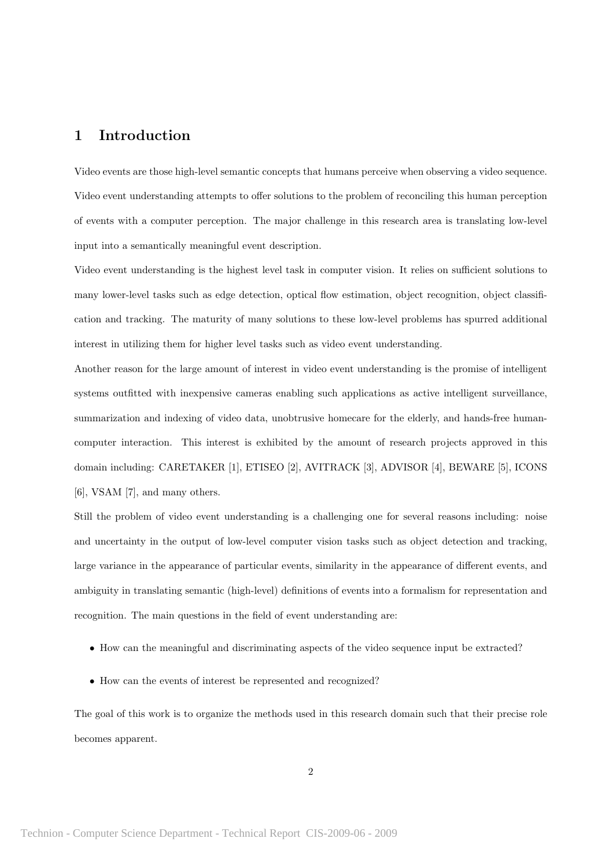# 1 Introduction

Video events are those high-level semantic concepts that humans perceive when observing a video sequence. Video event understanding attempts to offer solutions to the problem of reconciling this human perception of events with a computer perception. The major challenge in this research area is translating low-level input into a semantically meaningful event description.

Video event understanding is the highest level task in computer vision. It relies on sufficient solutions to many lower-level tasks such as edge detection, optical flow estimation, object recognition, object classification and tracking. The maturity of many solutions to these low-level problems has spurred additional interest in utilizing them for higher level tasks such as video event understanding.

Another reason for the large amount of interest in video event understanding is the promise of intelligent systems outfitted with inexpensive cameras enabling such applications as active intelligent surveillance, summarization and indexing of video data, unobtrusive homecare for the elderly, and hands-free humancomputer interaction. This interest is exhibited by the amount of research projects approved in this domain including: CARETAKER [1], ETISEO [2], AVITRACK [3], ADVISOR [4], BEWARE [5], ICONS [6], VSAM [7], and many others.

Still the problem of video event understanding is a challenging one for several reasons including: noise and uncertainty in the output of low-level computer vision tasks such as object detection and tracking, large variance in the appearance of particular events, similarity in the appearance of different events, and ambiguity in translating semantic (high-level) definitions of events into a formalism for representation and recognition. The main questions in the field of event understanding are:

- How can the meaningful and discriminating aspects of the video sequence input be extracted?
- How can the events of interest be represented and recognized?

The goal of this work is to organize the methods used in this research domain such that their precise role becomes apparent.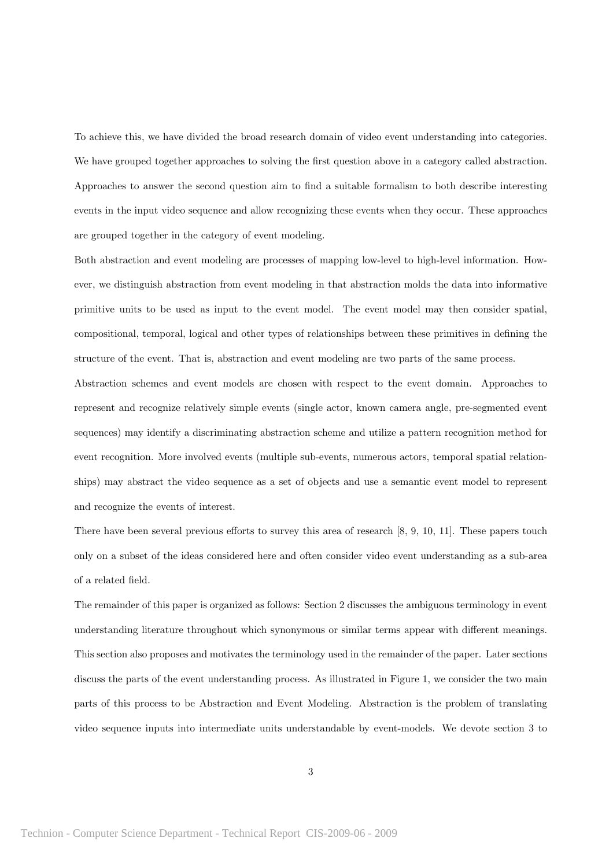To achieve this, we have divided the broad research domain of video event understanding into categories. We have grouped together approaches to solving the first question above in a category called abstraction. Approaches to answer the second question aim to find a suitable formalism to both describe interesting events in the input video sequence and allow recognizing these events when they occur. These approaches are grouped together in the category of event modeling.

Both abstraction and event modeling are processes of mapping low-level to high-level information. However, we distinguish abstraction from event modeling in that abstraction molds the data into informative primitive units to be used as input to the event model. The event model may then consider spatial, compositional, temporal, logical and other types of relationships between these primitives in defining the structure of the event. That is, abstraction and event modeling are two parts of the same process.

Abstraction schemes and event models are chosen with respect to the event domain. Approaches to represent and recognize relatively simple events (single actor, known camera angle, pre-segmented event sequences) may identify a discriminating abstraction scheme and utilize a pattern recognition method for event recognition. More involved events (multiple sub-events, numerous actors, temporal spatial relationships) may abstract the video sequence as a set of objects and use a semantic event model to represent and recognize the events of interest.

There have been several previous efforts to survey this area of research [8, 9, 10, 11]. These papers touch only on a subset of the ideas considered here and often consider video event understanding as a sub-area of a related field.

The remainder of this paper is organized as follows: Section 2 discusses the ambiguous terminology in event understanding literature throughout which synonymous or similar terms appear with different meanings. This section also proposes and motivates the terminology used in the remainder of the paper. Later sections discuss the parts of the event understanding process. As illustrated in Figure 1, we consider the two main parts of this process to be Abstraction and Event Modeling. Abstraction is the problem of translating video sequence inputs into intermediate units understandable by event-models. We devote section 3 to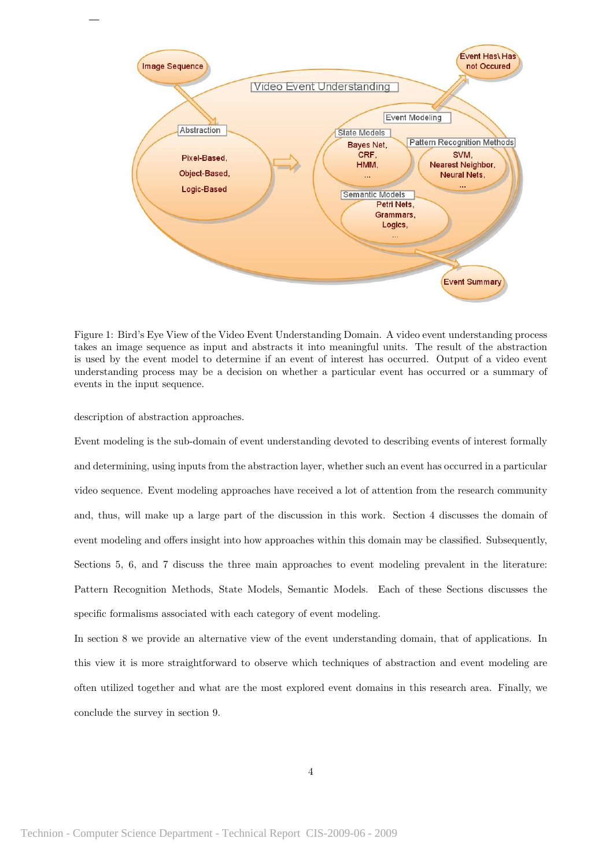

Figure 1: Bird's Eye View of the Video Event Understanding Domain. A video event understanding process takes an image sequence as input and abstracts it into meaningful units. The result of the abstraction is used by the event model to determine if an event of interest has occurred. Output of a video event understanding process may be a decision on whether a particular event has occurred or a summary of events in the input sequence.

description of abstraction approaches.

Event modeling is the sub-domain of event understanding devoted to describing events of interest formally and determining, using inputs from the abstraction layer, whether such an event has occurred in a particular video sequence. Event modeling approaches have received a lot of attention from the research community and, thus, will make up a large part of the discussion in this work. Section 4 discusses the domain of event modeling and offers insight into how approaches within this domain may be classified. Subsequently, Sections 5, 6, and 7 discuss the three main approaches to event modeling prevalent in the literature: Pattern Recognition Methods, State Models, Semantic Models. Each of these Sections discusses the specific formalisms associated with each category of event modeling.

In section 8 we provide an alternative view of the event understanding domain, that of applications. In this view it is more straightforward to observe which techniques of abstraction and event modeling are often utilized together and what are the most explored event domains in this research area. Finally, we conclude the survey in section 9.

4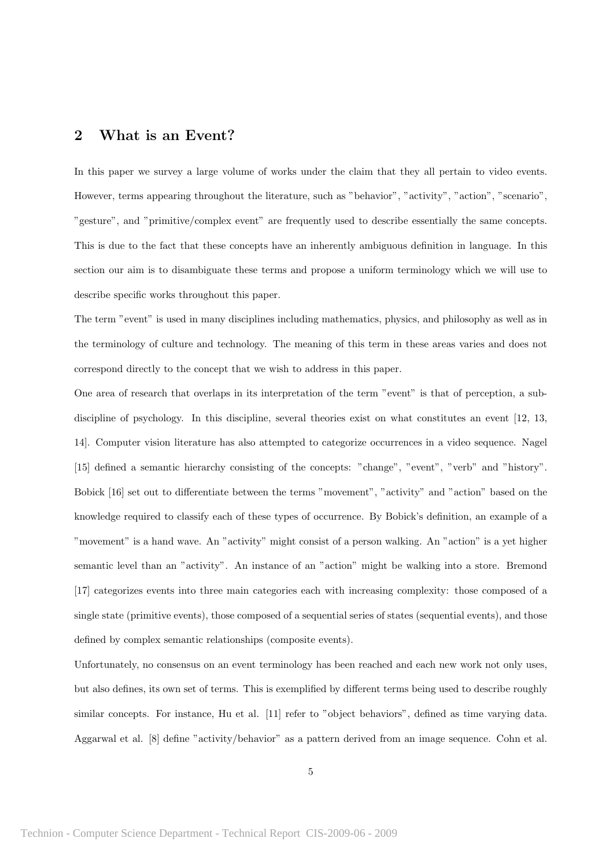# 2 What is an Event?

In this paper we survey a large volume of works under the claim that they all pertain to video events. However, terms appearing throughout the literature, such as "behavior", "activity", "action", "scenario", "gesture", and "primitive/complex event" are frequently used to describe essentially the same concepts. This is due to the fact that these concepts have an inherently ambiguous definition in language. In this section our aim is to disambiguate these terms and propose a uniform terminology which we will use to describe specific works throughout this paper.

The term "event" is used in many disciplines including mathematics, physics, and philosophy as well as in the terminology of culture and technology. The meaning of this term in these areas varies and does not correspond directly to the concept that we wish to address in this paper.

One area of research that overlaps in its interpretation of the term "event" is that of perception, a subdiscipline of psychology. In this discipline, several theories exist on what constitutes an event [12, 13, 14]. Computer vision literature has also attempted to categorize occurrences in a video sequence. Nagel [15] defined a semantic hierarchy consisting of the concepts: "change", "event", "verb" and "history". Bobick [16] set out to differentiate between the terms "movement", "activity" and "action" based on the knowledge required to classify each of these types of occurrence. By Bobick's definition, an example of a "movement" is a hand wave. An "activity" might consist of a person walking. An "action" is a yet higher semantic level than an "activity". An instance of an "action" might be walking into a store. Bremond [17] categorizes events into three main categories each with increasing complexity: those composed of a single state (primitive events), those composed of a sequential series of states (sequential events), and those defined by complex semantic relationships (composite events).

Unfortunately, no consensus on an event terminology has been reached and each new work not only uses, but also defines, its own set of terms. This is exemplified by different terms being used to describe roughly similar concepts. For instance, Hu et al. [11] refer to "object behaviors", defined as time varying data. Aggarwal et al. [8] define "activity/behavior" as a pattern derived from an image sequence. Cohn et al.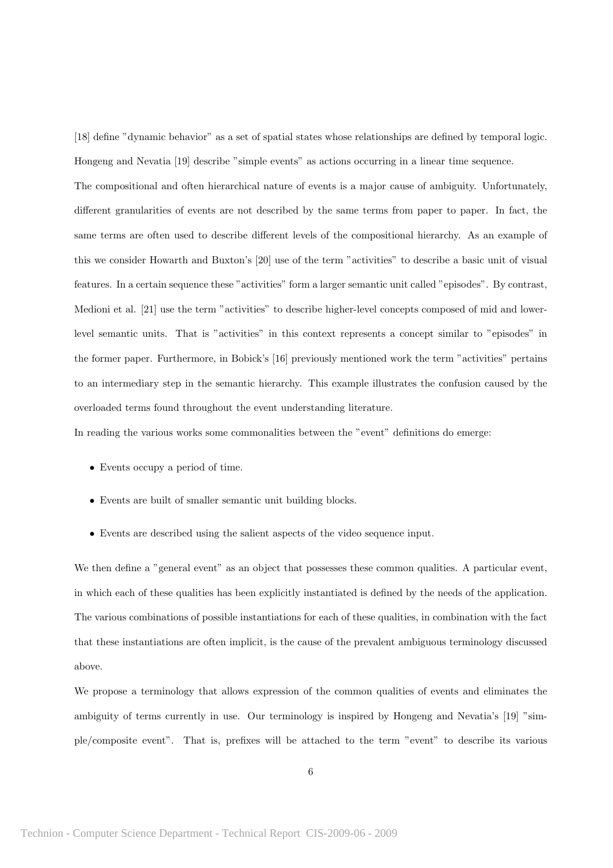[18] define "dynamic behavior" as a set of spatial states whose relationships are defined by temporal logic. Hongeng and Nevatia [19] describe "simple events" as actions occurring in a linear time sequence.

The compositional and often hierarchical nature of events is a major cause of ambiguity. Unfortunately, different granularities of events are not described by the same terms from paper to paper. In fact, the same terms are often used to describe different levels of the compositional hierarchy. As an example of this we consider Howarth and Buxton's [20] use of the term "activities" to describe a basic unit of visual features. In a certain sequence these "activities" form a larger semantic unit called "episodes". By contrast, Medioni et al. [21] use the term "activities" to describe higher-level concepts composed of mid and lowerlevel semantic units. That is "activities" in this context represents a concept similar to "episodes" in the former paper. Furthermore, in Bobick's [16] previously mentioned work the term "activities" pertains to an intermediary step in the semantic hierarchy. This example illustrates the confusion caused by the overloaded terms found throughout the event understanding literature.

In reading the various works some commonalities between the "event" definitions do emerge:

- Events occupy a period of time.
- Events are built of smaller semantic unit building blocks.
- Events are described using the salient aspects of the video sequence input.

We then define a "general event" as an object that possesses these common qualities. A particular event, in which each of these qualities has been explicitly instantiated is defined by the needs of the application. The various combinations of possible instantiations for each of these qualities, in combination with the fact that these instantiations are often implicit, is the cause of the prevalent ambiguous terminology discussed above.

We propose a terminology that allows expression of the common qualities of events and eliminates the ambiguity of terms currently in use. Our terminology is inspired by Hongeng and Nevatia's [19] "simple/composite event". That is, prefixes will be attached to the term "event" to describe its various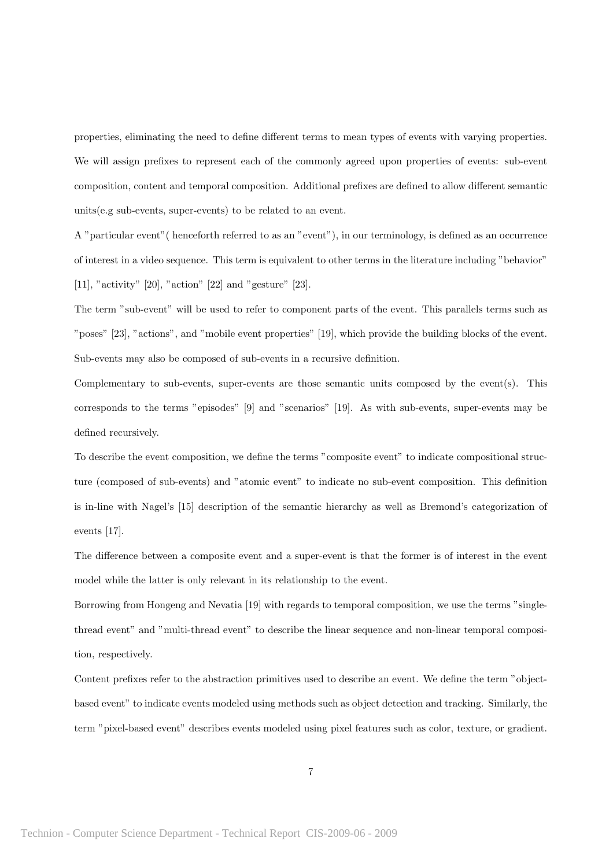properties, eliminating the need to define different terms to mean types of events with varying properties. We will assign prefixes to represent each of the commonly agreed upon properties of events: sub-event composition, content and temporal composition. Additional prefixes are defined to allow different semantic units(e.g sub-events, super-events) to be related to an event.

A "particular event"( henceforth referred to as an "event"), in our terminology, is defined as an occurrence of interest in a video sequence. This term is equivalent to other terms in the literature including "behavior" [11], "activity" [20], "action" [22] and "gesture" [23].

The term "sub-event" will be used to refer to component parts of the event. This parallels terms such as "poses" [23], "actions", and "mobile event properties" [19], which provide the building blocks of the event. Sub-events may also be composed of sub-events in a recursive definition.

Complementary to sub-events, super-events are those semantic units composed by the event(s). This corresponds to the terms "episodes" [9] and "scenarios" [19]. As with sub-events, super-events may be defined recursively.

To describe the event composition, we define the terms "composite event" to indicate compositional structure (composed of sub-events) and "atomic event" to indicate no sub-event composition. This definition is in-line with Nagel's [15] description of the semantic hierarchy as well as Bremond's categorization of events [17].

The difference between a composite event and a super-event is that the former is of interest in the event model while the latter is only relevant in its relationship to the event.

Borrowing from Hongeng and Nevatia [19] with regards to temporal composition, we use the terms "singlethread event" and "multi-thread event" to describe the linear sequence and non-linear temporal composition, respectively.

Content prefixes refer to the abstraction primitives used to describe an event. We define the term "objectbased event" to indicate events modeled using methods such as object detection and tracking. Similarly, the term "pixel-based event" describes events modeled using pixel features such as color, texture, or gradient.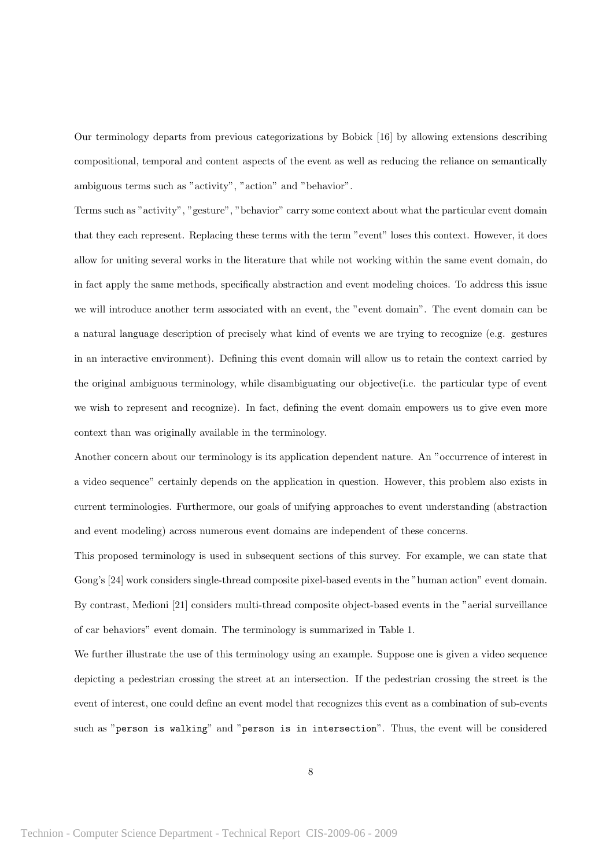Our terminology departs from previous categorizations by Bobick [16] by allowing extensions describing compositional, temporal and content aspects of the event as well as reducing the reliance on semantically ambiguous terms such as "activity", "action" and "behavior".

Terms such as "activity", "gesture", "behavior" carry some context about what the particular event domain that they each represent. Replacing these terms with the term "event" loses this context. However, it does allow for uniting several works in the literature that while not working within the same event domain, do in fact apply the same methods, specifically abstraction and event modeling choices. To address this issue we will introduce another term associated with an event, the "event domain". The event domain can be a natural language description of precisely what kind of events we are trying to recognize (e.g. gestures in an interactive environment). Defining this event domain will allow us to retain the context carried by the original ambiguous terminology, while disambiguating our objective(i.e. the particular type of event we wish to represent and recognize). In fact, defining the event domain empowers us to give even more context than was originally available in the terminology.

Another concern about our terminology is its application dependent nature. An "occurrence of interest in a video sequence" certainly depends on the application in question. However, this problem also exists in current terminologies. Furthermore, our goals of unifying approaches to event understanding (abstraction and event modeling) across numerous event domains are independent of these concerns.

This proposed terminology is used in subsequent sections of this survey. For example, we can state that Gong's [24] work considers single-thread composite pixel-based events in the "human action" event domain. By contrast, Medioni [21] considers multi-thread composite object-based events in the "aerial surveillance of car behaviors" event domain. The terminology is summarized in Table 1.

We further illustrate the use of this terminology using an example. Suppose one is given a video sequence depicting a pedestrian crossing the street at an intersection. If the pedestrian crossing the street is the event of interest, one could define an event model that recognizes this event as a combination of sub-events such as "person is walking" and "person is in intersection". Thus, the event will be considered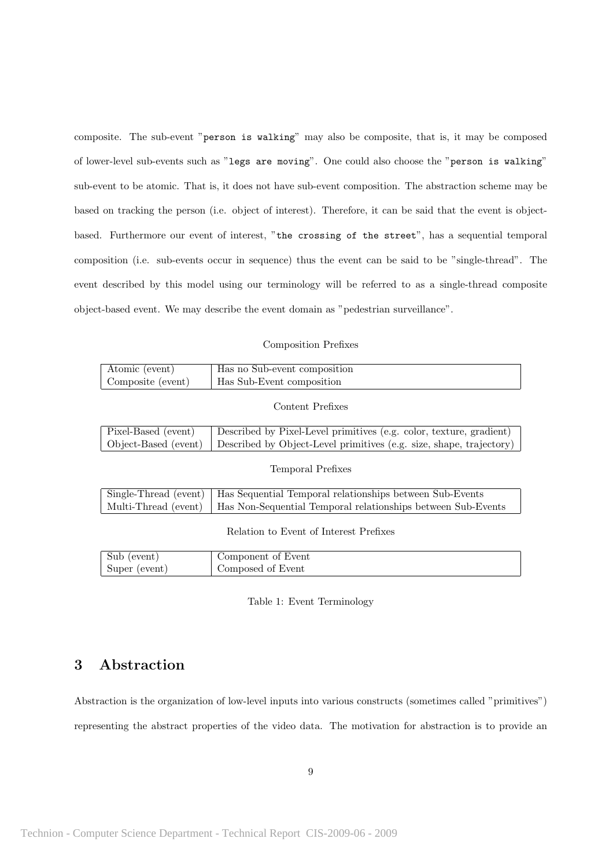composite. The sub-event "person is walking" may also be composite, that is, it may be composed of lower-level sub-events such as "legs are moving". One could also choose the "person is walking" sub-event to be atomic. That is, it does not have sub-event composition. The abstraction scheme may be based on tracking the person (i.e. object of interest). Therefore, it can be said that the event is objectbased. Furthermore our event of interest, "the crossing of the street", has a sequential temporal composition (i.e. sub-events occur in sequence) thus the event can be said to be "single-thread". The event described by this model using our terminology will be referred to as a single-thread composite object-based event. We may describe the event domain as "pedestrian surveillance".

#### Composition Prefixes

| Atomic (event)    | Has no Sub-event composition     |
|-------------------|----------------------------------|
| Composite (event) | <b>Has Sub-Event composition</b> |

Content Prefixes

| Pixel-Based (event) | Described by Pixel-Level primitives (e.g. color, texture, gradient)                      |
|---------------------|------------------------------------------------------------------------------------------|
|                     | Object-Based (event) Described by Object-Level primitives (e.g. size, shape, trajectory) |

Temporal Prefixes

| Single-Thread (event)   Has Sequential Temporal relationships between Sub-Events    |
|-------------------------------------------------------------------------------------|
| Multi-Thread (event)   Has Non-Sequential Temporal relationships between Sub-Events |

Relation to Event of Interest Prefixes

| Sub (event)   | Component of Event |
|---------------|--------------------|
| Super (event) | Composed of Event  |

Table 1: Event Terminology

# 3 Abstraction

Abstraction is the organization of low-level inputs into various constructs (sometimes called "primitives") representing the abstract properties of the video data. The motivation for abstraction is to provide an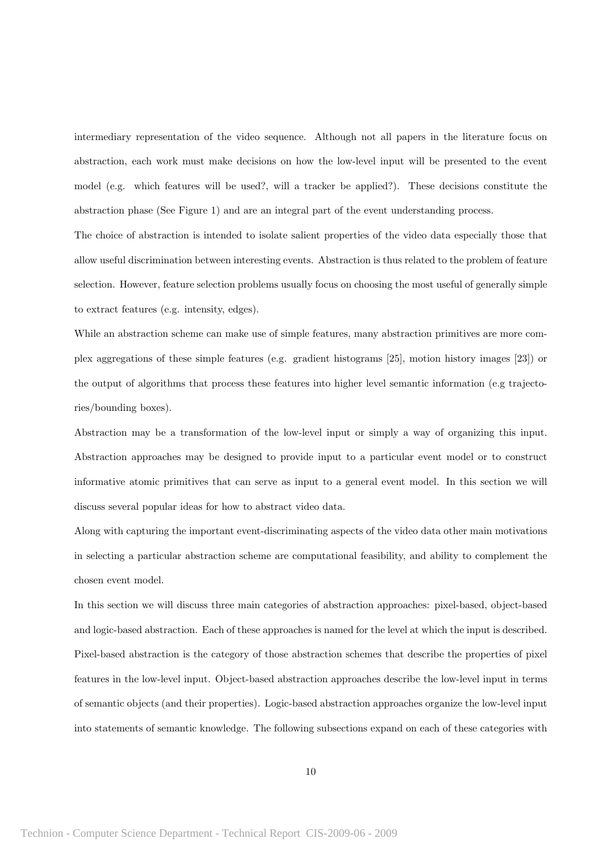intermediary representation of the video sequence. Although not all papers in the literature focus on abstraction, each work must make decisions on how the low-level input will be presented to the event model (e.g. which features will be used?, will a tracker be applied?). These decisions constitute the abstraction phase (See Figure 1) and are an integral part of the event understanding process.

The choice of abstraction is intended to isolate salient properties of the video data especially those that allow useful discrimination between interesting events. Abstraction is thus related to the problem of feature selection. However, feature selection problems usually focus on choosing the most useful of generally simple to extract features (e.g. intensity, edges).

While an abstraction scheme can make use of simple features, many abstraction primitives are more complex aggregations of these simple features (e.g. gradient histograms [25], motion history images [23]) or the output of algorithms that process these features into higher level semantic information (e.g trajectories/bounding boxes).

Abstraction may be a transformation of the low-level input or simply a way of organizing this input. Abstraction approaches may be designed to provide input to a particular event model or to construct informative atomic primitives that can serve as input to a general event model. In this section we will discuss several popular ideas for how to abstract video data.

Along with capturing the important event-discriminating aspects of the video data other main motivations in selecting a particular abstraction scheme are computational feasibility, and ability to complement the chosen event model.

In this section we will discuss three main categories of abstraction approaches: pixel-based, object-based and logic-based abstraction. Each of these approaches is named for the level at which the input is described. Pixel-based abstraction is the category of those abstraction schemes that describe the properties of pixel features in the low-level input. Object-based abstraction approaches describe the low-level input in terms of semantic objects (and their properties). Logic-based abstraction approaches organize the low-level input into statements of semantic knowledge. The following subsections expand on each of these categories with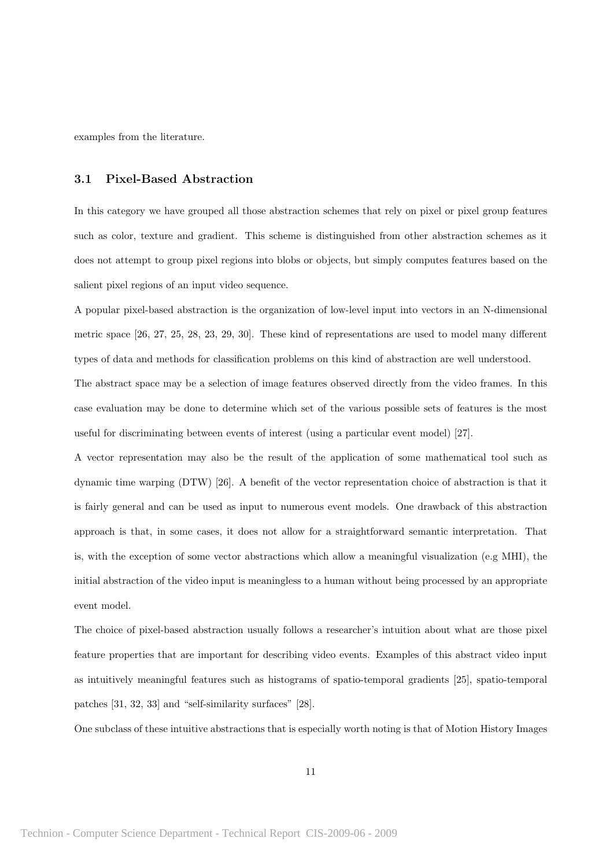examples from the literature.

#### 3.1 Pixel-Based Abstraction

In this category we have grouped all those abstraction schemes that rely on pixel or pixel group features such as color, texture and gradient. This scheme is distinguished from other abstraction schemes as it does not attempt to group pixel regions into blobs or objects, but simply computes features based on the salient pixel regions of an input video sequence.

A popular pixel-based abstraction is the organization of low-level input into vectors in an N-dimensional metric space [26, 27, 25, 28, 23, 29, 30]. These kind of representations are used to model many different types of data and methods for classification problems on this kind of abstraction are well understood.

The abstract space may be a selection of image features observed directly from the video frames. In this case evaluation may be done to determine which set of the various possible sets of features is the most useful for discriminating between events of interest (using a particular event model) [27].

A vector representation may also be the result of the application of some mathematical tool such as dynamic time warping (DTW) [26]. A benefit of the vector representation choice of abstraction is that it is fairly general and can be used as input to numerous event models. One drawback of this abstraction approach is that, in some cases, it does not allow for a straightforward semantic interpretation. That is, with the exception of some vector abstractions which allow a meaningful visualization (e.g MHI), the initial abstraction of the video input is meaningless to a human without being processed by an appropriate event model.

The choice of pixel-based abstraction usually follows a researcher's intuition about what are those pixel feature properties that are important for describing video events. Examples of this abstract video input as intuitively meaningful features such as histograms of spatio-temporal gradients [25], spatio-temporal patches [31, 32, 33] and "self-similarity surfaces" [28].

One subclass of these intuitive abstractions that is especially worth noting is that of Motion History Images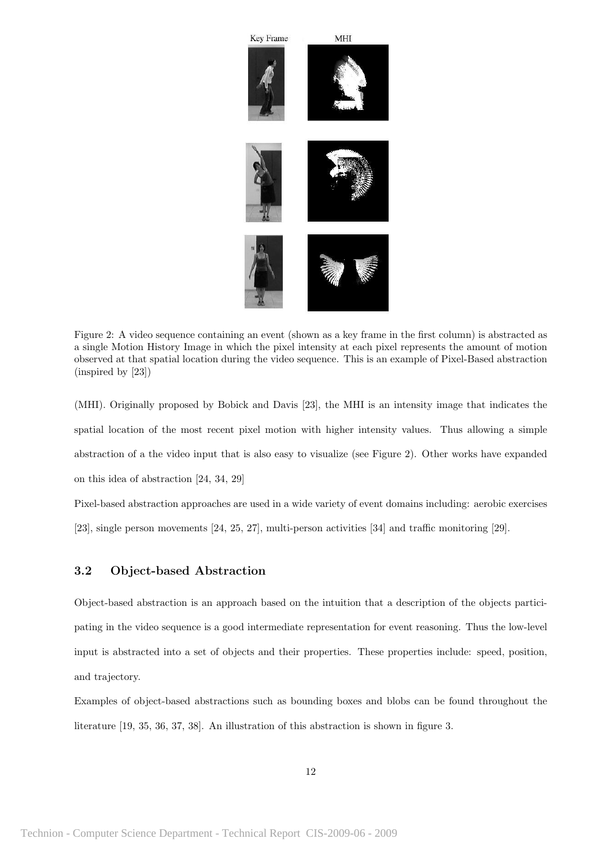

Figure 2: A video sequence containing an event (shown as a key frame in the first column) is abstracted as a single Motion History Image in which the pixel intensity at each pixel represents the amount of motion observed at that spatial location during the video sequence. This is an example of Pixel-Based abstraction (inspired by [23])

(MHI). Originally proposed by Bobick and Davis [23], the MHI is an intensity image that indicates the spatial location of the most recent pixel motion with higher intensity values. Thus allowing a simple abstraction of a the video input that is also easy to visualize (see Figure 2). Other works have expanded on this idea of abstraction [24, 34, 29]

Pixel-based abstraction approaches are used in a wide variety of event domains including: aerobic exercises [23], single person movements [24, 25, 27], multi-person activities [34] and traffic monitoring [29].

### 3.2 Object-based Abstraction

Object-based abstraction is an approach based on the intuition that a description of the objects participating in the video sequence is a good intermediate representation for event reasoning. Thus the low-level input is abstracted into a set of objects and their properties. These properties include: speed, position, and trajectory.

Examples of object-based abstractions such as bounding boxes and blobs can be found throughout the literature [19, 35, 36, 37, 38]. An illustration of this abstraction is shown in figure 3.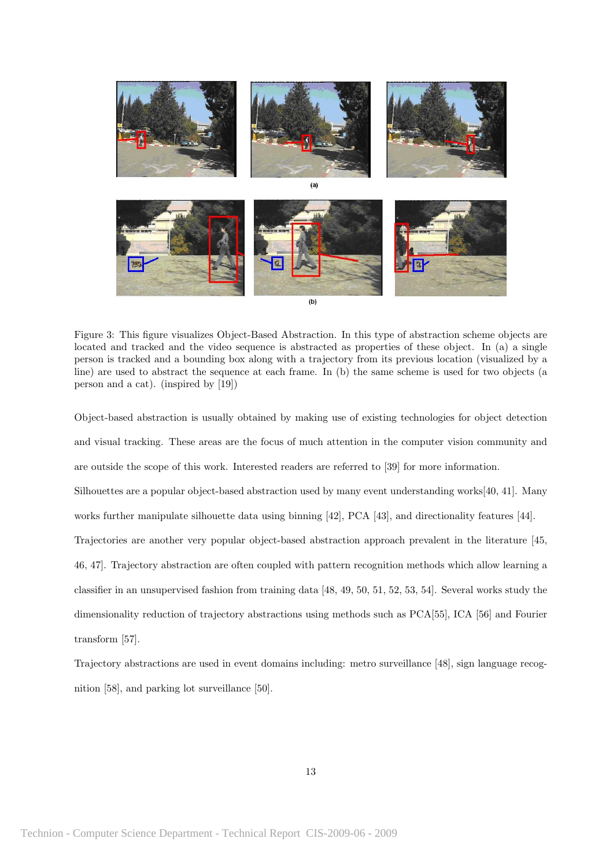

Figure 3: This figure visualizes Object-Based Abstraction. In this type of abstraction scheme objects are located and tracked and the video sequence is abstracted as properties of these object. In (a) a single person is tracked and a bounding box along with a trajectory from its previous location (visualized by a line) are used to abstract the sequence at each frame. In (b) the same scheme is used for two objects (a person and a cat). (inspired by [19])

Object-based abstraction is usually obtained by making use of existing technologies for object detection and visual tracking. These areas are the focus of much attention in the computer vision community and are outside the scope of this work. Interested readers are referred to [39] for more information. Silhouettes are a popular object-based abstraction used by many event understanding works[40, 41]. Many works further manipulate silhouette data using binning [42], PCA [43], and directionality features [44]. Trajectories are another very popular object-based abstraction approach prevalent in the literature [45, 46, 47]. Trajectory abstraction are often coupled with pattern recognition methods which allow learning a classifier in an unsupervised fashion from training data [48, 49, 50, 51, 52, 53, 54]. Several works study the dimensionality reduction of trajectory abstractions using methods such as PCA[55], ICA [56] and Fourier transform [57].

Trajectory abstractions are used in event domains including: metro surveillance [48], sign language recognition [58], and parking lot surveillance [50].

13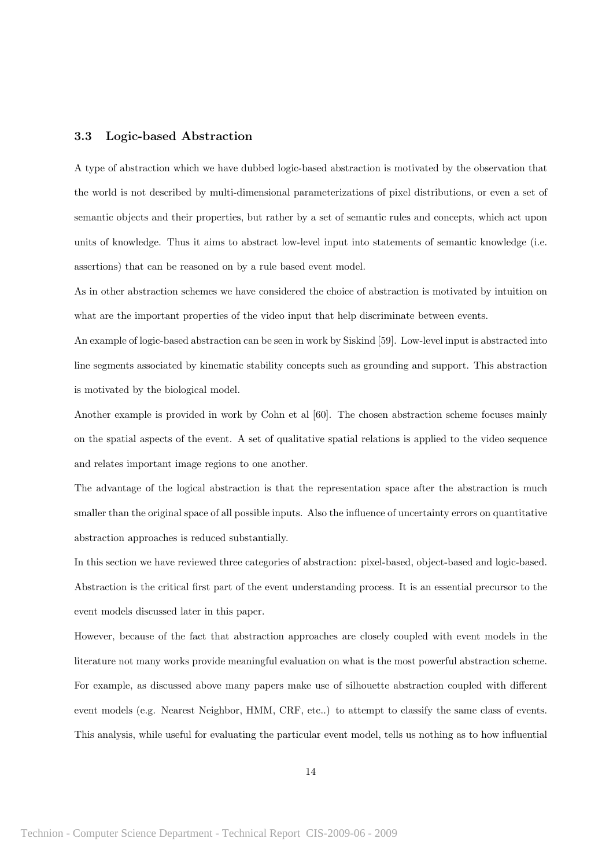#### 3.3 Logic-based Abstraction

A type of abstraction which we have dubbed logic-based abstraction is motivated by the observation that the world is not described by multi-dimensional parameterizations of pixel distributions, or even a set of semantic objects and their properties, but rather by a set of semantic rules and concepts, which act upon units of knowledge. Thus it aims to abstract low-level input into statements of semantic knowledge (i.e. assertions) that can be reasoned on by a rule based event model.

As in other abstraction schemes we have considered the choice of abstraction is motivated by intuition on what are the important properties of the video input that help discriminate between events.

An example of logic-based abstraction can be seen in work by Siskind [59]. Low-level input is abstracted into line segments associated by kinematic stability concepts such as grounding and support. This abstraction is motivated by the biological model.

Another example is provided in work by Cohn et al [60]. The chosen abstraction scheme focuses mainly on the spatial aspects of the event. A set of qualitative spatial relations is applied to the video sequence and relates important image regions to one another.

The advantage of the logical abstraction is that the representation space after the abstraction is much smaller than the original space of all possible inputs. Also the influence of uncertainty errors on quantitative abstraction approaches is reduced substantially.

In this section we have reviewed three categories of abstraction: pixel-based, object-based and logic-based. Abstraction is the critical first part of the event understanding process. It is an essential precursor to the event models discussed later in this paper.

However, because of the fact that abstraction approaches are closely coupled with event models in the literature not many works provide meaningful evaluation on what is the most powerful abstraction scheme. For example, as discussed above many papers make use of silhouette abstraction coupled with different event models (e.g. Nearest Neighbor, HMM, CRF, etc..) to attempt to classify the same class of events. This analysis, while useful for evaluating the particular event model, tells us nothing as to how influential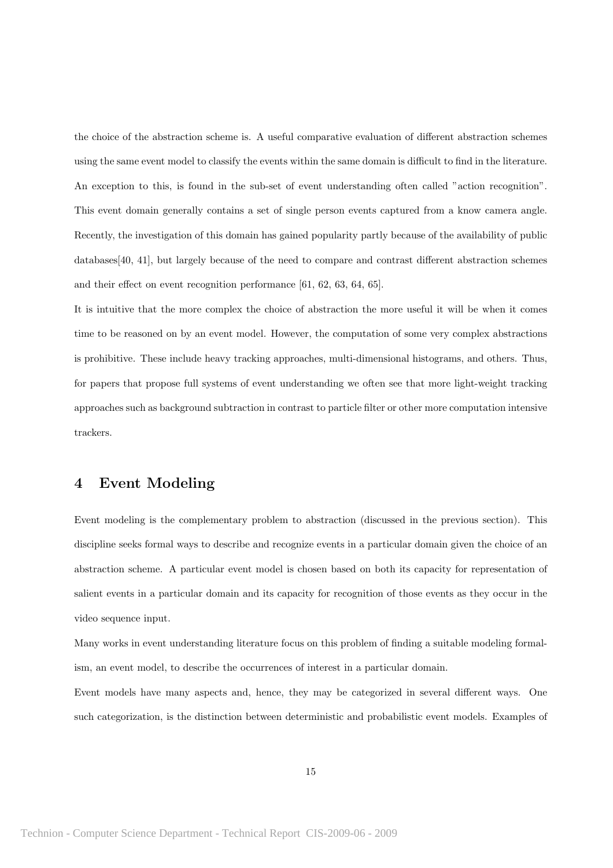the choice of the abstraction scheme is. A useful comparative evaluation of different abstraction schemes using the same event model to classify the events within the same domain is difficult to find in the literature. An exception to this, is found in the sub-set of event understanding often called "action recognition". This event domain generally contains a set of single person events captured from a know camera angle. Recently, the investigation of this domain has gained popularity partly because of the availability of public databases[40, 41], but largely because of the need to compare and contrast different abstraction schemes and their effect on event recognition performance [61, 62, 63, 64, 65].

It is intuitive that the more complex the choice of abstraction the more useful it will be when it comes time to be reasoned on by an event model. However, the computation of some very complex abstractions is prohibitive. These include heavy tracking approaches, multi-dimensional histograms, and others. Thus, for papers that propose full systems of event understanding we often see that more light-weight tracking approaches such as background subtraction in contrast to particle filter or other more computation intensive trackers.

### 4 Event Modeling

Event modeling is the complementary problem to abstraction (discussed in the previous section). This discipline seeks formal ways to describe and recognize events in a particular domain given the choice of an abstraction scheme. A particular event model is chosen based on both its capacity for representation of salient events in a particular domain and its capacity for recognition of those events as they occur in the video sequence input.

Many works in event understanding literature focus on this problem of finding a suitable modeling formalism, an event model, to describe the occurrences of interest in a particular domain.

Event models have many aspects and, hence, they may be categorized in several different ways. One such categorization, is the distinction between deterministic and probabilistic event models. Examples of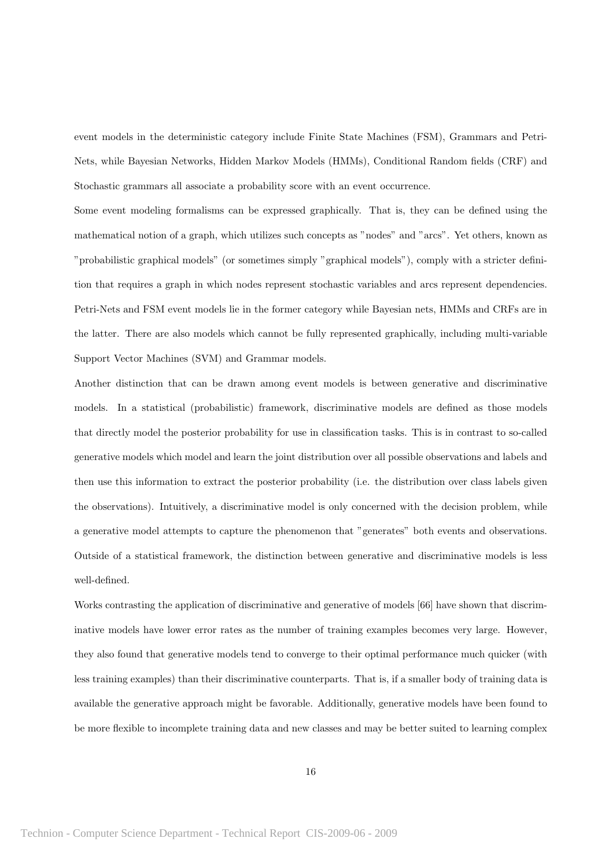event models in the deterministic category include Finite State Machines (FSM), Grammars and Petri-Nets, while Bayesian Networks, Hidden Markov Models (HMMs), Conditional Random fields (CRF) and Stochastic grammars all associate a probability score with an event occurrence.

Some event modeling formalisms can be expressed graphically. That is, they can be defined using the mathematical notion of a graph, which utilizes such concepts as "nodes" and "arcs". Yet others, known as "probabilistic graphical models" (or sometimes simply "graphical models"), comply with a stricter definition that requires a graph in which nodes represent stochastic variables and arcs represent dependencies. Petri-Nets and FSM event models lie in the former category while Bayesian nets, HMMs and CRFs are in the latter. There are also models which cannot be fully represented graphically, including multi-variable Support Vector Machines (SVM) and Grammar models.

Another distinction that can be drawn among event models is between generative and discriminative models. In a statistical (probabilistic) framework, discriminative models are defined as those models that directly model the posterior probability for use in classification tasks. This is in contrast to so-called generative models which model and learn the joint distribution over all possible observations and labels and then use this information to extract the posterior probability (i.e. the distribution over class labels given the observations). Intuitively, a discriminative model is only concerned with the decision problem, while a generative model attempts to capture the phenomenon that "generates" both events and observations. Outside of a statistical framework, the distinction between generative and discriminative models is less well-defined.

Works contrasting the application of discriminative and generative of models [66] have shown that discriminative models have lower error rates as the number of training examples becomes very large. However, they also found that generative models tend to converge to their optimal performance much quicker (with less training examples) than their discriminative counterparts. That is, if a smaller body of training data is available the generative approach might be favorable. Additionally, generative models have been found to be more flexible to incomplete training data and new classes and may be better suited to learning complex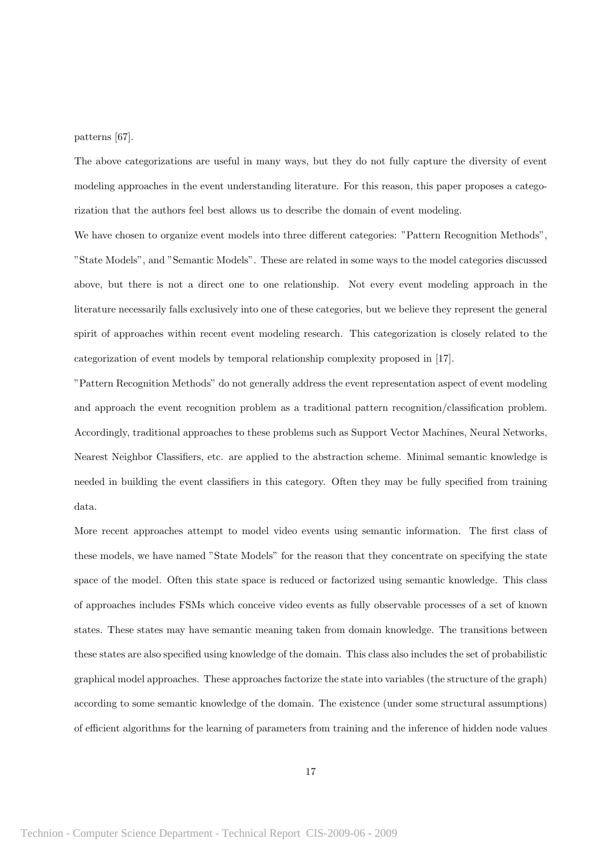patterns [67].

The above categorizations are useful in many ways, but they do not fully capture the diversity of event modeling approaches in the event understanding literature. For this reason, this paper proposes a categorization that the authors feel best allows us to describe the domain of event modeling.

We have chosen to organize event models into three different categories: "Pattern Recognition Methods", "State Models", and "Semantic Models". These are related in some ways to the model categories discussed above, but there is not a direct one to one relationship. Not every event modeling approach in the literature necessarily falls exclusively into one of these categories, but we believe they represent the general spirit of approaches within recent event modeling research. This categorization is closely related to the categorization of event models by temporal relationship complexity proposed in [17].

"Pattern Recognition Methods" do not generally address the event representation aspect of event modeling and approach the event recognition problem as a traditional pattern recognition/classification problem. Accordingly, traditional approaches to these problems such as Support Vector Machines, Neural Networks, Nearest Neighbor Classifiers, etc. are applied to the abstraction scheme. Minimal semantic knowledge is needed in building the event classifiers in this category. Often they may be fully specified from training data.

More recent approaches attempt to model video events using semantic information. The first class of these models, we have named "State Models" for the reason that they concentrate on specifying the state space of the model. Often this state space is reduced or factorized using semantic knowledge. This class of approaches includes FSMs which conceive video events as fully observable processes of a set of known states. These states may have semantic meaning taken from domain knowledge. The transitions between these states are also specified using knowledge of the domain. This class also includes the set of probabilistic graphical model approaches. These approaches factorize the state into variables (the structure of the graph) according to some semantic knowledge of the domain. The existence (under some structural assumptions) of efficient algorithms for the learning of parameters from training and the inference of hidden node values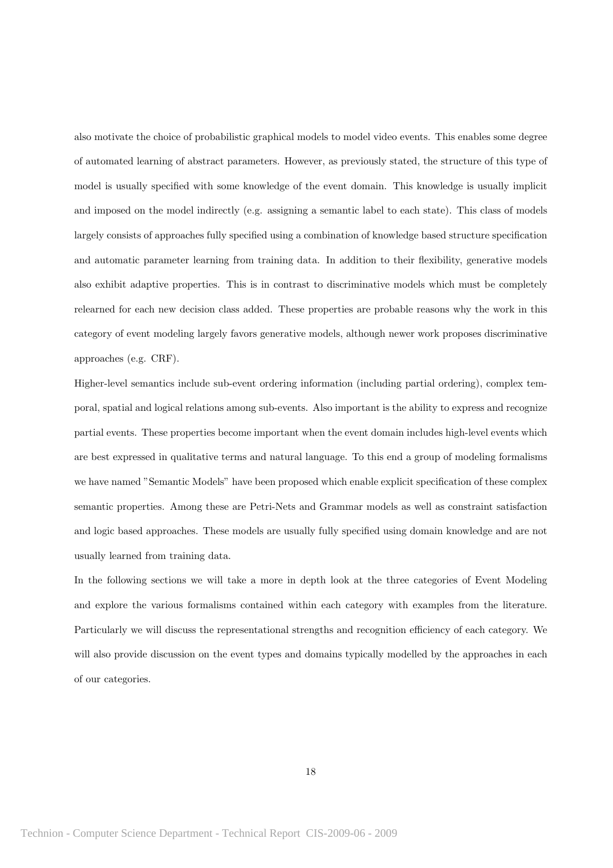also motivate the choice of probabilistic graphical models to model video events. This enables some degree of automated learning of abstract parameters. However, as previously stated, the structure of this type of model is usually specified with some knowledge of the event domain. This knowledge is usually implicit and imposed on the model indirectly (e.g. assigning a semantic label to each state). This class of models largely consists of approaches fully specified using a combination of knowledge based structure specification and automatic parameter learning from training data. In addition to their flexibility, generative models also exhibit adaptive properties. This is in contrast to discriminative models which must be completely relearned for each new decision class added. These properties are probable reasons why the work in this category of event modeling largely favors generative models, although newer work proposes discriminative approaches (e.g. CRF).

Higher-level semantics include sub-event ordering information (including partial ordering), complex temporal, spatial and logical relations among sub-events. Also important is the ability to express and recognize partial events. These properties become important when the event domain includes high-level events which are best expressed in qualitative terms and natural language. To this end a group of modeling formalisms we have named "Semantic Models" have been proposed which enable explicit specification of these complex semantic properties. Among these are Petri-Nets and Grammar models as well as constraint satisfaction and logic based approaches. These models are usually fully specified using domain knowledge and are not usually learned from training data.

In the following sections we will take a more in depth look at the three categories of Event Modeling and explore the various formalisms contained within each category with examples from the literature. Particularly we will discuss the representational strengths and recognition efficiency of each category. We will also provide discussion on the event types and domains typically modelled by the approaches in each of our categories.

18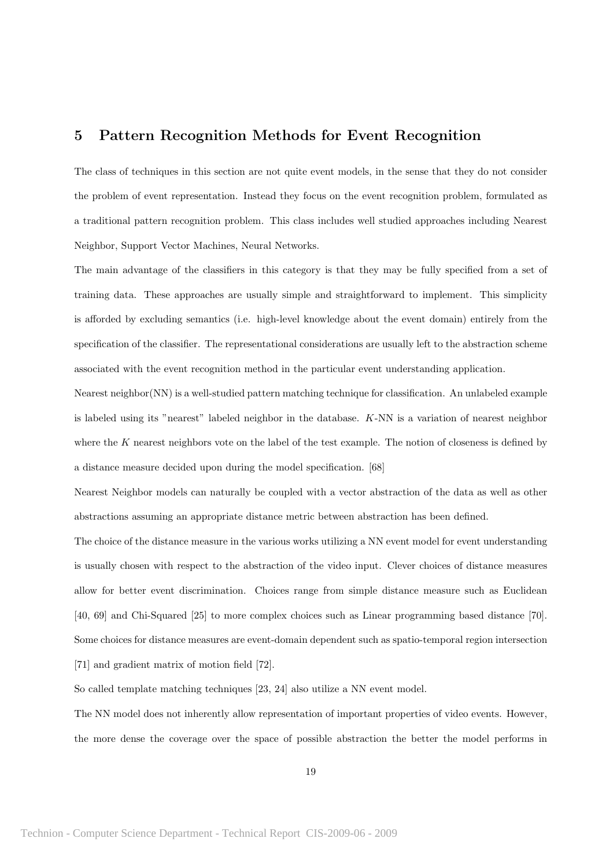## 5 Pattern Recognition Methods for Event Recognition

The class of techniques in this section are not quite event models, in the sense that they do not consider the problem of event representation. Instead they focus on the event recognition problem, formulated as a traditional pattern recognition problem. This class includes well studied approaches including Nearest Neighbor, Support Vector Machines, Neural Networks.

The main advantage of the classifiers in this category is that they may be fully specified from a set of training data. These approaches are usually simple and straightforward to implement. This simplicity is afforded by excluding semantics (i.e. high-level knowledge about the event domain) entirely from the specification of the classifier. The representational considerations are usually left to the abstraction scheme associated with the event recognition method in the particular event understanding application.

Nearest neighbor(NN) is a well-studied pattern matching technique for classification. An unlabeled example is labeled using its "nearest" labeled neighbor in the database. K-NN is a variation of nearest neighbor where the K nearest neighbors vote on the label of the test example. The notion of closeness is defined by a distance measure decided upon during the model specification. [68]

Nearest Neighbor models can naturally be coupled with a vector abstraction of the data as well as other abstractions assuming an appropriate distance metric between abstraction has been defined.

The choice of the distance measure in the various works utilizing a NN event model for event understanding is usually chosen with respect to the abstraction of the video input. Clever choices of distance measures allow for better event discrimination. Choices range from simple distance measure such as Euclidean [40, 69] and Chi-Squared [25] to more complex choices such as Linear programming based distance [70]. Some choices for distance measures are event-domain dependent such as spatio-temporal region intersection [71] and gradient matrix of motion field [72].

So called template matching techniques [23, 24] also utilize a NN event model.

The NN model does not inherently allow representation of important properties of video events. However, the more dense the coverage over the space of possible abstraction the better the model performs in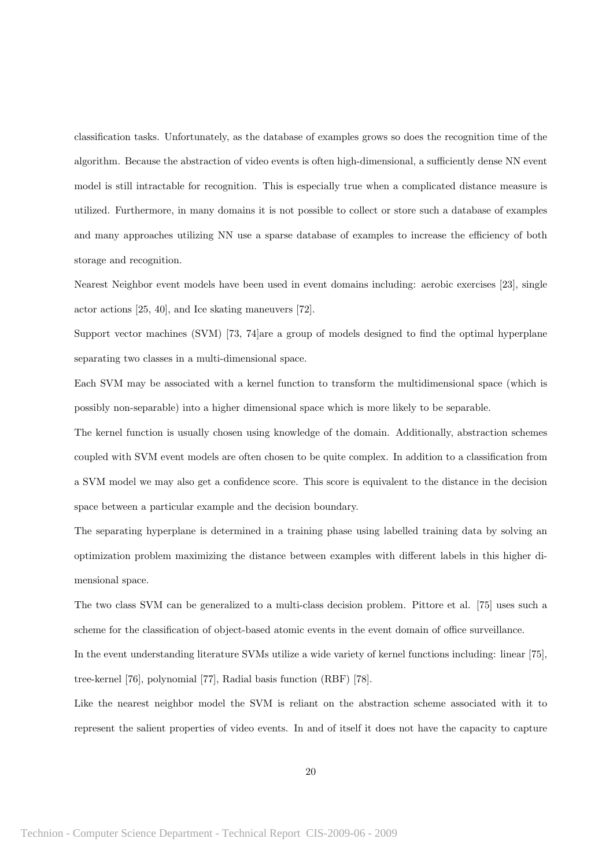classification tasks. Unfortunately, as the database of examples grows so does the recognition time of the algorithm. Because the abstraction of video events is often high-dimensional, a sufficiently dense NN event model is still intractable for recognition. This is especially true when a complicated distance measure is utilized. Furthermore, in many domains it is not possible to collect or store such a database of examples and many approaches utilizing NN use a sparse database of examples to increase the efficiency of both storage and recognition.

Nearest Neighbor event models have been used in event domains including: aerobic exercises [23], single actor actions [25, 40], and Ice skating maneuvers [72].

Support vector machines (SVM) [73, 74]are a group of models designed to find the optimal hyperplane separating two classes in a multi-dimensional space.

Each SVM may be associated with a kernel function to transform the multidimensional space (which is possibly non-separable) into a higher dimensional space which is more likely to be separable.

The kernel function is usually chosen using knowledge of the domain. Additionally, abstraction schemes coupled with SVM event models are often chosen to be quite complex. In addition to a classification from a SVM model we may also get a confidence score. This score is equivalent to the distance in the decision space between a particular example and the decision boundary.

The separating hyperplane is determined in a training phase using labelled training data by solving an optimization problem maximizing the distance between examples with different labels in this higher dimensional space.

The two class SVM can be generalized to a multi-class decision problem. Pittore et al. [75] uses such a scheme for the classification of object-based atomic events in the event domain of office surveillance.

In the event understanding literature SVMs utilize a wide variety of kernel functions including: linear [75], tree-kernel [76], polynomial [77], Radial basis function (RBF) [78].

Like the nearest neighbor model the SVM is reliant on the abstraction scheme associated with it to represent the salient properties of video events. In and of itself it does not have the capacity to capture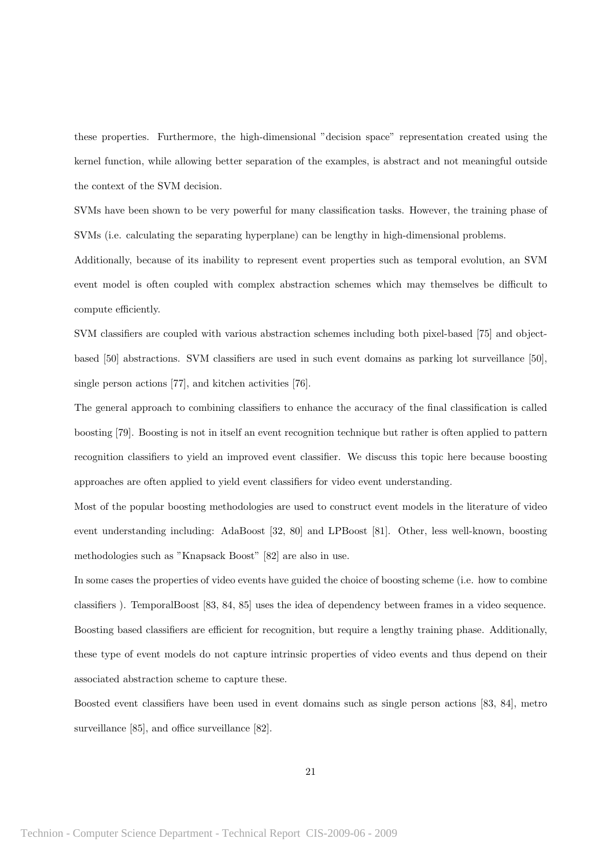these properties. Furthermore, the high-dimensional "decision space" representation created using the kernel function, while allowing better separation of the examples, is abstract and not meaningful outside the context of the SVM decision.

SVMs have been shown to be very powerful for many classification tasks. However, the training phase of SVMs (i.e. calculating the separating hyperplane) can be lengthy in high-dimensional problems.

Additionally, because of its inability to represent event properties such as temporal evolution, an SVM event model is often coupled with complex abstraction schemes which may themselves be difficult to compute efficiently.

SVM classifiers are coupled with various abstraction schemes including both pixel-based [75] and objectbased [50] abstractions. SVM classifiers are used in such event domains as parking lot surveillance [50], single person actions [77], and kitchen activities [76].

The general approach to combining classifiers to enhance the accuracy of the final classification is called boosting [79]. Boosting is not in itself an event recognition technique but rather is often applied to pattern recognition classifiers to yield an improved event classifier. We discuss this topic here because boosting approaches are often applied to yield event classifiers for video event understanding.

Most of the popular boosting methodologies are used to construct event models in the literature of video event understanding including: AdaBoost [32, 80] and LPBoost [81]. Other, less well-known, boosting methodologies such as "Knapsack Boost" [82] are also in use.

In some cases the properties of video events have guided the choice of boosting scheme (i.e. how to combine classifiers ). TemporalBoost [83, 84, 85] uses the idea of dependency between frames in a video sequence. Boosting based classifiers are efficient for recognition, but require a lengthy training phase. Additionally, these type of event models do not capture intrinsic properties of video events and thus depend on their associated abstraction scheme to capture these.

Boosted event classifiers have been used in event domains such as single person actions [83, 84], metro surveillance [85], and office surveillance [82].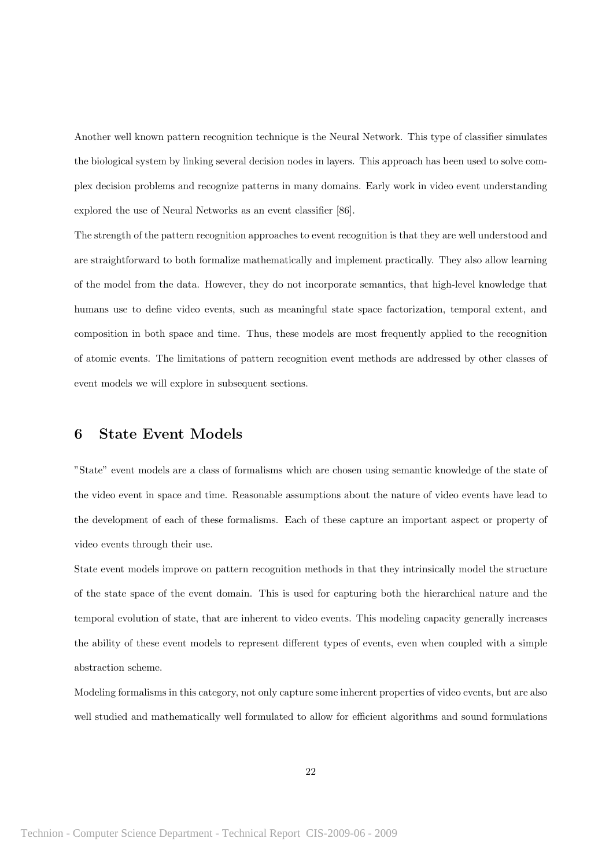Another well known pattern recognition technique is the Neural Network. This type of classifier simulates the biological system by linking several decision nodes in layers. This approach has been used to solve complex decision problems and recognize patterns in many domains. Early work in video event understanding explored the use of Neural Networks as an event classifier [86].

The strength of the pattern recognition approaches to event recognition is that they are well understood and are straightforward to both formalize mathematically and implement practically. They also allow learning of the model from the data. However, they do not incorporate semantics, that high-level knowledge that humans use to define video events, such as meaningful state space factorization, temporal extent, and composition in both space and time. Thus, these models are most frequently applied to the recognition of atomic events. The limitations of pattern recognition event methods are addressed by other classes of event models we will explore in subsequent sections.

# 6 State Event Models

"State" event models are a class of formalisms which are chosen using semantic knowledge of the state of the video event in space and time. Reasonable assumptions about the nature of video events have lead to the development of each of these formalisms. Each of these capture an important aspect or property of video events through their use.

State event models improve on pattern recognition methods in that they intrinsically model the structure of the state space of the event domain. This is used for capturing both the hierarchical nature and the temporal evolution of state, that are inherent to video events. This modeling capacity generally increases the ability of these event models to represent different types of events, even when coupled with a simple abstraction scheme.

Modeling formalisms in this category, not only capture some inherent properties of video events, but are also well studied and mathematically well formulated to allow for efficient algorithms and sound formulations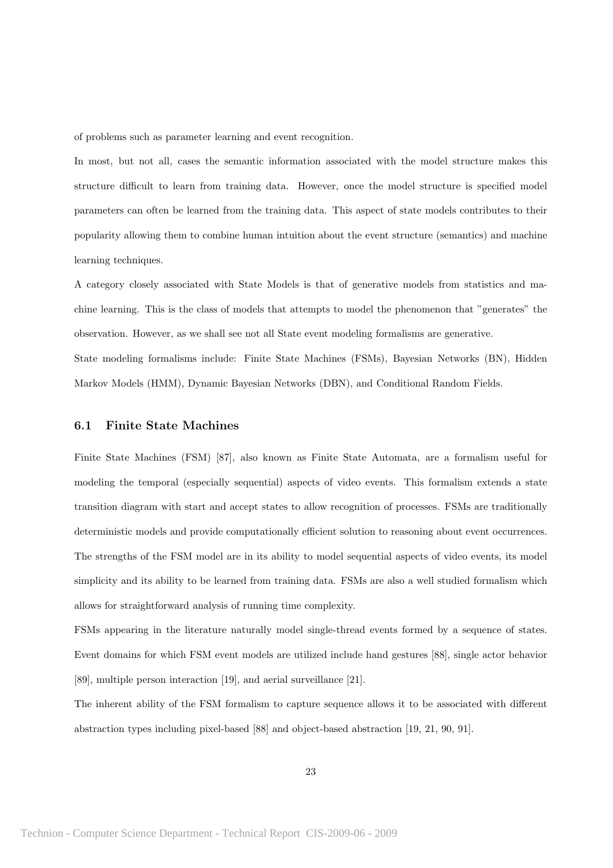of problems such as parameter learning and event recognition.

In most, but not all, cases the semantic information associated with the model structure makes this structure difficult to learn from training data. However, once the model structure is specified model parameters can often be learned from the training data. This aspect of state models contributes to their popularity allowing them to combine human intuition about the event structure (semantics) and machine learning techniques.

A category closely associated with State Models is that of generative models from statistics and machine learning. This is the class of models that attempts to model the phenomenon that "generates" the observation. However, as we shall see not all State event modeling formalisms are generative. State modeling formalisms include: Finite State Machines (FSMs), Bayesian Networks (BN), Hidden Markov Models (HMM), Dynamic Bayesian Networks (DBN), and Conditional Random Fields.

#### 6.1 Finite State Machines

Finite State Machines (FSM) [87], also known as Finite State Automata, are a formalism useful for modeling the temporal (especially sequential) aspects of video events. This formalism extends a state transition diagram with start and accept states to allow recognition of processes. FSMs are traditionally deterministic models and provide computationally efficient solution to reasoning about event occurrences. The strengths of the FSM model are in its ability to model sequential aspects of video events, its model simplicity and its ability to be learned from training data. FSMs are also a well studied formalism which allows for straightforward analysis of running time complexity.

FSMs appearing in the literature naturally model single-thread events formed by a sequence of states. Event domains for which FSM event models are utilized include hand gestures [88], single actor behavior [89], multiple person interaction [19], and aerial surveillance [21].

The inherent ability of the FSM formalism to capture sequence allows it to be associated with different abstraction types including pixel-based [88] and object-based abstraction [19, 21, 90, 91].

23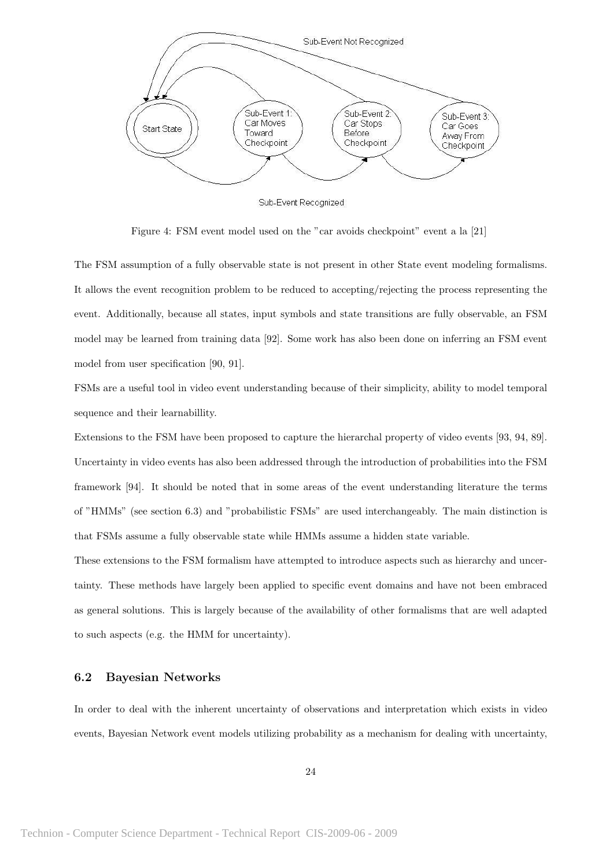

Sub-Event Recognized

Figure 4: FSM event model used on the "car avoids checkpoint" event a la [21]

The FSM assumption of a fully observable state is not present in other State event modeling formalisms. It allows the event recognition problem to be reduced to accepting/rejecting the process representing the event. Additionally, because all states, input symbols and state transitions are fully observable, an FSM model may be learned from training data [92]. Some work has also been done on inferring an FSM event model from user specification [90, 91].

FSMs are a useful tool in video event understanding because of their simplicity, ability to model temporal sequence and their learnabillity.

Extensions to the FSM have been proposed to capture the hierarchal property of video events [93, 94, 89]. Uncertainty in video events has also been addressed through the introduction of probabilities into the FSM framework [94]. It should be noted that in some areas of the event understanding literature the terms of "HMMs" (see section 6.3) and "probabilistic FSMs" are used interchangeably. The main distinction is that FSMs assume a fully observable state while HMMs assume a hidden state variable.

These extensions to the FSM formalism have attempted to introduce aspects such as hierarchy and uncertainty. These methods have largely been applied to specific event domains and have not been embraced as general solutions. This is largely because of the availability of other formalisms that are well adapted to such aspects (e.g. the HMM for uncertainty).

#### 6.2 Bayesian Networks

In order to deal with the inherent uncertainty of observations and interpretation which exists in video events, Bayesian Network event models utilizing probability as a mechanism for dealing with uncertainty,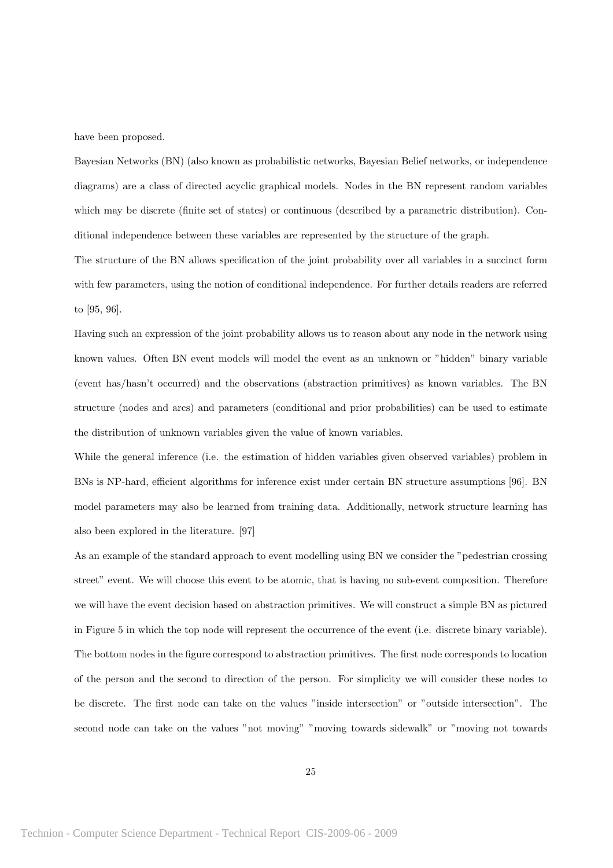have been proposed.

Bayesian Networks (BN) (also known as probabilistic networks, Bayesian Belief networks, or independence diagrams) are a class of directed acyclic graphical models. Nodes in the BN represent random variables which may be discrete (finite set of states) or continuous (described by a parametric distribution). Conditional independence between these variables are represented by the structure of the graph.

The structure of the BN allows specification of the joint probability over all variables in a succinct form with few parameters, using the notion of conditional independence. For further details readers are referred to [95, 96].

Having such an expression of the joint probability allows us to reason about any node in the network using known values. Often BN event models will model the event as an unknown or "hidden" binary variable (event has/hasn't occurred) and the observations (abstraction primitives) as known variables. The BN structure (nodes and arcs) and parameters (conditional and prior probabilities) can be used to estimate the distribution of unknown variables given the value of known variables.

While the general inference (i.e. the estimation of hidden variables given observed variables) problem in BNs is NP-hard, efficient algorithms for inference exist under certain BN structure assumptions [96]. BN model parameters may also be learned from training data. Additionally, network structure learning has also been explored in the literature. [97]

As an example of the standard approach to event modelling using BN we consider the "pedestrian crossing street" event. We will choose this event to be atomic, that is having no sub-event composition. Therefore we will have the event decision based on abstraction primitives. We will construct a simple BN as pictured in Figure 5 in which the top node will represent the occurrence of the event (i.e. discrete binary variable). The bottom nodes in the figure correspond to abstraction primitives. The first node corresponds to location of the person and the second to direction of the person. For simplicity we will consider these nodes to be discrete. The first node can take on the values "inside intersection" or "outside intersection". The second node can take on the values "not moving" "moving towards sidewalk" or "moving not towards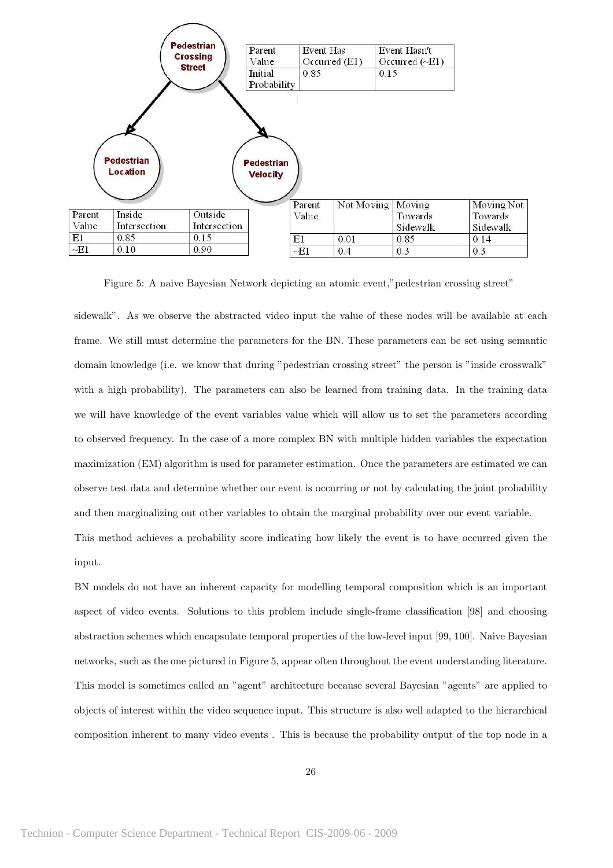

Figure 5: A naive Bayesian Network depicting an atomic event,"pedestrian crossing street"

sidewalk". As we observe the abstracted video input the value of these nodes will be available at each frame. We still must determine the parameters for the BN. These parameters can be set using semantic domain knowledge (i.e. we know that during "pedestrian crossing street" the person is "inside crosswalk" with a high probability). The parameters can also be learned from training data. In the training data we will have knowledge of the event variables value which will allow us to set the parameters according to observed frequency. In the case of a more complex BN with multiple hidden variables the expectation maximization (EM) algorithm is used for parameter estimation. Once the parameters are estimated we can observe test data and determine whether our event is occurring or not by calculating the joint probability and then marginalizing out other variables to obtain the marginal probability over our event variable.

This method achieves a probability score indicating how likely the event is to have occurred given the input.

BN models do not have an inherent capacity for modelling temporal composition which is an important aspect of video events. Solutions to this problem include single-frame classification [98] and choosing abstraction schemes which encapsulate temporal properties of the low-level input [99, 100]. Naive Bayesian networks, such as the one pictured in Figure 5, appear often throughout the event understanding literature. This model is sometimes called an "agent" architecture because several Bayesian "agents" are applied to objects of interest within the video sequence input. This structure is also well adapted to the hierarchical composition inherent to many video events . This is because the probability output of the top node in a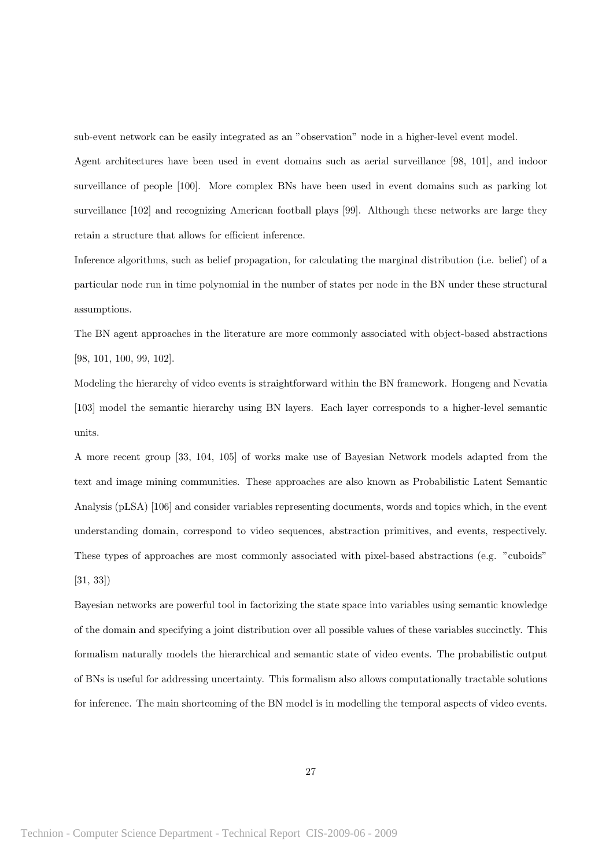sub-event network can be easily integrated as an "observation" node in a higher-level event model.

Agent architectures have been used in event domains such as aerial surveillance [98, 101], and indoor surveillance of people [100]. More complex BNs have been used in event domains such as parking lot surveillance [102] and recognizing American football plays [99]. Although these networks are large they retain a structure that allows for efficient inference.

Inference algorithms, such as belief propagation, for calculating the marginal distribution (i.e. belief) of a particular node run in time polynomial in the number of states per node in the BN under these structural assumptions.

The BN agent approaches in the literature are more commonly associated with object-based abstractions [98, 101, 100, 99, 102].

Modeling the hierarchy of video events is straightforward within the BN framework. Hongeng and Nevatia [103] model the semantic hierarchy using BN layers. Each layer corresponds to a higher-level semantic units.

A more recent group [33, 104, 105] of works make use of Bayesian Network models adapted from the text and image mining communities. These approaches are also known as Probabilistic Latent Semantic Analysis (pLSA) [106] and consider variables representing documents, words and topics which, in the event understanding domain, correspond to video sequences, abstraction primitives, and events, respectively. These types of approaches are most commonly associated with pixel-based abstractions (e.g. "cuboids" [31, 33])

Bayesian networks are powerful tool in factorizing the state space into variables using semantic knowledge of the domain and specifying a joint distribution over all possible values of these variables succinctly. This formalism naturally models the hierarchical and semantic state of video events. The probabilistic output of BNs is useful for addressing uncertainty. This formalism also allows computationally tractable solutions for inference. The main shortcoming of the BN model is in modelling the temporal aspects of video events.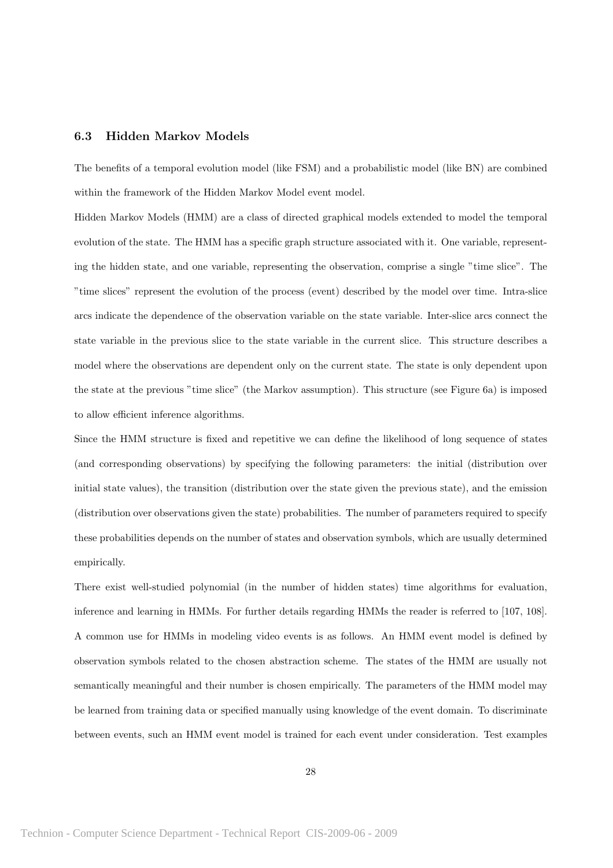#### 6.3 Hidden Markov Models

The benefits of a temporal evolution model (like FSM) and a probabilistic model (like BN) are combined within the framework of the Hidden Markov Model event model.

Hidden Markov Models (HMM) are a class of directed graphical models extended to model the temporal evolution of the state. The HMM has a specific graph structure associated with it. One variable, representing the hidden state, and one variable, representing the observation, comprise a single "time slice". The "time slices" represent the evolution of the process (event) described by the model over time. Intra-slice arcs indicate the dependence of the observation variable on the state variable. Inter-slice arcs connect the state variable in the previous slice to the state variable in the current slice. This structure describes a model where the observations are dependent only on the current state. The state is only dependent upon the state at the previous "time slice" (the Markov assumption). This structure (see Figure 6a) is imposed to allow efficient inference algorithms.

Since the HMM structure is fixed and repetitive we can define the likelihood of long sequence of states (and corresponding observations) by specifying the following parameters: the initial (distribution over initial state values), the transition (distribution over the state given the previous state), and the emission (distribution over observations given the state) probabilities. The number of parameters required to specify these probabilities depends on the number of states and observation symbols, which are usually determined empirically.

There exist well-studied polynomial (in the number of hidden states) time algorithms for evaluation, inference and learning in HMMs. For further details regarding HMMs the reader is referred to [107, 108]. A common use for HMMs in modeling video events is as follows. An HMM event model is defined by observation symbols related to the chosen abstraction scheme. The states of the HMM are usually not semantically meaningful and their number is chosen empirically. The parameters of the HMM model may be learned from training data or specified manually using knowledge of the event domain. To discriminate between events, such an HMM event model is trained for each event under consideration. Test examples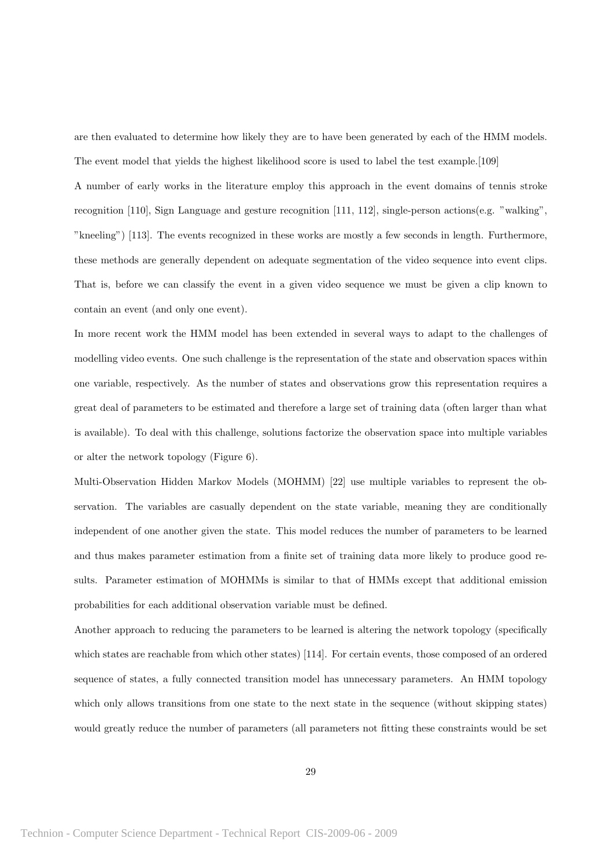are then evaluated to determine how likely they are to have been generated by each of the HMM models. The event model that yields the highest likelihood score is used to label the test example.[109]

A number of early works in the literature employ this approach in the event domains of tennis stroke recognition [110], Sign Language and gesture recognition [111, 112], single-person actions(e.g. "walking", "kneeling") [113]. The events recognized in these works are mostly a few seconds in length. Furthermore, these methods are generally dependent on adequate segmentation of the video sequence into event clips. That is, before we can classify the event in a given video sequence we must be given a clip known to contain an event (and only one event).

In more recent work the HMM model has been extended in several ways to adapt to the challenges of modelling video events. One such challenge is the representation of the state and observation spaces within one variable, respectively. As the number of states and observations grow this representation requires a great deal of parameters to be estimated and therefore a large set of training data (often larger than what is available). To deal with this challenge, solutions factorize the observation space into multiple variables or alter the network topology (Figure 6).

Multi-Observation Hidden Markov Models (MOHMM) [22] use multiple variables to represent the observation. The variables are casually dependent on the state variable, meaning they are conditionally independent of one another given the state. This model reduces the number of parameters to be learned and thus makes parameter estimation from a finite set of training data more likely to produce good results. Parameter estimation of MOHMMs is similar to that of HMMs except that additional emission probabilities for each additional observation variable must be defined.

Another approach to reducing the parameters to be learned is altering the network topology (specifically which states are reachable from which other states) [114]. For certain events, those composed of an ordered sequence of states, a fully connected transition model has unnecessary parameters. An HMM topology which only allows transitions from one state to the next state in the sequence (without skipping states) would greatly reduce the number of parameters (all parameters not fitting these constraints would be set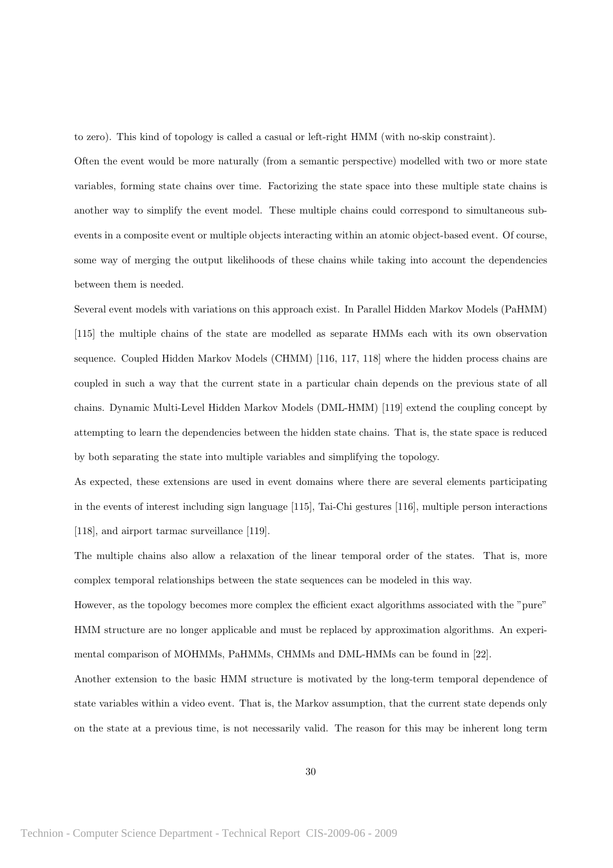to zero). This kind of topology is called a casual or left-right HMM (with no-skip constraint).

Often the event would be more naturally (from a semantic perspective) modelled with two or more state variables, forming state chains over time. Factorizing the state space into these multiple state chains is another way to simplify the event model. These multiple chains could correspond to simultaneous subevents in a composite event or multiple objects interacting within an atomic object-based event. Of course, some way of merging the output likelihoods of these chains while taking into account the dependencies between them is needed.

Several event models with variations on this approach exist. In Parallel Hidden Markov Models (PaHMM) [115] the multiple chains of the state are modelled as separate HMMs each with its own observation sequence. Coupled Hidden Markov Models (CHMM) [116, 117, 118] where the hidden process chains are coupled in such a way that the current state in a particular chain depends on the previous state of all chains. Dynamic Multi-Level Hidden Markov Models (DML-HMM) [119] extend the coupling concept by attempting to learn the dependencies between the hidden state chains. That is, the state space is reduced by both separating the state into multiple variables and simplifying the topology.

As expected, these extensions are used in event domains where there are several elements participating in the events of interest including sign language [115], Tai-Chi gestures [116], multiple person interactions [118], and airport tarmac surveillance [119].

The multiple chains also allow a relaxation of the linear temporal order of the states. That is, more complex temporal relationships between the state sequences can be modeled in this way.

However, as the topology becomes more complex the efficient exact algorithms associated with the "pure" HMM structure are no longer applicable and must be replaced by approximation algorithms. An experimental comparison of MOHMMs, PaHMMs, CHMMs and DML-HMMs can be found in [22].

Another extension to the basic HMM structure is motivated by the long-term temporal dependence of state variables within a video event. That is, the Markov assumption, that the current state depends only on the state at a previous time, is not necessarily valid. The reason for this may be inherent long term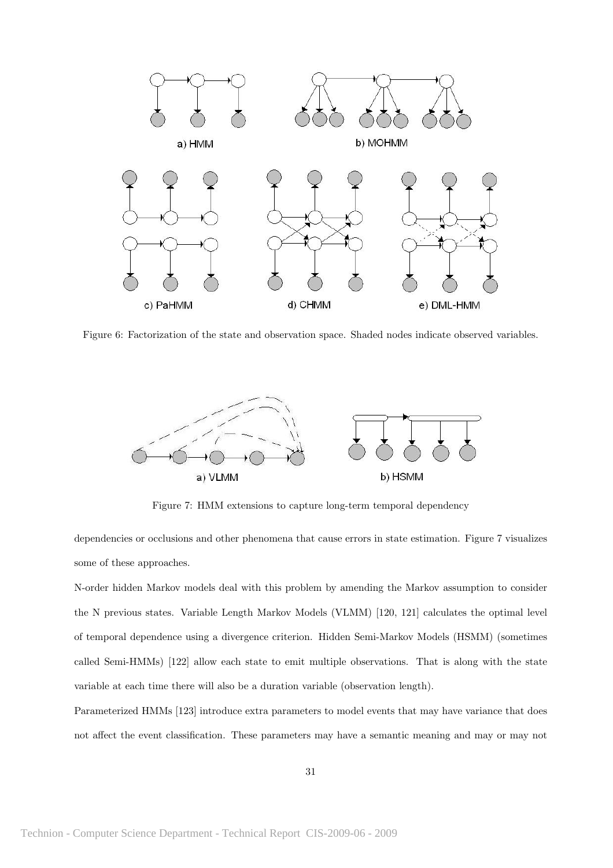

Figure 6: Factorization of the state and observation space. Shaded nodes indicate observed variables.



Figure 7: HMM extensions to capture long-term temporal dependency

dependencies or occlusions and other phenomena that cause errors in state estimation. Figure 7 visualizes some of these approaches.

N-order hidden Markov models deal with this problem by amending the Markov assumption to consider the N previous states. Variable Length Markov Models (VLMM) [120, 121] calculates the optimal level of temporal dependence using a divergence criterion. Hidden Semi-Markov Models (HSMM) (sometimes called Semi-HMMs) [122] allow each state to emit multiple observations. That is along with the state variable at each time there will also be a duration variable (observation length).

Parameterized HMMs [123] introduce extra parameters to model events that may have variance that does not affect the event classification. These parameters may have a semantic meaning and may or may not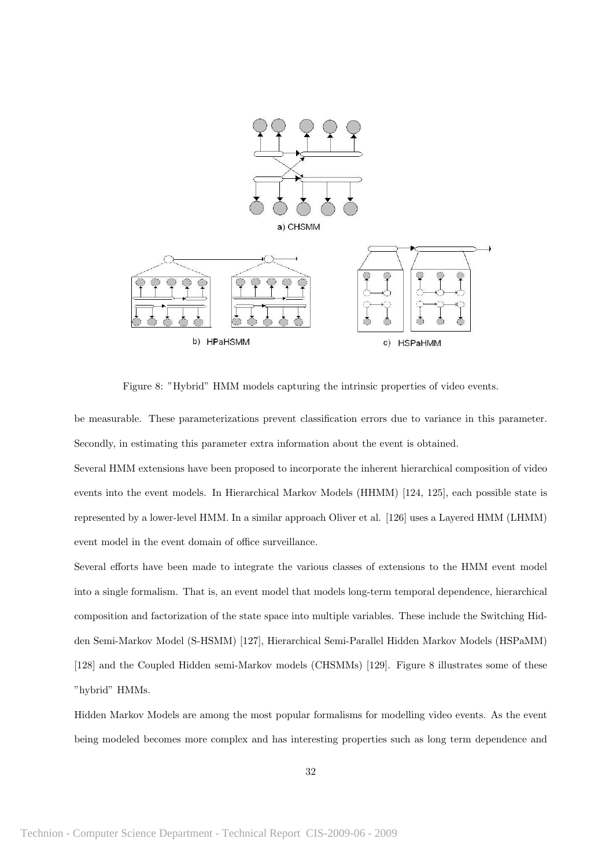

Figure 8: "Hybrid" HMM models capturing the intrinsic properties of video events.

be measurable. These parameterizations prevent classification errors due to variance in this parameter. Secondly, in estimating this parameter extra information about the event is obtained.

Several HMM extensions have been proposed to incorporate the inherent hierarchical composition of video events into the event models. In Hierarchical Markov Models (HHMM) [124, 125], each possible state is represented by a lower-level HMM. In a similar approach Oliver et al. [126] uses a Layered HMM (LHMM) event model in the event domain of office surveillance.

Several efforts have been made to integrate the various classes of extensions to the HMM event model into a single formalism. That is, an event model that models long-term temporal dependence, hierarchical composition and factorization of the state space into multiple variables. These include the Switching Hidden Semi-Markov Model (S-HSMM) [127], Hierarchical Semi-Parallel Hidden Markov Models (HSPaMM) [128] and the Coupled Hidden semi-Markov models (CHSMMs) [129]. Figure 8 illustrates some of these "hybrid" HMMs.

Hidden Markov Models are among the most popular formalisms for modelling video events. As the event being modeled becomes more complex and has interesting properties such as long term dependence and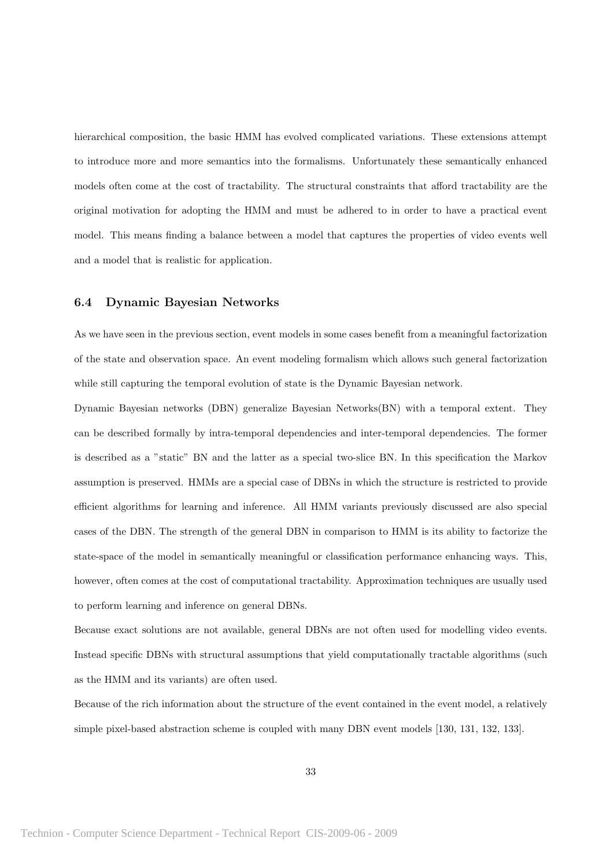hierarchical composition, the basic HMM has evolved complicated variations. These extensions attempt to introduce more and more semantics into the formalisms. Unfortunately these semantically enhanced models often come at the cost of tractability. The structural constraints that afford tractability are the original motivation for adopting the HMM and must be adhered to in order to have a practical event model. This means finding a balance between a model that captures the properties of video events well and a model that is realistic for application.

#### 6.4 Dynamic Bayesian Networks

As we have seen in the previous section, event models in some cases benefit from a meaningful factorization of the state and observation space. An event modeling formalism which allows such general factorization while still capturing the temporal evolution of state is the Dynamic Bayesian network.

Dynamic Bayesian networks (DBN) generalize Bayesian Networks(BN) with a temporal extent. They can be described formally by intra-temporal dependencies and inter-temporal dependencies. The former is described as a "static" BN and the latter as a special two-slice BN. In this specification the Markov assumption is preserved. HMMs are a special case of DBNs in which the structure is restricted to provide efficient algorithms for learning and inference. All HMM variants previously discussed are also special cases of the DBN. The strength of the general DBN in comparison to HMM is its ability to factorize the state-space of the model in semantically meaningful or classification performance enhancing ways. This, however, often comes at the cost of computational tractability. Approximation techniques are usually used to perform learning and inference on general DBNs.

Because exact solutions are not available, general DBNs are not often used for modelling video events. Instead specific DBNs with structural assumptions that yield computationally tractable algorithms (such as the HMM and its variants) are often used.

Because of the rich information about the structure of the event contained in the event model, a relatively simple pixel-based abstraction scheme is coupled with many DBN event models [130, 131, 132, 133].

33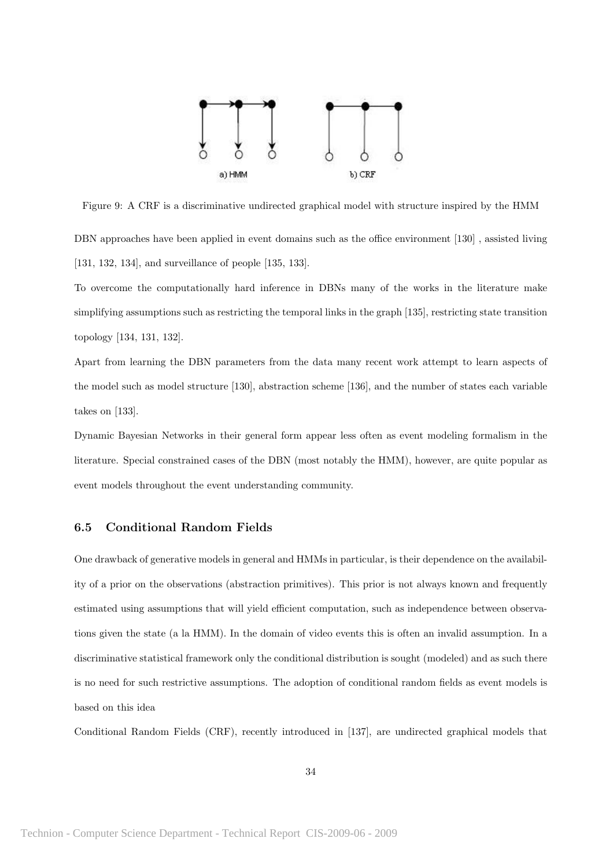

Figure 9: A CRF is a discriminative undirected graphical model with structure inspired by the HMM DBN approaches have been applied in event domains such as the office environment [130] , assisted living [131, 132, 134], and surveillance of people [135, 133].

To overcome the computationally hard inference in DBNs many of the works in the literature make simplifying assumptions such as restricting the temporal links in the graph [135], restricting state transition topology [134, 131, 132].

Apart from learning the DBN parameters from the data many recent work attempt to learn aspects of the model such as model structure [130], abstraction scheme [136], and the number of states each variable takes on [133].

Dynamic Bayesian Networks in their general form appear less often as event modeling formalism in the literature. Special constrained cases of the DBN (most notably the HMM), however, are quite popular as event models throughout the event understanding community.

### 6.5 Conditional Random Fields

One drawback of generative models in general and HMMs in particular, is their dependence on the availability of a prior on the observations (abstraction primitives). This prior is not always known and frequently estimated using assumptions that will yield efficient computation, such as independence between observations given the state (a la HMM). In the domain of video events this is often an invalid assumption. In a discriminative statistical framework only the conditional distribution is sought (modeled) and as such there is no need for such restrictive assumptions. The adoption of conditional random fields as event models is based on this idea

Conditional Random Fields (CRF), recently introduced in [137], are undirected graphical models that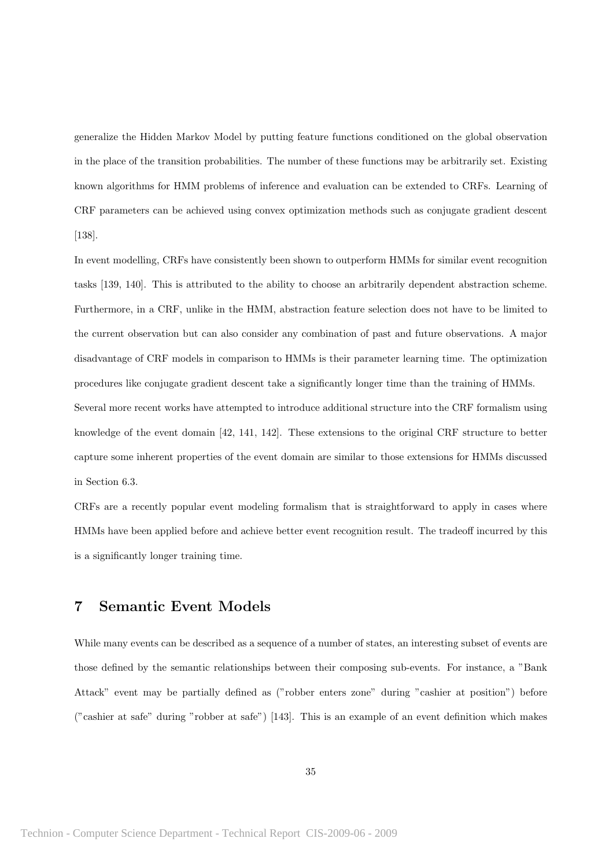generalize the Hidden Markov Model by putting feature functions conditioned on the global observation in the place of the transition probabilities. The number of these functions may be arbitrarily set. Existing known algorithms for HMM problems of inference and evaluation can be extended to CRFs. Learning of CRF parameters can be achieved using convex optimization methods such as conjugate gradient descent [138].

In event modelling, CRFs have consistently been shown to outperform HMMs for similar event recognition tasks [139, 140]. This is attributed to the ability to choose an arbitrarily dependent abstraction scheme. Furthermore, in a CRF, unlike in the HMM, abstraction feature selection does not have to be limited to the current observation but can also consider any combination of past and future observations. A major disadvantage of CRF models in comparison to HMMs is their parameter learning time. The optimization procedures like conjugate gradient descent take a significantly longer time than the training of HMMs. Several more recent works have attempted to introduce additional structure into the CRF formalism using knowledge of the event domain [42, 141, 142]. These extensions to the original CRF structure to better capture some inherent properties of the event domain are similar to those extensions for HMMs discussed

CRFs are a recently popular event modeling formalism that is straightforward to apply in cases where HMMs have been applied before and achieve better event recognition result. The tradeoff incurred by this is a significantly longer training time.

# 7 Semantic Event Models

in Section 6.3.

While many events can be described as a sequence of a number of states, an interesting subset of events are those defined by the semantic relationships between their composing sub-events. For instance, a "Bank Attack" event may be partially defined as ("robber enters zone" during "cashier at position") before ("cashier at safe" during "robber at safe") [143]. This is an example of an event definition which makes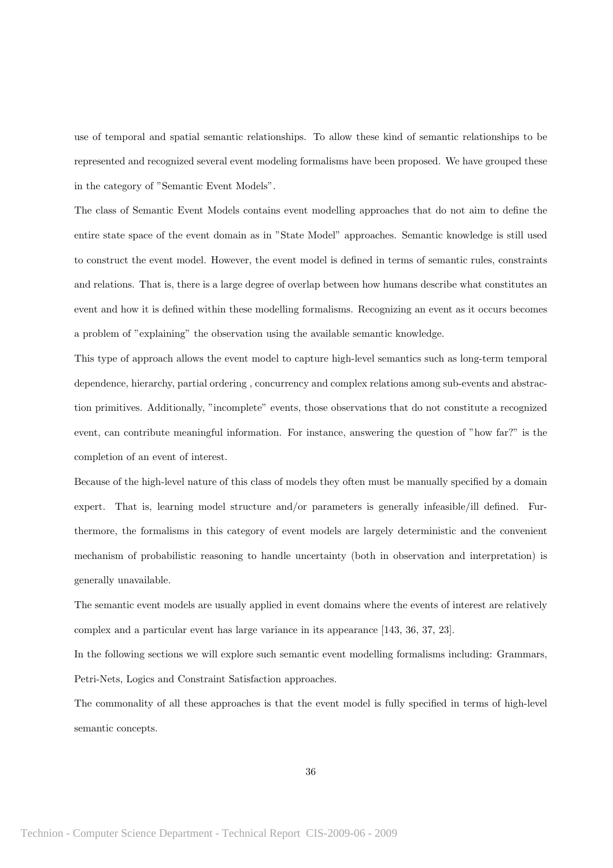use of temporal and spatial semantic relationships. To allow these kind of semantic relationships to be represented and recognized several event modeling formalisms have been proposed. We have grouped these in the category of "Semantic Event Models".

The class of Semantic Event Models contains event modelling approaches that do not aim to define the entire state space of the event domain as in "State Model" approaches. Semantic knowledge is still used to construct the event model. However, the event model is defined in terms of semantic rules, constraints and relations. That is, there is a large degree of overlap between how humans describe what constitutes an event and how it is defined within these modelling formalisms. Recognizing an event as it occurs becomes a problem of "explaining" the observation using the available semantic knowledge.

This type of approach allows the event model to capture high-level semantics such as long-term temporal dependence, hierarchy, partial ordering , concurrency and complex relations among sub-events and abstraction primitives. Additionally, "incomplete" events, those observations that do not constitute a recognized event, can contribute meaningful information. For instance, answering the question of "how far?" is the completion of an event of interest.

Because of the high-level nature of this class of models they often must be manually specified by a domain expert. That is, learning model structure and/or parameters is generally infeasible/ill defined. Furthermore, the formalisms in this category of event models are largely deterministic and the convenient mechanism of probabilistic reasoning to handle uncertainty (both in observation and interpretation) is generally unavailable.

The semantic event models are usually applied in event domains where the events of interest are relatively complex and a particular event has large variance in its appearance [143, 36, 37, 23].

In the following sections we will explore such semantic event modelling formalisms including: Grammars, Petri-Nets, Logics and Constraint Satisfaction approaches.

The commonality of all these approaches is that the event model is fully specified in terms of high-level semantic concepts.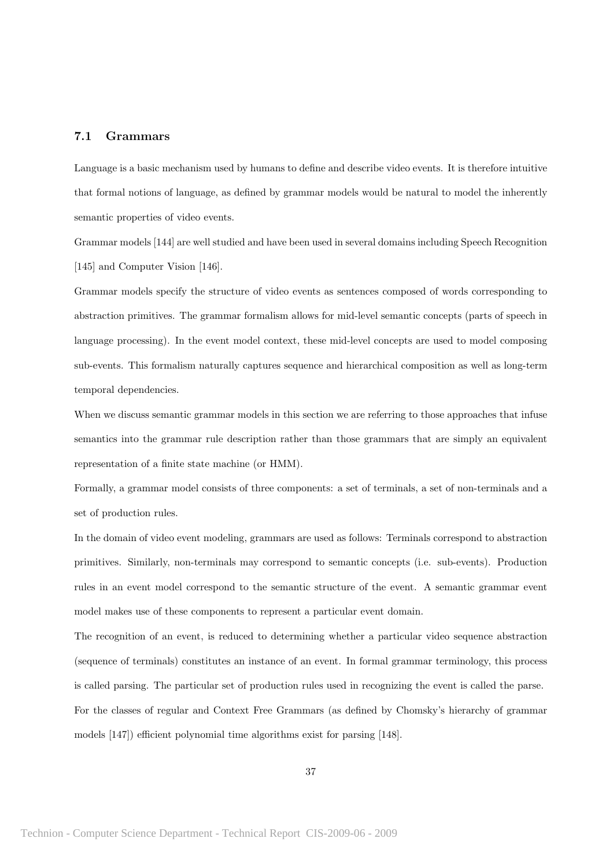#### 7.1 Grammars

Language is a basic mechanism used by humans to define and describe video events. It is therefore intuitive that formal notions of language, as defined by grammar models would be natural to model the inherently semantic properties of video events.

Grammar models [144] are well studied and have been used in several domains including Speech Recognition [145] and Computer Vision [146].

Grammar models specify the structure of video events as sentences composed of words corresponding to abstraction primitives. The grammar formalism allows for mid-level semantic concepts (parts of speech in language processing). In the event model context, these mid-level concepts are used to model composing sub-events. This formalism naturally captures sequence and hierarchical composition as well as long-term temporal dependencies.

When we discuss semantic grammar models in this section we are referring to those approaches that infuse semantics into the grammar rule description rather than those grammars that are simply an equivalent representation of a finite state machine (or HMM).

Formally, a grammar model consists of three components: a set of terminals, a set of non-terminals and a set of production rules.

In the domain of video event modeling, grammars are used as follows: Terminals correspond to abstraction primitives. Similarly, non-terminals may correspond to semantic concepts (i.e. sub-events). Production rules in an event model correspond to the semantic structure of the event. A semantic grammar event model makes use of these components to represent a particular event domain.

The recognition of an event, is reduced to determining whether a particular video sequence abstraction (sequence of terminals) constitutes an instance of an event. In formal grammar terminology, this process is called parsing. The particular set of production rules used in recognizing the event is called the parse. For the classes of regular and Context Free Grammars (as defined by Chomsky's hierarchy of grammar models [147]) efficient polynomial time algorithms exist for parsing [148].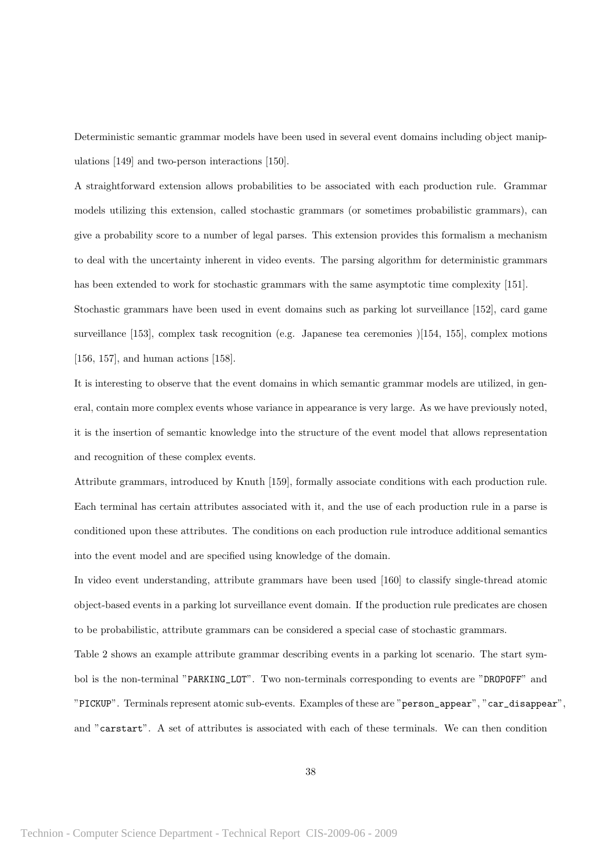Deterministic semantic grammar models have been used in several event domains including object manipulations [149] and two-person interactions [150].

A straightforward extension allows probabilities to be associated with each production rule. Grammar models utilizing this extension, called stochastic grammars (or sometimes probabilistic grammars), can give a probability score to a number of legal parses. This extension provides this formalism a mechanism to deal with the uncertainty inherent in video events. The parsing algorithm for deterministic grammars has been extended to work for stochastic grammars with the same asymptotic time complexity [151].

Stochastic grammars have been used in event domains such as parking lot surveillance [152], card game surveillance [153], complex task recognition (e.g. Japanese tea ceremonies )[154, 155], complex motions [156, 157], and human actions [158].

It is interesting to observe that the event domains in which semantic grammar models are utilized, in general, contain more complex events whose variance in appearance is very large. As we have previously noted, it is the insertion of semantic knowledge into the structure of the event model that allows representation and recognition of these complex events.

Attribute grammars, introduced by Knuth [159], formally associate conditions with each production rule. Each terminal has certain attributes associated with it, and the use of each production rule in a parse is conditioned upon these attributes. The conditions on each production rule introduce additional semantics into the event model and are specified using knowledge of the domain.

In video event understanding, attribute grammars have been used [160] to classify single-thread atomic object-based events in a parking lot surveillance event domain. If the production rule predicates are chosen to be probabilistic, attribute grammars can be considered a special case of stochastic grammars. Table 2 shows an example attribute grammar describing events in a parking lot scenario. The start symbol is the non-terminal "PARKING\_LOT". Two non-terminals corresponding to events are "DROPOFF" and "PICKUP". Terminals represent atomic sub-events. Examples of these are "person\_appear", "car\_disappear", and "carstart". A set of attributes is associated with each of these terminals. We can then condition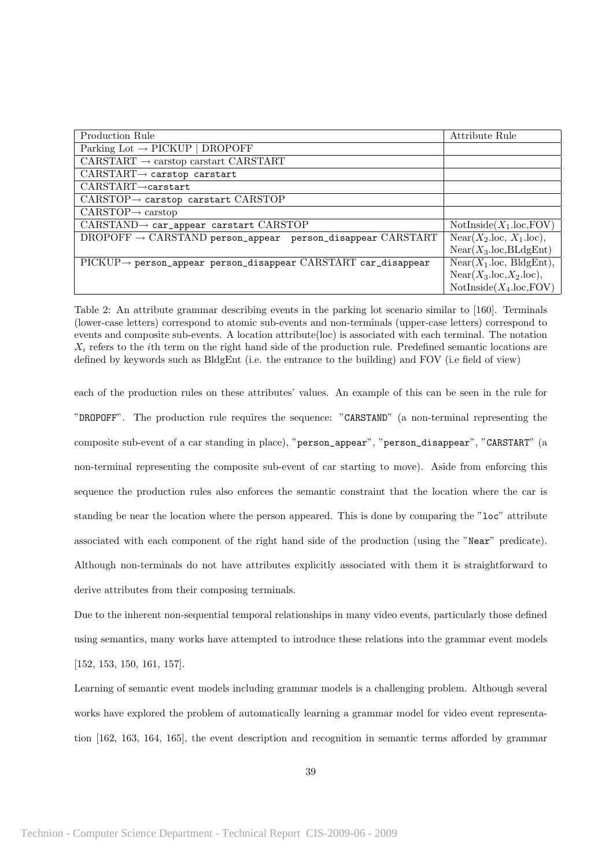| Production Rule                                                                                      | Attribute Rule                         |
|------------------------------------------------------------------------------------------------------|----------------------------------------|
| Parking Lot $\rightarrow$ PICKUP   DROPOFF                                                           |                                        |
| CARSTART $\rightarrow$ carstop carstart CARSTART                                                     |                                        |
| $CARSTART \rightarrow$ carstop carstart                                                              |                                        |
| $CARSTART \rightarrow$ carstart                                                                      |                                        |
| $CARSTOP \rightarrow$ carstop carstart $CARSTOP$                                                     |                                        |
| $CARSTOP \rightarrow carstop$                                                                        |                                        |
| $CARSTAND \rightarrow car\_appear$ carstart $CARSTOP$                                                | $NotInside(X_1.\text{loc},\text{FOV})$ |
| $DROPOFF \rightarrow CARSTAND$ person_appear person_disappear $CARSTART$                             | $Near(X_2, loc, X_1, loc),$            |
|                                                                                                      | $Near(X_3.loc,BLdgEnt)$                |
| $\text{PICKUP} \rightarrow \text{person\_appear person\_disappear}$ $\text{CARSTART car\_disappear}$ | $Near(X_1, loc, BldgEnt),$             |
|                                                                                                      | $Near(X_3, loc, X_2, loc),$            |
|                                                                                                      | $NotInside(X_4.loc,FOV)$               |

Table 2: An attribute grammar describing events in the parking lot scenario similar to [160]. Terminals (lower-case letters) correspond to atomic sub-events and non-terminals (upper-case letters) correspond to events and composite sub-events. A location attribute(loc) is associated with each terminal. The notation  $X_i$  refers to the *i*th term on the right hand side of the production rule. Predefined semantic locations are defined by keywords such as BldgEnt (i.e. the entrance to the building) and FOV (i.e field of view)

each of the production rules on these attributes' values. An example of this can be seen in the rule for "DROPOFF". The production rule requires the sequence: "CARSTAND" (a non-terminal representing the composite sub-event of a car standing in place), "person\_appear", "person\_disappear", "CARSTART" (a non-terminal representing the composite sub-event of car starting to move). Aside from enforcing this sequence the production rules also enforces the semantic constraint that the location where the car is standing be near the location where the person appeared. This is done by comparing the "loc" attribute associated with each component of the right hand side of the production (using the "Near" predicate). Although non-terminals do not have attributes explicitly associated with them it is straightforward to derive attributes from their composing terminals.

Due to the inherent non-sequential temporal relationships in many video events, particularly those defined using semantics, many works have attempted to introduce these relations into the grammar event models [152, 153, 150, 161, 157].

Learning of semantic event models including grammar models is a challenging problem. Although several works have explored the problem of automatically learning a grammar model for video event representation [162, 163, 164, 165], the event description and recognition in semantic terms afforded by grammar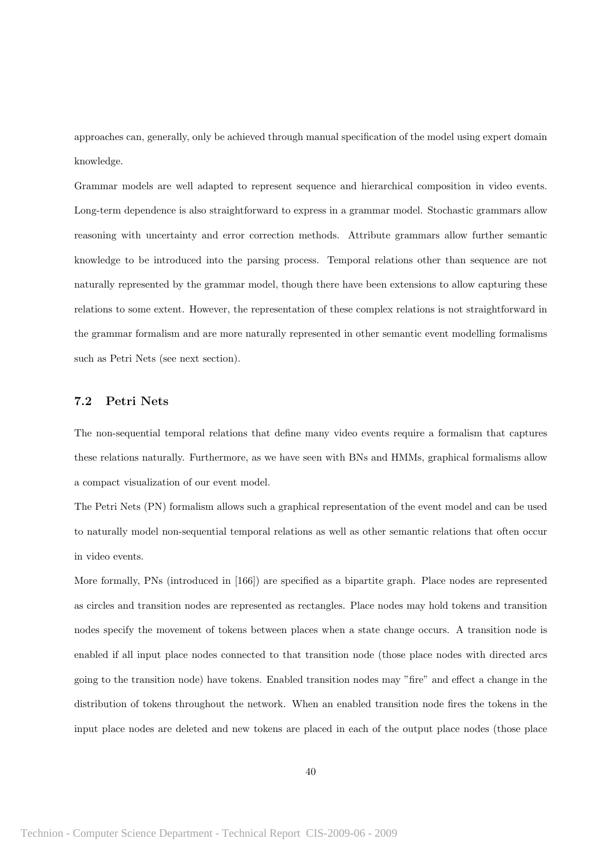approaches can, generally, only be achieved through manual specification of the model using expert domain knowledge.

Grammar models are well adapted to represent sequence and hierarchical composition in video events. Long-term dependence is also straightforward to express in a grammar model. Stochastic grammars allow reasoning with uncertainty and error correction methods. Attribute grammars allow further semantic knowledge to be introduced into the parsing process. Temporal relations other than sequence are not naturally represented by the grammar model, though there have been extensions to allow capturing these relations to some extent. However, the representation of these complex relations is not straightforward in the grammar formalism and are more naturally represented in other semantic event modelling formalisms such as Petri Nets (see next section).

### 7.2 Petri Nets

The non-sequential temporal relations that define many video events require a formalism that captures these relations naturally. Furthermore, as we have seen with BNs and HMMs, graphical formalisms allow a compact visualization of our event model.

The Petri Nets (PN) formalism allows such a graphical representation of the event model and can be used to naturally model non-sequential temporal relations as well as other semantic relations that often occur in video events.

More formally, PNs (introduced in [166]) are specified as a bipartite graph. Place nodes are represented as circles and transition nodes are represented as rectangles. Place nodes may hold tokens and transition nodes specify the movement of tokens between places when a state change occurs. A transition node is enabled if all input place nodes connected to that transition node (those place nodes with directed arcs going to the transition node) have tokens. Enabled transition nodes may "fire" and effect a change in the distribution of tokens throughout the network. When an enabled transition node fires the tokens in the input place nodes are deleted and new tokens are placed in each of the output place nodes (those place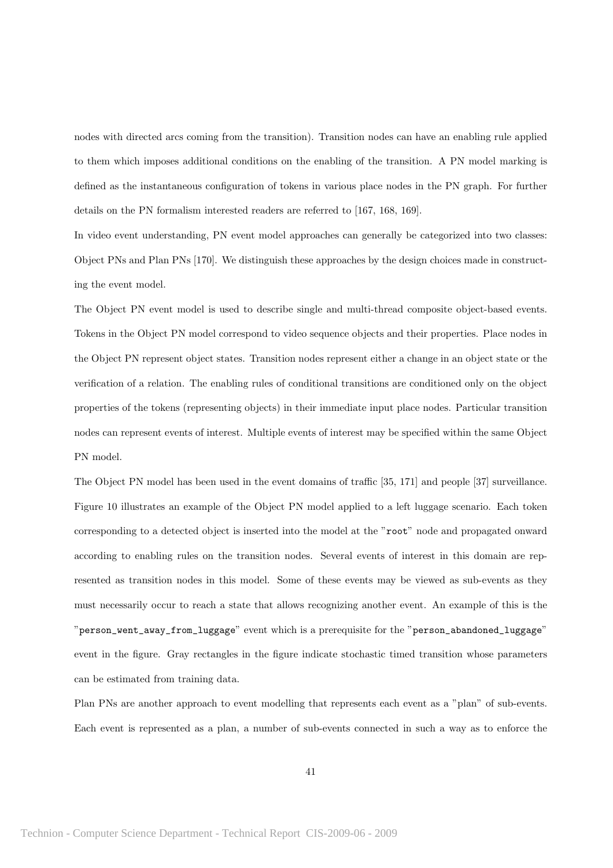nodes with directed arcs coming from the transition). Transition nodes can have an enabling rule applied to them which imposes additional conditions on the enabling of the transition. A PN model marking is defined as the instantaneous configuration of tokens in various place nodes in the PN graph. For further details on the PN formalism interested readers are referred to [167, 168, 169].

In video event understanding, PN event model approaches can generally be categorized into two classes: Object PNs and Plan PNs [170]. We distinguish these approaches by the design choices made in constructing the event model.

The Object PN event model is used to describe single and multi-thread composite object-based events. Tokens in the Object PN model correspond to video sequence objects and their properties. Place nodes in the Object PN represent object states. Transition nodes represent either a change in an object state or the verification of a relation. The enabling rules of conditional transitions are conditioned only on the object properties of the tokens (representing objects) in their immediate input place nodes. Particular transition nodes can represent events of interest. Multiple events of interest may be specified within the same Object PN model.

The Object PN model has been used in the event domains of traffic [35, 171] and people [37] surveillance. Figure 10 illustrates an example of the Object PN model applied to a left luggage scenario. Each token corresponding to a detected object is inserted into the model at the "root" node and propagated onward according to enabling rules on the transition nodes. Several events of interest in this domain are represented as transition nodes in this model. Some of these events may be viewed as sub-events as they must necessarily occur to reach a state that allows recognizing another event. An example of this is the "person\_went\_away\_from\_luggage" event which is a prerequisite for the "person\_abandoned\_luggage" event in the figure. Gray rectangles in the figure indicate stochastic timed transition whose parameters can be estimated from training data.

Plan PNs are another approach to event modelling that represents each event as a "plan" of sub-events. Each event is represented as a plan, a number of sub-events connected in such a way as to enforce the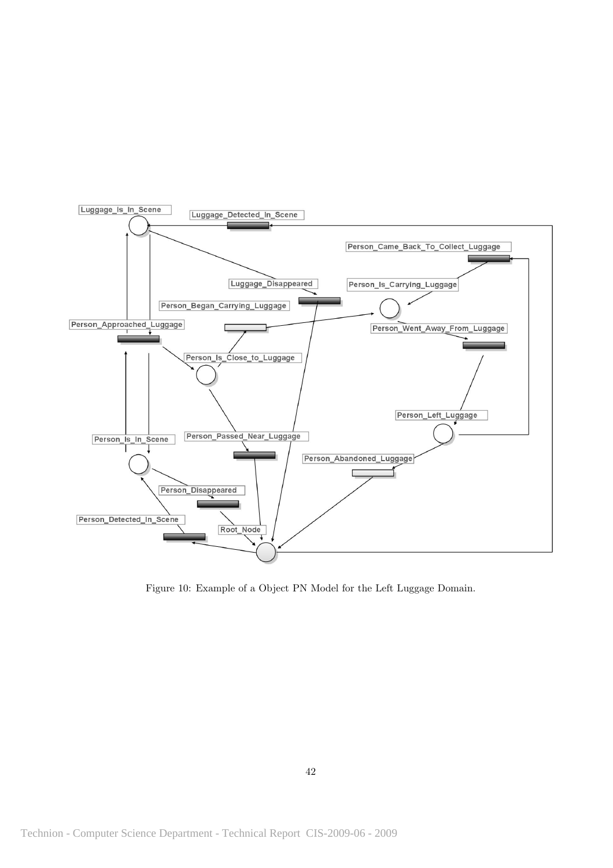

Figure 10: Example of a Object PN Model for the Left Luggage Domain.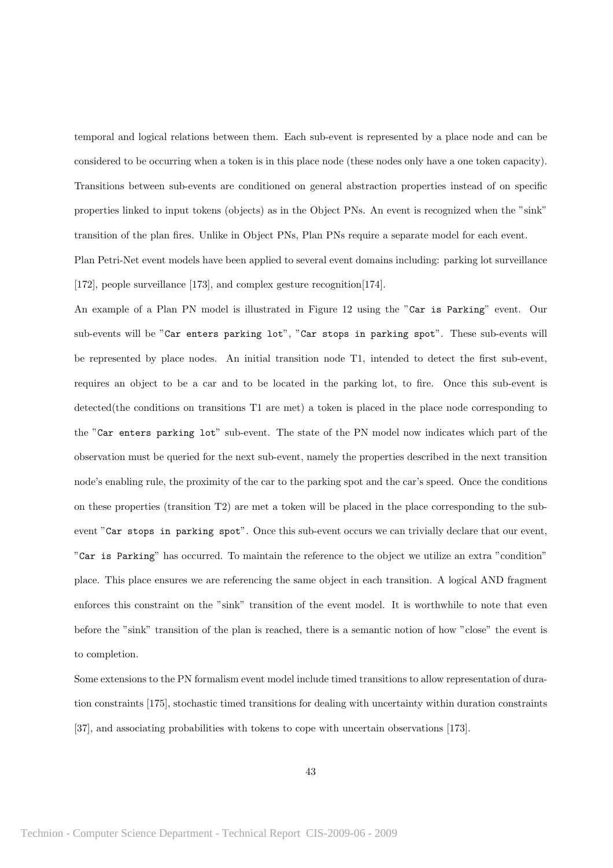temporal and logical relations between them. Each sub-event is represented by a place node and can be considered to be occurring when a token is in this place node (these nodes only have a one token capacity). Transitions between sub-events are conditioned on general abstraction properties instead of on specific properties linked to input tokens (objects) as in the Object PNs. An event is recognized when the "sink" transition of the plan fires. Unlike in Object PNs, Plan PNs require a separate model for each event.

Plan Petri-Net event models have been applied to several event domains including: parking lot surveillance [172], people surveillance [173], and complex gesture recognition[174].

An example of a Plan PN model is illustrated in Figure 12 using the "Car is Parking" event. Our sub-events will be "Car enters parking lot", "Car stops in parking spot". These sub-events will be represented by place nodes. An initial transition node T1, intended to detect the first sub-event, requires an object to be a car and to be located in the parking lot, to fire. Once this sub-event is detected(the conditions on transitions T1 are met) a token is placed in the place node corresponding to the "Car enters parking lot" sub-event. The state of the PN model now indicates which part of the observation must be queried for the next sub-event, namely the properties described in the next transition node's enabling rule, the proximity of the car to the parking spot and the car's speed. Once the conditions on these properties (transition  $T2$ ) are met a token will be placed in the place corresponding to the subevent "Car stops in parking spot". Once this sub-event occurs we can trivially declare that our event, "Car is Parking" has occurred. To maintain the reference to the object we utilize an extra "condition" place. This place ensures we are referencing the same object in each transition. A logical AND fragment enforces this constraint on the "sink" transition of the event model. It is worthwhile to note that even before the "sink" transition of the plan is reached, there is a semantic notion of how "close" the event is to completion.

Some extensions to the PN formalism event model include timed transitions to allow representation of duration constraints [175], stochastic timed transitions for dealing with uncertainty within duration constraints [37], and associating probabilities with tokens to cope with uncertain observations [173].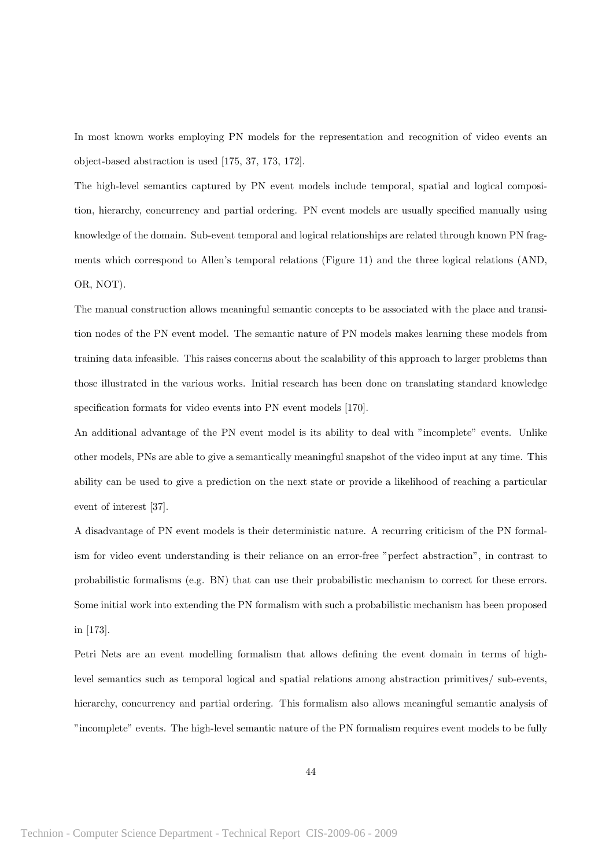In most known works employing PN models for the representation and recognition of video events an object-based abstraction is used [175, 37, 173, 172].

The high-level semantics captured by PN event models include temporal, spatial and logical composition, hierarchy, concurrency and partial ordering. PN event models are usually specified manually using knowledge of the domain. Sub-event temporal and logical relationships are related through known PN fragments which correspond to Allen's temporal relations (Figure 11) and the three logical relations (AND, OR, NOT).

The manual construction allows meaningful semantic concepts to be associated with the place and transition nodes of the PN event model. The semantic nature of PN models makes learning these models from training data infeasible. This raises concerns about the scalability of this approach to larger problems than those illustrated in the various works. Initial research has been done on translating standard knowledge specification formats for video events into PN event models [170].

An additional advantage of the PN event model is its ability to deal with "incomplete" events. Unlike other models, PNs are able to give a semantically meaningful snapshot of the video input at any time. This ability can be used to give a prediction on the next state or provide a likelihood of reaching a particular event of interest [37].

A disadvantage of PN event models is their deterministic nature. A recurring criticism of the PN formalism for video event understanding is their reliance on an error-free "perfect abstraction", in contrast to probabilistic formalisms (e.g. BN) that can use their probabilistic mechanism to correct for these errors. Some initial work into extending the PN formalism with such a probabilistic mechanism has been proposed in [173].

Petri Nets are an event modelling formalism that allows defining the event domain in terms of highlevel semantics such as temporal logical and spatial relations among abstraction primitives/ sub-events, hierarchy, concurrency and partial ordering. This formalism also allows meaningful semantic analysis of "incomplete" events. The high-level semantic nature of the PN formalism requires event models to be fully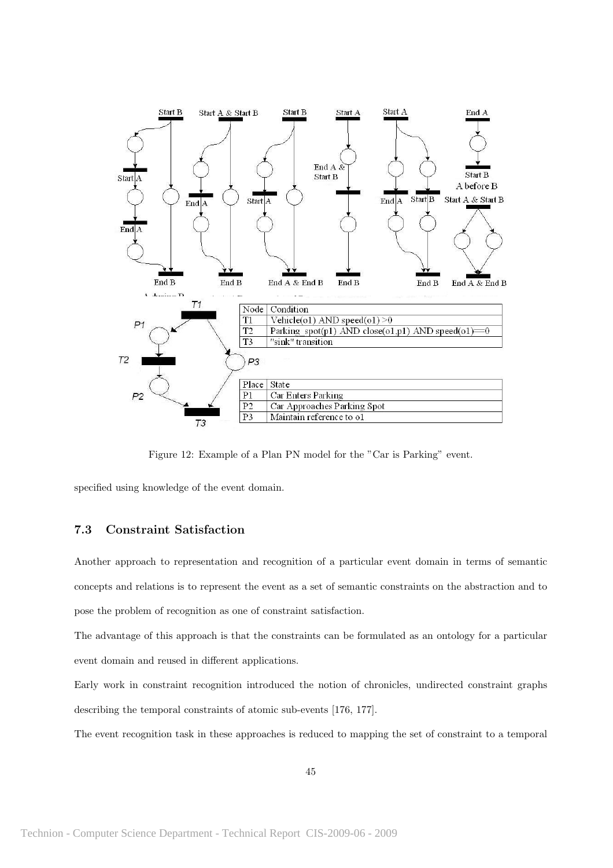

Figure 12: Example of a Plan PN model for the "Car is Parking" event.

specified using knowledge of the event domain.

### 7.3 Constraint Satisfaction

Another approach to representation and recognition of a particular event domain in terms of semantic concepts and relations is to represent the event as a set of semantic constraints on the abstraction and to pose the problem of recognition as one of constraint satisfaction.

The advantage of this approach is that the constraints can be formulated as an ontology for a particular event domain and reused in different applications.

Early work in constraint recognition introduced the notion of chronicles, undirected constraint graphs describing the temporal constraints of atomic sub-events [176, 177].

The event recognition task in these approaches is reduced to mapping the set of constraint to a temporal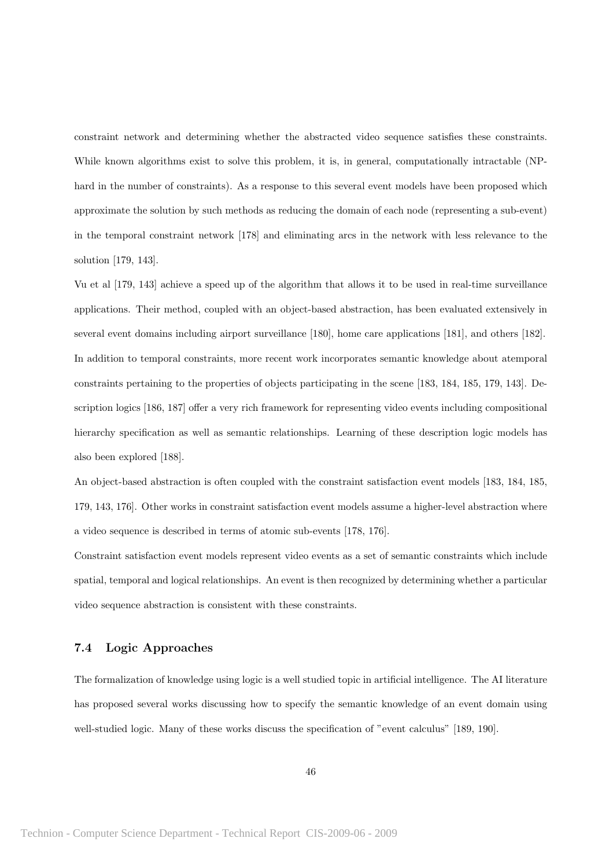constraint network and determining whether the abstracted video sequence satisfies these constraints. While known algorithms exist to solve this problem, it is, in general, computationally intractable (NPhard in the number of constraints). As a response to this several event models have been proposed which approximate the solution by such methods as reducing the domain of each node (representing a sub-event) in the temporal constraint network [178] and eliminating arcs in the network with less relevance to the solution [179, 143].

Vu et al [179, 143] achieve a speed up of the algorithm that allows it to be used in real-time surveillance applications. Their method, coupled with an object-based abstraction, has been evaluated extensively in several event domains including airport surveillance [180], home care applications [181], and others [182]. In addition to temporal constraints, more recent work incorporates semantic knowledge about atemporal constraints pertaining to the properties of objects participating in the scene [183, 184, 185, 179, 143]. Description logics [186, 187] offer a very rich framework for representing video events including compositional hierarchy specification as well as semantic relationships. Learning of these description logic models has also been explored [188].

An object-based abstraction is often coupled with the constraint satisfaction event models [183, 184, 185, 179, 143, 176]. Other works in constraint satisfaction event models assume a higher-level abstraction where a video sequence is described in terms of atomic sub-events [178, 176].

Constraint satisfaction event models represent video events as a set of semantic constraints which include spatial, temporal and logical relationships. An event is then recognized by determining whether a particular video sequence abstraction is consistent with these constraints.

### 7.4 Logic Approaches

The formalization of knowledge using logic is a well studied topic in artificial intelligence. The AI literature has proposed several works discussing how to specify the semantic knowledge of an event domain using well-studied logic. Many of these works discuss the specification of "event calculus" [189, 190].

46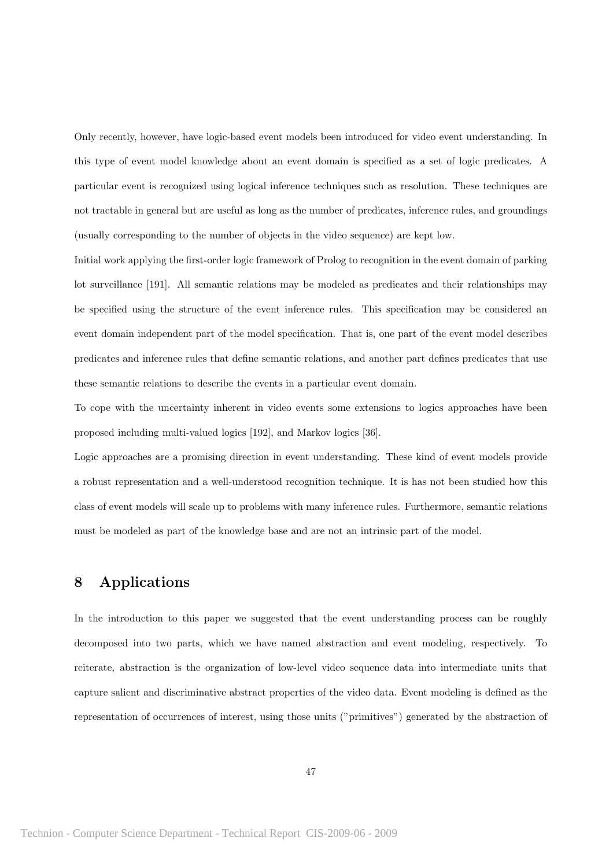Only recently, however, have logic-based event models been introduced for video event understanding. In this type of event model knowledge about an event domain is specified as a set of logic predicates. A particular event is recognized using logical inference techniques such as resolution. These techniques are not tractable in general but are useful as long as the number of predicates, inference rules, and groundings (usually corresponding to the number of objects in the video sequence) are kept low.

Initial work applying the first-order logic framework of Prolog to recognition in the event domain of parking lot surveillance [191]. All semantic relations may be modeled as predicates and their relationships may be specified using the structure of the event inference rules. This specification may be considered an event domain independent part of the model specification. That is, one part of the event model describes predicates and inference rules that define semantic relations, and another part defines predicates that use these semantic relations to describe the events in a particular event domain.

To cope with the uncertainty inherent in video events some extensions to logics approaches have been proposed including multi-valued logics [192], and Markov logics [36].

Logic approaches are a promising direction in event understanding. These kind of event models provide a robust representation and a well-understood recognition technique. It is has not been studied how this class of event models will scale up to problems with many inference rules. Furthermore, semantic relations must be modeled as part of the knowledge base and are not an intrinsic part of the model.

# 8 Applications

In the introduction to this paper we suggested that the event understanding process can be roughly decomposed into two parts, which we have named abstraction and event modeling, respectively. To reiterate, abstraction is the organization of low-level video sequence data into intermediate units that capture salient and discriminative abstract properties of the video data. Event modeling is defined as the representation of occurrences of interest, using those units ("primitives") generated by the abstraction of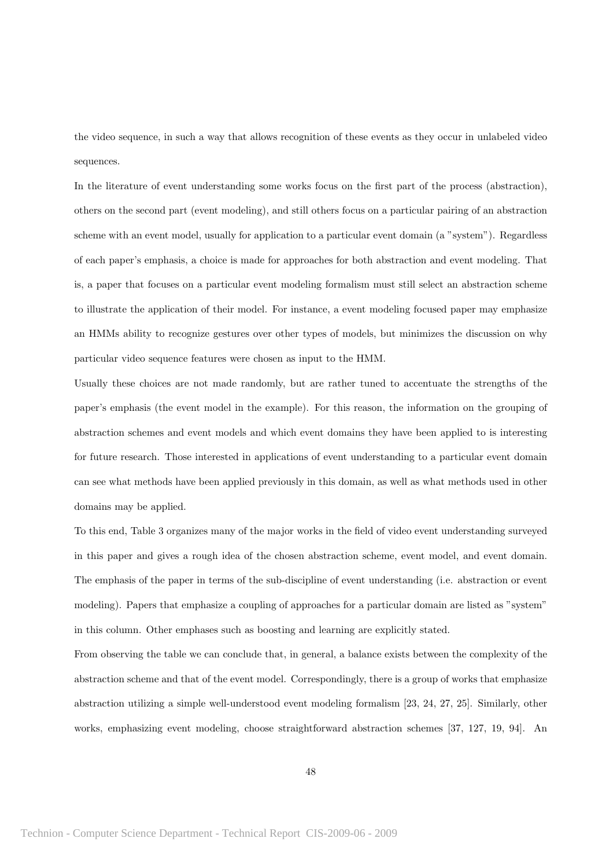the video sequence, in such a way that allows recognition of these events as they occur in unlabeled video sequences.

In the literature of event understanding some works focus on the first part of the process (abstraction), others on the second part (event modeling), and still others focus on a particular pairing of an abstraction scheme with an event model, usually for application to a particular event domain (a "system"). Regardless of each paper's emphasis, a choice is made for approaches for both abstraction and event modeling. That is, a paper that focuses on a particular event modeling formalism must still select an abstraction scheme to illustrate the application of their model. For instance, a event modeling focused paper may emphasize an HMMs ability to recognize gestures over other types of models, but minimizes the discussion on why particular video sequence features were chosen as input to the HMM.

Usually these choices are not made randomly, but are rather tuned to accentuate the strengths of the paper's emphasis (the event model in the example). For this reason, the information on the grouping of abstraction schemes and event models and which event domains they have been applied to is interesting for future research. Those interested in applications of event understanding to a particular event domain can see what methods have been applied previously in this domain, as well as what methods used in other domains may be applied.

To this end, Table 3 organizes many of the major works in the field of video event understanding surveyed in this paper and gives a rough idea of the chosen abstraction scheme, event model, and event domain. The emphasis of the paper in terms of the sub-discipline of event understanding (i.e. abstraction or event modeling). Papers that emphasize a coupling of approaches for a particular domain are listed as "system" in this column. Other emphases such as boosting and learning are explicitly stated.

From observing the table we can conclude that, in general, a balance exists between the complexity of the abstraction scheme and that of the event model. Correspondingly, there is a group of works that emphasize abstraction utilizing a simple well-understood event modeling formalism [23, 24, 27, 25]. Similarly, other works, emphasizing event modeling, choose straightforward abstraction schemes [37, 127, 19, 94]. An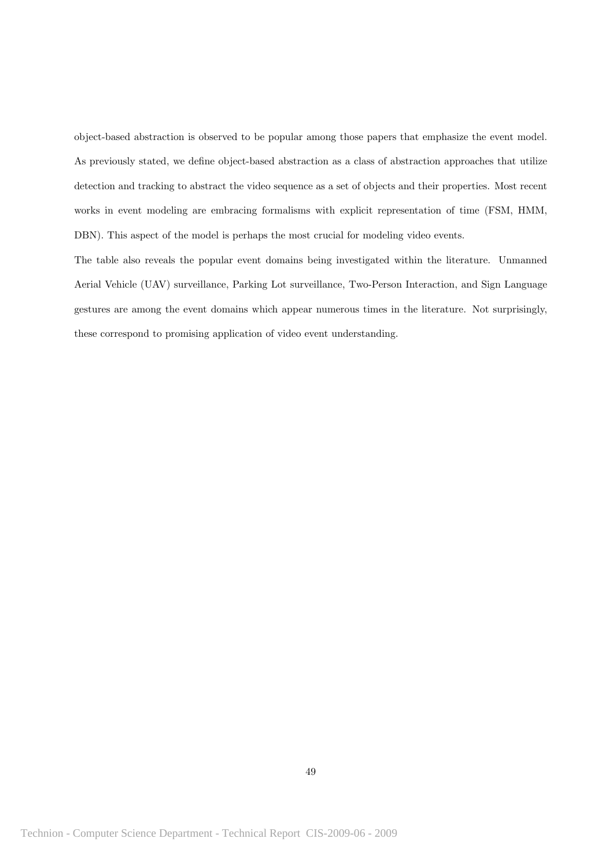object-based abstraction is observed to be popular among those papers that emphasize the event model. As previously stated, we define object-based abstraction as a class of abstraction approaches that utilize detection and tracking to abstract the video sequence as a set of objects and their properties. Most recent works in event modeling are embracing formalisms with explicit representation of time (FSM, HMM, DBN). This aspect of the model is perhaps the most crucial for modeling video events.

The table also reveals the popular event domains being investigated within the literature. Unmanned Aerial Vehicle (UAV) surveillance, Parking Lot surveillance, Two-Person Interaction, and Sign Language gestures are among the event domains which appear numerous times in the literature. Not surprisingly, these correspond to promising application of video event understanding.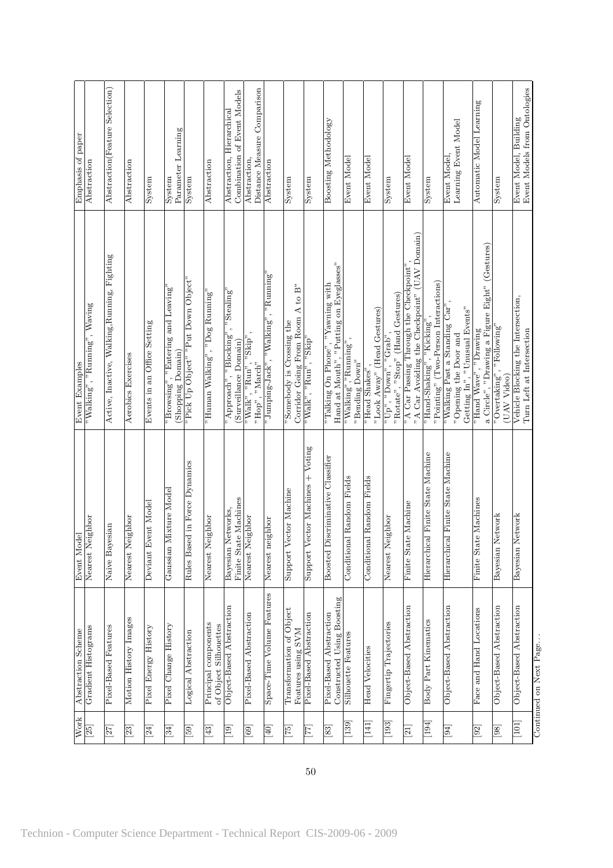| <b>Work</b>                 | Abstraction Scheme                                    | Event Model                                      | Event Examples                                                                                                                                   | Emphasis of paper                                        |
|-----------------------------|-------------------------------------------------------|--------------------------------------------------|--------------------------------------------------------------------------------------------------------------------------------------------------|----------------------------------------------------------|
| $\Xi$                       | Gradient Histograms                                   | Nearest Neighbor                                 | $\mathrm{^{59}Walking}^{\mathrm{^{\prime\prime}}}, \mathrm{^{59}Running}^{\mathrm{^{\prime\prime}}}, \mathrm{Waving}^{\mathrm{^{\prime\prime}}}$ | Abstraction                                              |
|                             |                                                       |                                                  |                                                                                                                                                  |                                                          |
| $[27]$                      | Pixel-Based Features                                  | Naive Bayesian                                   | Active, Inactive, Walking, Running, Fighting                                                                                                     | Abstraction (Feature Selection)                          |
| [23]                        | Motion History Images                                 | Nearest Neighbor                                 | Aerobics Exercises                                                                                                                               | Abstraction                                              |
| [24]                        | Pixel Energy History                                  | Deviant Event Model                              | Events in an Office Setting                                                                                                                      | System                                                   |
| [34]                        | Pixel Change History                                  | Mixture Model<br>Gaussian                        | "Browsing", "Entering and Leaving<br>(Shopping Domain)                                                                                           | Parameter Learning<br>System                             |
| [65]                        | Logical Abstraction                                   | Rules Based in Force Dynamics                    | "Pick Up Object" "Put Down Object"                                                                                                               | System                                                   |
| $\left[\frac{43}{2}\right]$ | Principal components<br>of Object Silhouettes         | eighbor<br>Nearest N                             | $^{\circ}$ Human Walking $^{\circ}$ , $^{\circ}$ Dog Running $^{\circ}$                                                                          | Abstraction                                              |
| $\boxed{19}$                | Object-Based Abstraction                              | Finite State Machines<br>Networks,<br>Bayesian ] | "Stealing"<br>Ļ,<br>$^{n}$ Approach", "Blocking"<br>(Surveillance Domain)                                                                        | Combination of Event Models<br>Abstraction, Hierarchical |
| [63]                        | Pixel-Based Abstraction                               | Nearest Neighbor                                 | "Walk", "Run", "Skip"<br>"Hop", "March"                                                                                                          | Distance Measure Comparison<br>Abstraction,              |
| $\boxed{40}$                | Space-Time Volume Features                            | Nearest neighbor                                 | $" \mathrm{Jumping\text{-}Jack}"$ , $" \mathrm{Wallking}"$ , $" \mathrm{Rumning}''$                                                              | Abstraction                                              |
| $\left[ 22\right]$          | Transformation of Object<br>Features using SVM        | ector Machine<br>Support                         | Corridor Going From Room A to B"<br>Somebody is Crossing the                                                                                     | System                                                   |
| [77]                        | Pixel-Based Abstraction                               | ector Machines + Voting<br>Support               | $\mathrm{Walk}^n, \mathrm{``Run}^n, \mathrm{``Stip}^n$                                                                                           | System                                                   |
| [88]                        | Constructed Using Boosting<br>Pixel-Based Abstraction | Boosted Discriminative Classifier                | Hand at Mouth", "Putting on Eyeglasses"<br>"Talking On Phone", "Yawning with                                                                     | Boosting Methodology                                     |
| $\boxed{139}$               | Silhouette Features                                   | Conditional Random Fields                        | $\sqrt[m\textnormal{Walking}^n, \sqrt[m\textnormal{Running}^n],$<br>"Bending Down"                                                               | Event Model                                              |
| $[141]$                     | <b>Head Velocities</b>                                | Conditional Random Fields                        | "Look Away" (Head Gestures)<br>"Head Shakes"                                                                                                     | Event Model                                              |
| $[193]$                     | Fingertip Trajectories                                | Nearest Neighbor                                 | "Rotate", "Stop" (Hand Gestures)<br>$\overline{p}^n \overline{Up}^n$ , "Down", "Grab",                                                           | System                                                   |
| $\overline{21}$             | Object-Based Abstraction                              | Finite State Machine                             | "A Car Avoiding the Checkpoint" (UAV Domain)<br><sup>"A</sup> Car Passing Through the Checkpoint"                                                | Event Model                                              |
| $\left[194\right]$          | Body Part Kinematics                                  | Hierarchical Finite State Machine                | "Pointing" (Two-Person Interactions)<br>$"$ Hand-Shaking", $"$ Kicking",                                                                         | System                                                   |
| [54]                        | Object-Based Abstraction                              | Hierarchical Finite State Machine                | "Walking Past a Standing Car",<br>Getting In", "Unusual Events"<br>"Opening the Door and                                                         | Learning Event Model<br>Event Model,                     |
| $[92]$                      | Face and Hand Locations                               | Finite State Machines                            | a Circle", "Drawing a Figure Eight" (Gestures)<br>"Hand Wave", "Drawing                                                                          | Automatic Model Learning                                 |
| $^{[86]}$                   | Object-Based Abstraction                              | Network<br>Bayesian                              | "Following'<br>$\sqrt[n]{\text{Overtaking}}$ ,<br>(UAV Video)                                                                                    | System                                                   |
| $[101]$                     | Object-Based Abstraction                              | Network<br>Bayesian                              | Vehicle Blocking the Intersection,<br>Turn Left at Intersection                                                                                  | Event Models from Ontologies<br>Event Model, Building    |
|                             | Continued on Next Page                                |                                                  |                                                                                                                                                  |                                                          |

50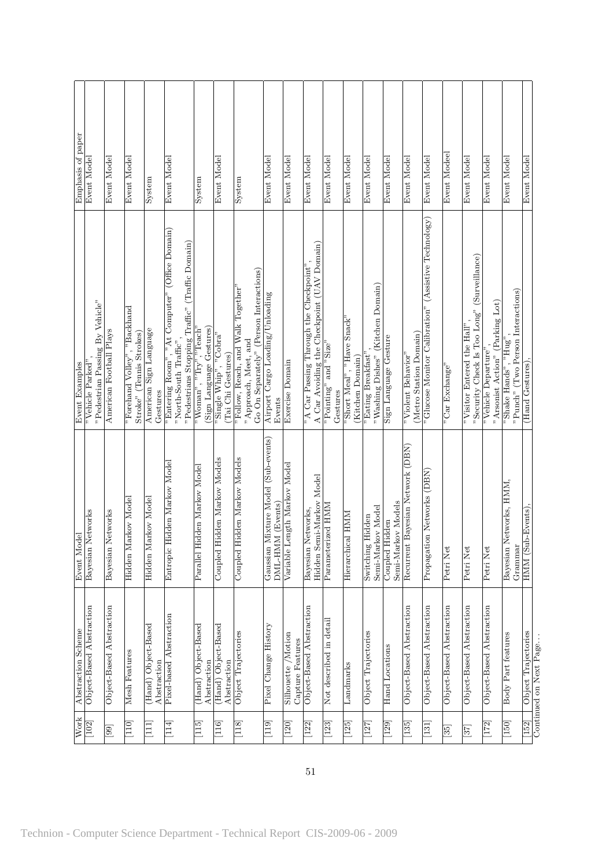| <b>Work</b>       | Abstraction Scheme                     | Event Model                                                     | Event Examples                                                                                                                                | Emphasis of paper |
|-------------------|----------------------------------------|-----------------------------------------------------------------|-----------------------------------------------------------------------------------------------------------------------------------------------|-------------------|
| [102]             | Object-Based Abstraction               | Bayesian Networks                                               | "Vehicle Parked"                                                                                                                              | Event Model       |
|                   |                                        |                                                                 | "Pedestrian Passing By Vehicle"                                                                                                               |                   |
| [99]              | Object-Based Abstraction               | Bayesian Networks                                               | American Football Plays                                                                                                                       | Event Model       |
| $\Xi$             | Mesh Features                          | arkov Model<br>Hidden M                                         | "Backhand<br>Stroke" (Tennis Strokes)<br>"Forehand Volley",                                                                                   | Event Model       |
| $\Xi$             | (Hand) Object-Based<br>Abstraction     | arkov Model<br>Hidden M                                         | American Sign Language<br>Gestures                                                                                                            | System            |
| $\frac{114}{1}$   | Pixel-based Abstraction                | Hidden Markov Model<br>Entropic.                                | "Entering Room", "At Computer" (Office Domain)<br>"Pedestrians Stopping Traffic" (Traffic Domain)<br>"North-South $\operatorname{Traff} c$ ", | Event Model       |
| $\boxed{115}$     | (Hand) Object-Based<br>Abstraction     | idden Markov Model<br>Parallel H                                | (Sign Language Gestures)<br>$\mathrm{wWoman}^{\mathrm{v}}, \mathrm{wTry}^{\mathrm{v}}, \mathrm{Teach}^{\mathrm{v}}$                           | System            |
| [116]             | (Hand) Object-Based<br>Abstraction     | Coupled Hidden Markov Models                                    | 'Single Whip", "Cobra"<br>(Tai Chi Gestures)                                                                                                  | Event Model       |
| $\boxed{118}$     | Object Trajectories                    | Coupled Hidden Markov Models                                    | Go On Separately" (Person Interactions)<br><sup>"</sup> Follow, Reach, and Walk Together"<br>"Approach, Meet, and                             | System            |
| [119]             | Pixel Change History                   | Mixture Model (Sub-events)<br>M (Events)<br>DML-HMI<br>Gaussian | Airport Cargo Loading/Unloading<br>Events                                                                                                     | Event Model       |
| $[120]$           | Silhouette /Motion<br>Capture Features | ength Markov Model<br>Variable L                                | Exercise Domain                                                                                                                               | Event Model       |
| 122               | Object-Based Abstraction               | Hidden Semi-Markov Model<br>Bayesian Networks,                  | A Car Avoiding the Checkpoint (UAV Domain)<br><sup>"</sup> A Car Passing Through the Checkpoint"                                              | Event Model       |
| $[123]$           | Not described in detail                | Parameterized HMM                                               | $P$ ointing" and $P$ Size"<br>Gestures                                                                                                        | Event Model       |
| $[125]$           | Landmarks                              | Hierarchical HMM                                                | "Short Meal", "Have Snack"<br>(Kitchen Domain)                                                                                                | Event Model       |
| [127]             | Object Trajectories                    | Switching Hidden<br>Semi-Markov Model                           | "Washing Dishes" (Kitchen Domain)<br>"Eating Breakfast"                                                                                       | Event Model       |
| $[129]$           | <b>Hand</b> Locations                  | Semi-Markov Models<br>Coupled Hidden                            | Sign Language Gesture                                                                                                                         | Event Model       |
| $[135]$           | Object-Based Abstraction               | Bayesian Network (DBN)<br>Recurrent                             | (Metro Station Domain)<br>"Violent Behavior"                                                                                                  | Event Model       |
| [131]             | Object-Based Abstraction               | Propagation Networks (DBN)                                      | "Glucose Monitor Calibration" (Assistive Technology)                                                                                          | Event Model       |
| $\left[35\right]$ | Object-Based Abstraction               | Petri Net                                                       | "Car Exchange"                                                                                                                                | Event Modeel      |
| [37]              | Object-Based Abstraction               | Petri Net                                                       | "Security Check Is Too Long" (Surveillance)<br>"Visitor Entered the Hall"                                                                     | Event Model       |
| $[172]$           | Object-Based Abstraction               | Petri Net                                                       | "Arsonist Action" (Parking Lot)<br>"Vehicle Departure"                                                                                        | Event Model       |
| $[150]$           | Body Part features                     | Bayesian Networks, HMM,<br>Grammar                              | "Punch" (Two Person Interactions)<br>"Shake Hands", $"{\rm Hug}'$                                                                             | Event Model       |
| $[152]$           | Object Trajectories                    | b-Events).<br>HMM(Su)                                           | (Hand Gestures),                                                                                                                              | Event Model       |
|                   | Continued on Next Page                 |                                                                 |                                                                                                                                               |                   |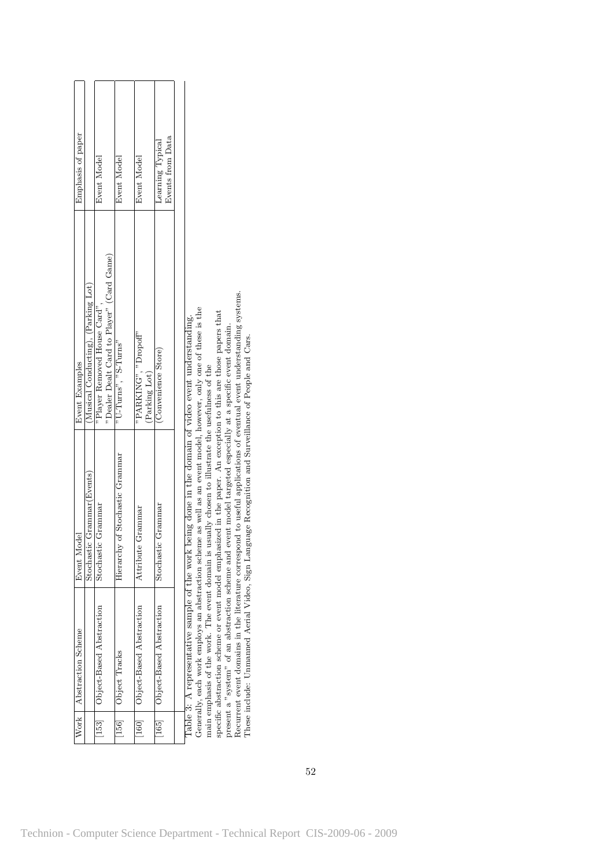| Emphasis of paper         | (Musical Conducting), (Parking Lot) | Event Model<br>"Dealer Dealt Card to Player" (Card Game) | Event Model                     | Event Model                           | Events from Data<br>Learning Typical |
|---------------------------|-------------------------------------|----------------------------------------------------------|---------------------------------|---------------------------------------|--------------------------------------|
| <b>Event Examples</b>     |                                     | "Player Removed House Card",                             | "U-Turns", "S-Turns"            | "PARKING". "Dropoff"<br>(Parking Lot) | (Convenience Store)                  |
| Event Model               | Stochastic Grammar (Events)         | Stochastic Grammar                                       | Hierarchy of Stochastic Grammar | Grammar<br>Attribute                  | Stochastic Grammar                   |
| Work   Abstraction Scheme |                                     | [153]   Object-Based Abstraction                         | [156]   Object Tracks           | [160]   Object-Based Abstraction      | [165]   Object-Based Abstraction     |
|                           |                                     |                                                          |                                 |                                       |                                      |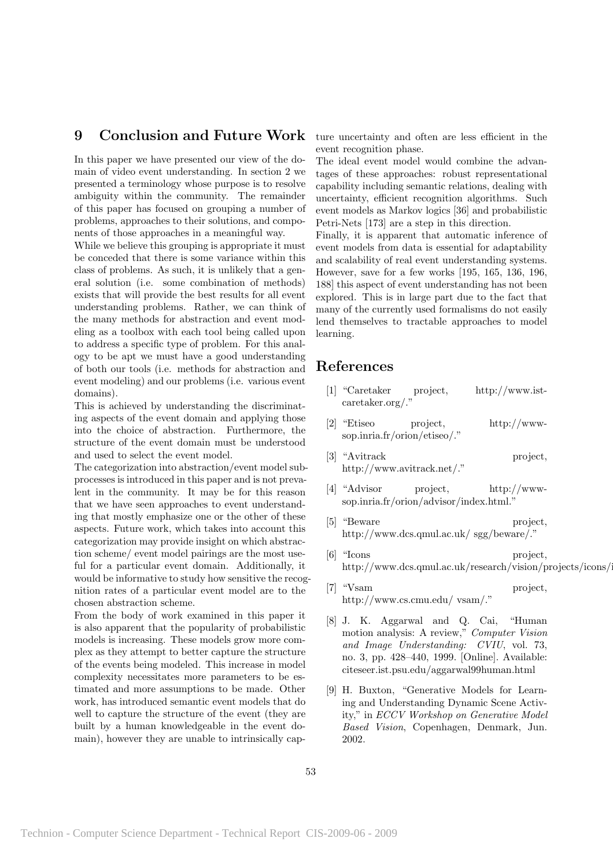### 9 Conclusion and Future Work

In this paper we have presented our view of the domain of video event understanding. In section 2 we presented a terminology whose purpose is to resolve ambiguity within the community. The remainder of this paper has focused on grouping a number of problems, approaches to their solutions, and components of those approaches in a meaningful way.

While we believe this grouping is appropriate it must be conceded that there is some variance within this class of problems. As such, it is unlikely that a general solution (i.e. some combination of methods) exists that will provide the best results for all event understanding problems. Rather, we can think of the many methods for abstraction and event modeling as a toolbox with each tool being called upon to address a specific type of problem. For this analogy to be apt we must have a good understanding of both our tools (i.e. methods for abstraction and event modeling) and our problems (i.e. various event domains).

This is achieved by understanding the discriminating aspects of the event domain and applying those into the choice of abstraction. Furthermore, the structure of the event domain must be understood and used to select the event model.

The categorization into abstraction/event model subprocesses is introduced in this paper and is not prevalent in the community. It may be for this reason that we have seen approaches to event understanding that mostly emphasize one or the other of these aspects. Future work, which takes into account this categorization may provide insight on which abstraction scheme/ event model pairings are the most useful for a particular event domain. Additionally, it would be informative to study how sensitive the recognition rates of a particular event model are to the chosen abstraction scheme.

From the body of work examined in this paper it is also apparent that the popularity of probabilistic models is increasing. These models grow more complex as they attempt to better capture the structure of the events being modeled. This increase in model complexity necessitates more parameters to be estimated and more assumptions to be made. Other work, has introduced semantic event models that do well to capture the structure of the event (they are built by a human knowledgeable in the event domain), however they are unable to intrinsically capture uncertainty and often are less efficient in the event recognition phase.

The ideal event model would combine the advantages of these approaches: robust representational capability including semantic relations, dealing with uncertainty, efficient recognition algorithms. Such event models as Markov logics [36] and probabilistic Petri-Nets [173] are a step in this direction.

Finally, it is apparent that automatic inference of event models from data is essential for adaptability and scalability of real event understanding systems. However, save for a few works [195, 165, 136, 196, 188] this aspect of event understanding has not been explored. This is in large part due to the fact that many of the currently used formalisms do not easily lend themselves to tractable approaches to model learning.

# References

- [1] "Caretaker project, http://www.istcaretaker.org/."
- [2] "Etiseo project, http://wwwsop.inria.fr/orion/etiseo/."
- [3] "Avitrack project, http://www.avitrack.net/."
- [4] "Advisor project, http://wwwsop.inria.fr/orion/advisor/index.html."
- [5] "Beware project, http://www.dcs.qmul.ac.uk/ sgg/beware/."
- [6] "Icons project, http://www.dcs.qmul.ac.uk/research/vision/projects/icons/index.html.
- [7] "Vsam project, http://www.cs.cmu.edu/ vsam/."
- [8] J. K. Aggarwal and Q. Cai, "Human motion analysis: A review," Computer Vision and Image Understanding: CVIU, vol. 73, no. 3, pp. 428–440, 1999. [Online]. Available: citeseer.ist.psu.edu/aggarwal99human.html
- [9] H. Buxton, "Generative Models for Learning and Understanding Dynamic Scene Activity," in ECCV Workshop on Generative Model Based Vision, Copenhagen, Denmark, Jun. 2002.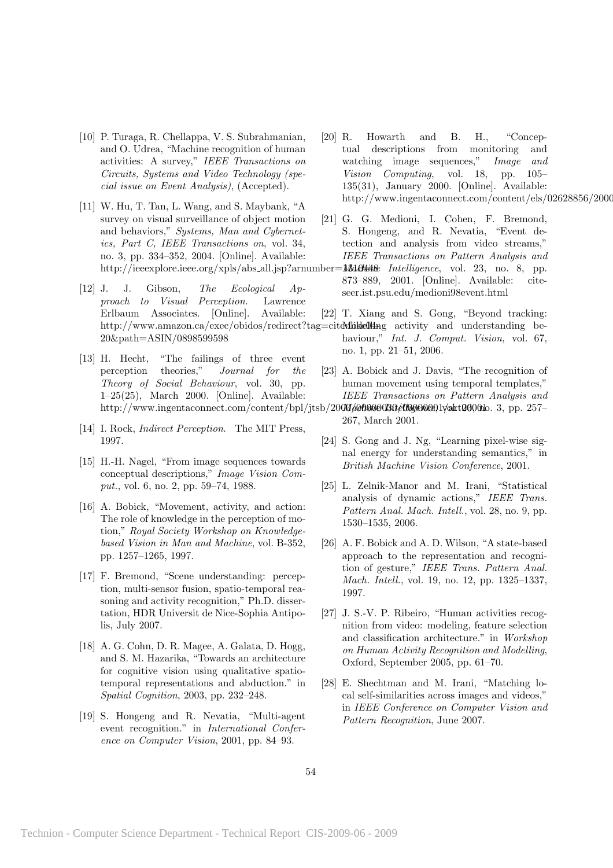- [10] P. Turaga, R. Chellappa, V. S. Subrahmanian, and O. Udrea, "Machine recognition of human activities: A survey," IEEE Transactions on Circuits, Systems and Video Technology (special issue on Event Analysis), (Accepted).
- [11] W. Hu, T. Tan, L. Wang, and S. Maybank, "A survey on visual surveillance of object motion and behaviors," Systems, Man and Cybernetics, Part C, IEEE Transactions on, vol. 34, no. 3, pp. 334–352, 2004. [Online]. Available:
- [12] J. J. Gibson, The Ecological Approach to Visual Perception. Lawrence Erlbaum Associates. [Online]. Available: 20&path=ASIN/0898599598
- [13] H. Hecht, "The failings of three event perception theories," Journal for the Theory of Social Behaviour, vol. 30, pp. 1–25(25), March 2000. [Online]. Available:
- [14] I. Rock, *Indirect Perception*. The MIT Press, 1997.
- [15] H.-H. Nagel, "From image sequences towards conceptual descriptions," Image Vision Comput., vol. 6, no. 2, pp. 59–74, 1988.
- [16] A. Bobick, "Movement, activity, and action: The role of knowledge in the perception of motion," Royal Society Workshop on Knowledgebased Vision in Man and Machine, vol. B-352, pp. 1257–1265, 1997.
- [17] F. Bremond, "Scene understanding: perception, multi-sensor fusion, spatio-temporal reasoning and activity recognition," Ph.D. dissertation, HDR Universit de Nice-Sophia Antipolis, July 2007.
- [18] A. G. Cohn, D. R. Magee, A. Galata, D. Hogg, and S. M. Hazarika, "Towards an architecture for cognitive vision using qualitative spatiotemporal representations and abduction." in Spatial Cognition, 2003, pp. 232–248.
- [19] S. Hongeng and R. Nevatia, "Multi-agent event recognition." in International Conference on Computer Vision, 2001, pp. 84–93.
- [20] R. Howarth and B. H., "Conceptual descriptions from monitoring and watching image sequences," Image and Vision Computing, vol. 18, pp. 105– 135(31), January 2000. [Online]. Available: http://www.ingentaconnect.com/content/els/02628856/2000
- [21] G. G. Medioni, I. Cohen, F. Bremond, S. Hongeng, and R. Nevatia, "Event detection and analysis from video streams," IEEE Transactions on Pattern Analysis and
- http://ieeexplore.ieee.org/xpls/abs\_all.jsp?arnumber=13640448e Intelligence, vol. 23, no. 8, pp. 873–889, 2001. [Online]. Available: citeseer.ist.psu.edu/medioni98event.html
	- [22] T. Xiang and S. Gong, "Beyond tracking:
- http://www.amazon.ca/exec/obidos/redirect?tag=citeMbkke0lling activity and understanding behaviour," *Int. J. Comput. Vision*, vol. 67, no. 1, pp. 21–51, 2006.
	- [23] A. Bobick and J. Davis, "The recognition of human movement using temporal templates," IEEE Transactions on Pattern Analysis and
- http://www.ingentaconnect.com/content/bpl/jtsb/2000/000000306/0000001y/akt03001b. 3, pp. 257– 267, March 2001.
	- [24] S. Gong and J. Ng, "Learning pixel-wise signal energy for understanding semantics," in British Machine Vision Conference, 2001.
	- [25] L. Zelnik-Manor and M. Irani, "Statistical analysis of dynamic actions," IEEE Trans. Pattern Anal. Mach. Intell., vol. 28, no. 9, pp. 1530–1535, 2006.
	- [26] A. F. Bobick and A. D. Wilson, "A state-based approach to the representation and recognition of gesture," IEEE Trans. Pattern Anal. Mach. Intell., vol. 19, no. 12, pp. 1325–1337, 1997.
	- [27] J. S.-V. P. Ribeiro, "Human activities recognition from video: modeling, feature selection and classification architecture." in Workshop on Human Activity Recognition and Modelling, Oxford, September 2005, pp. 61–70.
	- [28] E. Shechtman and M. Irani, "Matching local self-similarities across images and videos," in IEEE Conference on Computer Vision and Pattern Recognition, June 2007.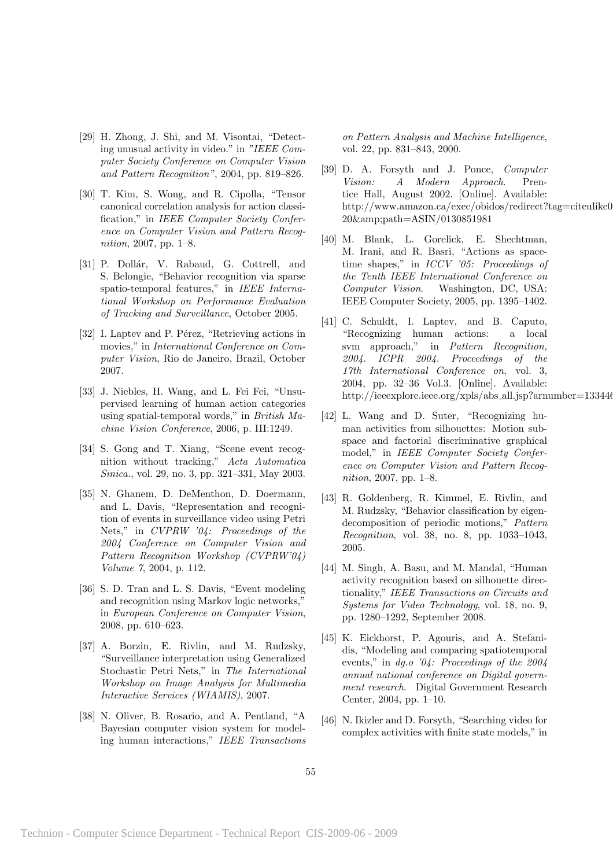- [29] H. Zhong, J. Shi, and M. Visontai, "Detecting unusual activity in video." in "IEEE Computer Society Conference on Computer Vision and Pattern Recognition", 2004, pp. 819–826.
- [30] T. Kim, S. Wong, and R. Cipolla, "Tensor canonical correlation analysis for action classification," in IEEE Computer Society Conference on Computer Vision and Pattern Recognition, 2007, pp. 1–8.
- [31] P. Dollár, V. Rabaud, G. Cottrell, and S. Belongie, "Behavior recognition via sparse spatio-temporal features," in IEEE International Workshop on Performance Evaluation of Tracking and Surveillance, October 2005.
- [32] I. Laptev and P. Pérez, "Retrieving actions in movies," in International Conference on Computer Vision, Rio de Janeiro, Brazil, October 2007.
- [33] J. Niebles, H. Wang, and L. Fei Fei, "Unsupervised learning of human action categories using spatial-temporal words," in British Machine Vision Conference, 2006, p. III:1249.
- [34] S. Gong and T. Xiang, "Scene event recognition without tracking," Acta Automatica Sinica., vol. 29, no. 3, pp. 321–331, May 2003.
- [35] N. Ghanem, D. DeMenthon, D. Doermann, and L. Davis, "Representation and recognition of events in surveillance video using Petri Nets," in CVPRW '04: Proceedings of the 2004 Conference on Computer Vision and Pattern Recognition Workshop (CVPRW'04) Volume 7, 2004, p. 112.
- [36] S. D. Tran and L. S. Davis, "Event modeling and recognition using Markov logic networks," in European Conference on Computer Vision, 2008, pp. 610–623.
- [37] A. Borzin, E. Rivlin, and M. Rudzsky, "Surveillance interpretation using Generalized Stochastic Petri Nets," in The International Workshop on Image Analysis for Multimedia Interactive Services (WIAMIS), 2007.
- [38] N. Oliver, B. Rosario, and A. Pentland, "A Bayesian computer vision system for modeling human interactions," IEEE Transactions

on Pattern Analysis and Machine Intelligence, vol. 22, pp. 831–843, 2000.

- [39] D. A. Forsyth and J. Ponce, Computer Vision: A Modern Approach. Prentice Hall, August 2002. [Online]. Available: http://www.amazon.ca/exec/obidos/redirect?tag=citeulike0 20&path=ASIN/0130851981
- [40] M. Blank, L. Gorelick, E. Shechtman, M. Irani, and R. Basri, "Actions as spacetime shapes," in ICCV '05: Proceedings of the Tenth IEEE International Conference on Computer Vision. Washington, DC, USA: IEEE Computer Society, 2005, pp. 1395–1402.
- [41] C. Schuldt, I. Laptev, and B. Caputo, "Recognizing human actions: a local svm approach," in Pattern Recognition, 2004. ICPR 2004. Proceedings of the 17th International Conference on, vol. 3, 2004, pp. 32–36 Vol.3. [Online]. Available: http://ieeexplore.ieee.org/xpls/abs\_all.jsp?arnumber=133446
- [42] L. Wang and D. Suter, "Recognizing human activities from silhouettes: Motion subspace and factorial discriminative graphical model," in IEEE Computer Society Conference on Computer Vision and Pattern Recognition, 2007, pp. 1–8.
- [43] R. Goldenberg, R. Kimmel, E. Rivlin, and M. Rudzsky, "Behavior classification by eigendecomposition of periodic motions," Pattern Recognition, vol. 38, no. 8, pp. 1033–1043, 2005.
- [44] M. Singh, A. Basu, and M. Mandal, "Human activity recognition based on silhouette directionality," IEEE Transactions on Circuits and Systems for Video Technology, vol. 18, no. 9, pp. 1280–1292, September 2008.
- [45] K. Eickhorst, P. Agouris, and A. Stefanidis, "Modeling and comparing spatiotemporal events," in dg.o '04: Proceedings of the 2004 annual national conference on Digital government research. Digital Government Research Center, 2004, pp. 1–10.
- [46] N. Ikizler and D. Forsyth, "Searching video for complex activities with finite state models," in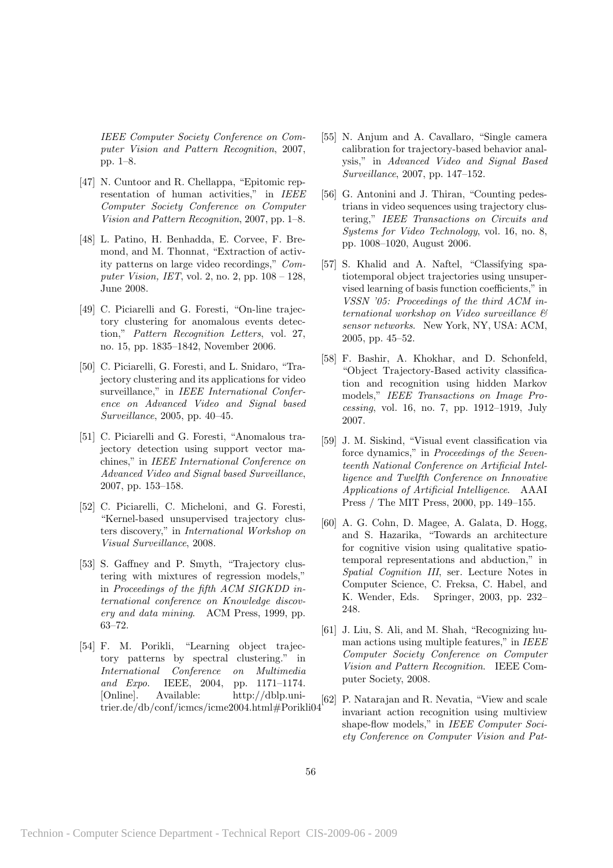IEEE Computer Society Conference on Computer Vision and Pattern Recognition, 2007, pp. 1–8.

- [47] N. Cuntoor and R. Chellappa, "Epitomic representation of human activities," in IEEE Computer Society Conference on Computer Vision and Pattern Recognition, 2007, pp. 1–8.
- [48] L. Patino, H. Benhadda, E. Corvee, F. Bremond, and M. Thonnat, "Extraction of activity patterns on large video recordings," Computer Vision, IET, vol. 2, no. 2, pp. 108 – 128, June 2008.
- [49] C. Piciarelli and G. Foresti, "On-line trajectory clustering for anomalous events detection," Pattern Recognition Letters, vol. 27, no. 15, pp. 1835–1842, November 2006.
- [50] C. Piciarelli, G. Foresti, and L. Snidaro, "Trajectory clustering and its applications for video surveillance," in IEEE International Conference on Advanced Video and Signal based Surveillance, 2005, pp. 40–45.
- [51] C. Piciarelli and G. Foresti, "Anomalous trajectory detection using support vector machines," in IEEE International Conference on Advanced Video and Signal based Surveillance, 2007, pp. 153–158.
- [52] C. Piciarelli, C. Micheloni, and G. Foresti, "Kernel-based unsupervised trajectory clusters discovery," in International Workshop on Visual Surveillance, 2008.
- [53] S. Gaffney and P. Smyth, "Trajectory clustering with mixtures of regression models," in Proceedings of the fifth ACM SIGKDD international conference on Knowledge discovery and data mining. ACM Press, 1999, pp. 63–72.
- [54] F. M. Porikli, "Learning object trajectory patterns by spectral clustering." in International Conference on Multimedia and Expo. IEEE, 2004, pp. 1171–1174. [Online]. Available: http://dblp.uni-[Online]. Available: http://dblp.unl-<br>trier.de/db/conf/icmcs/icme2004.html#Porikli04
- [55] N. Anjum and A. Cavallaro, "Single camera calibration for trajectory-based behavior analysis," in Advanced Video and Signal Based Surveillance, 2007, pp. 147–152.
- [56] G. Antonini and J. Thiran, "Counting pedestrians in video sequences using trajectory clustering," IEEE Transactions on Circuits and Systems for Video Technology, vol. 16, no. 8, pp. 1008–1020, August 2006.
- [57] S. Khalid and A. Naftel, "Classifying spatiotemporal object trajectories using unsupervised learning of basis function coefficients," in VSSN '05: Proceedings of the third ACM international workshop on Video surveillance & sensor networks. New York, NY, USA: ACM, 2005, pp. 45–52.
- [58] F. Bashir, A. Khokhar, and D. Schonfeld, "Object Trajectory-Based activity classification and recognition using hidden Markov models," IEEE Transactions on Image Processing, vol. 16, no. 7, pp. 1912–1919, July 2007.
- [59] J. M. Siskind, "Visual event classification via force dynamics," in Proceedings of the Seventeenth National Conference on Artificial Intelligence and Twelfth Conference on Innovative Applications of Artificial Intelligence. AAAI Press / The MIT Press, 2000, pp. 149–155.
- [60] A. G. Cohn, D. Magee, A. Galata, D. Hogg, and S. Hazarika, "Towards an architecture for cognitive vision using qualitative spatiotemporal representations and abduction," in Spatial Cognition III, ser. Lecture Notes in Computer Science, C. Freksa, C. Habel, and K. Wender, Eds. Springer, 2003, pp. 232– 248.
- [61] J. Liu, S. Ali, and M. Shah, "Recognizing human actions using multiple features," in IEEE Computer Society Conference on Computer Vision and Pattern Recognition. IEEE Computer Society, 2008.
- [62] P. Natarajan and R. Nevatia, "View and scale invariant action recognition using multiview shape-flow models," in IEEE Computer Society Conference on Computer Vision and Pat-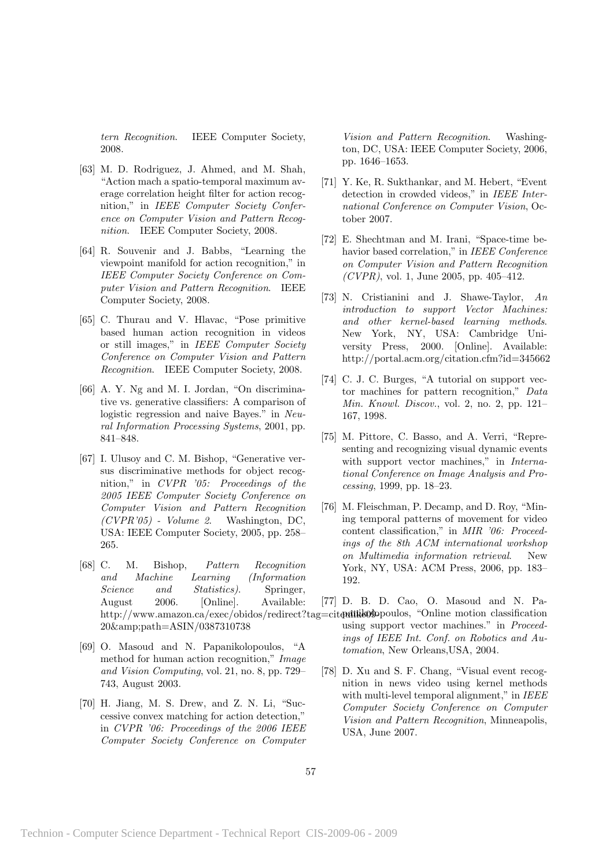tern Recognition. IEEE Computer Society, 2008.

- [63] M. D. Rodriguez, J. Ahmed, and M. Shah, "Action mach a spatio-temporal maximum average correlation height filter for action recognition," in IEEE Computer Society Conference on Computer Vision and Pattern Recognition. IEEE Computer Society, 2008.
- [64] R. Souvenir and J. Babbs, "Learning the viewpoint manifold for action recognition," in IEEE Computer Society Conference on Computer Vision and Pattern Recognition. IEEE Computer Society, 2008.
- [65] C. Thurau and V. Hlavac, "Pose primitive based human action recognition in videos or still images," in IEEE Computer Society Conference on Computer Vision and Pattern Recognition. IEEE Computer Society, 2008.
- [66] A. Y. Ng and M. I. Jordan, "On discriminative vs. generative classifiers: A comparison of logistic regression and naive Bayes." in Neural Information Processing Systems, 2001, pp. 841–848.
- [67] I. Ulusoy and C. M. Bishop, "Generative versus discriminative methods for object recognition," in CVPR '05: Proceedings of the 2005 IEEE Computer Society Conference on Computer Vision and Pattern Recognition  $(CVPR'05)$  - Volume 2. Washington, DC, USA: IEEE Computer Society, 2005, pp. 258– 265.
- [68] C. M. Bishop, Pattern Recognition and Machine Learning (Information Science and Statistics). Springer, August 2006. [Online]. Available: 20&amp:path=ASIN/0387310738
- [69] O. Masoud and N. Papanikolopoulos, "A method for human action recognition," Image and Vision Computing, vol. 21, no. 8, pp. 729– 743, August 2003.
- [70] H. Jiang, M. S. Drew, and Z. N. Li, "Successive convex matching for action detection," in CVPR '06: Proceedings of the 2006 IEEE Computer Society Conference on Computer

Vision and Pattern Recognition. Washington, DC, USA: IEEE Computer Society, 2006, pp. 1646–1653.

- [71] Y. Ke, R. Sukthankar, and M. Hebert, "Event detection in crowded videos," in IEEE International Conference on Computer Vision, October 2007.
- [72] E. Shechtman and M. Irani, "Space-time behavior based correlation," in IEEE Conference on Computer Vision and Pattern Recognition  $(CVPR)$ , vol. 1, June 2005, pp. 405–412.
- [73] N. Cristianini and J. Shawe-Taylor, An introduction to support Vector Machines: and other kernel-based learning methods. New York, NY, USA: Cambridge University Press, 2000. [Online]. Available: http://portal.acm.org/citation.cfm?id=345662
- [74] C. J. C. Burges, "A tutorial on support vector machines for pattern recognition," Data Min. Knowl. Discov., vol. 2, no. 2, pp. 121– 167, 1998.
- [75] M. Pittore, C. Basso, and A. Verri, "Representing and recognizing visual dynamic events with support vector machines," in International Conference on Image Analysis and Processing, 1999, pp. 18–23.
- [76] M. Fleischman, P. Decamp, and D. Roy, "Mining temporal patterns of movement for video content classification," in MIR '06: Proceedings of the 8th ACM international workshop on Multimedia information retrieval. New York, NY, USA: ACM Press, 2006, pp. 183– 192.
- http://www.amazon.ca/exec/obidos/redirect?tag=citendilike090poulos, "Online motion classification [77] D. B. D. Cao, O. Masoud and N. Pausing support vector machines." in Proceedings of IEEE Int. Conf. on Robotics and Automation, New Orleans,USA, 2004.
	- [78] D. Xu and S. F. Chang, "Visual event recognition in news video using kernel methods with multi-level temporal alignment," in IEEE Computer Society Conference on Computer Vision and Pattern Recognition, Minneapolis, USA, June 2007.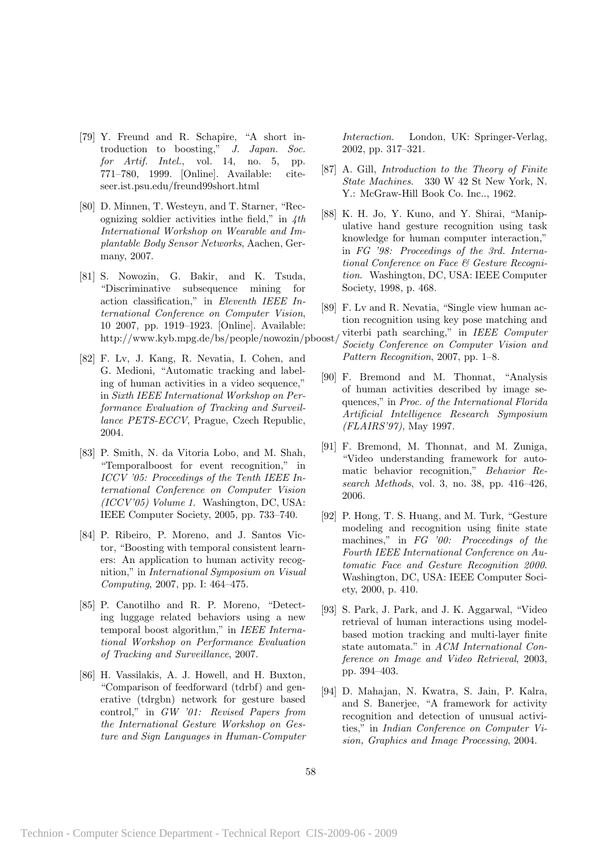- [79] Y. Freund and R. Schapire, "A short introduction to boosting," J. Japan. Soc. for Artif. Intel., vol. 14, no. 5, pp. 771–780, 1999. [Online]. Available: citeseer.ist.psu.edu/freund99short.html
- [80] D. Minnen, T. Westeyn, and T. Starner, "Recognizing soldier activities in the field," in  $4th$ International Workshop on Wearable and Implantable Body Sensor Networks, Aachen, Germany, 2007.
- [81] S. Nowozin, G. Bakir, and K. Tsuda, "Discriminative subsequence mining for action classification," in Eleventh IEEE International Conference on Computer Vision, 10 2007, pp. 1919–1923. [Online]. Available: http://www.kyb.mpg.de/bs/people/nowozin/pboost/
- [82] F. Lv, J. Kang, R. Nevatia, I. Cohen, and G. Medioni, "Automatic tracking and labeling of human activities in a video sequence," in Sixth IEEE International Workshop on Performance Evaluation of Tracking and Surveillance PETS-ECCV, Prague, Czech Republic, 2004.
- [83] P. Smith, N. da Vitoria Lobo, and M. Shah, "Temporalboost for event recognition," in ICCV '05: Proceedings of the Tenth IEEE International Conference on Computer Vision (ICCV'05) Volume 1. Washington, DC, USA: IEEE Computer Society, 2005, pp. 733–740.
- [84] P. Ribeiro, P. Moreno, and J. Santos Victor, "Boosting with temporal consistent learners: An application to human activity recognition," in International Symposium on Visual Computing, 2007, pp. I: 464–475.
- [85] P. Canotilho and R. P. Moreno, "Detecting luggage related behaviors using a new temporal boost algorithm," in IEEE International Workshop on Performance Evaluation of Tracking and Surveillance, 2007.
- [86] H. Vassilakis, A. J. Howell, and H. Buxton, "Comparison of feedforward (tdrbf) and generative (tdrgbn) network for gesture based control," in GW '01: Revised Papers from the International Gesture Workshop on Gesture and Sign Languages in Human-Computer

Interaction. London, UK: Springer-Verlag, 2002, pp. 317–321.

- [87] A. Gill, Introduction to the Theory of Finite State Machines. 330 W 42 St New York, N. Y.: McGraw-Hill Book Co. Inc.., 1962.
- [88] K. H. Jo, Y. Kuno, and Y. Shirai, "Manipulative hand gesture recognition using task knowledge for human computer interaction," in FG '98: Proceedings of the 3rd. International Conference on Face & Gesture Recognition. Washington, DC, USA: IEEE Computer Society, 1998, p. 468.
- [89] F. Lv and R. Nevatia, "Single view human action recognition using key pose matching and viterbi path searching," in IEEE Computer
	- Society Conference on Computer Vision and Pattern Recognition, 2007, pp. 1–8.
- [90] F. Bremond and M. Thonnat, "Analysis of human activities described by image sequences," in Proc. of the International Florida Artificial Intelligence Research Symposium (FLAIRS'97), May 1997.
- [91] F. Bremond, M. Thonnat, and M. Zuniga, "Video understanding framework for automatic behavior recognition," Behavior Research Methods, vol. 3, no. 38, pp. 416-426, 2006.
- [92] P. Hong, T. S. Huang, and M. Turk, "Gesture modeling and recognition using finite state machines," in FG '00: Proceedings of the Fourth IEEE International Conference on Automatic Face and Gesture Recognition 2000. Washington, DC, USA: IEEE Computer Society, 2000, p. 410.
- [93] S. Park, J. Park, and J. K. Aggarwal, "Video retrieval of human interactions using modelbased motion tracking and multi-layer finite state automata." in ACM International Conference on Image and Video Retrieval, 2003, pp. 394–403.
- [94] D. Mahajan, N. Kwatra, S. Jain, P. Kalra, and S. Banerjee, "A framework for activity recognition and detection of unusual activities," in Indian Conference on Computer Vision, Graphics and Image Processing, 2004.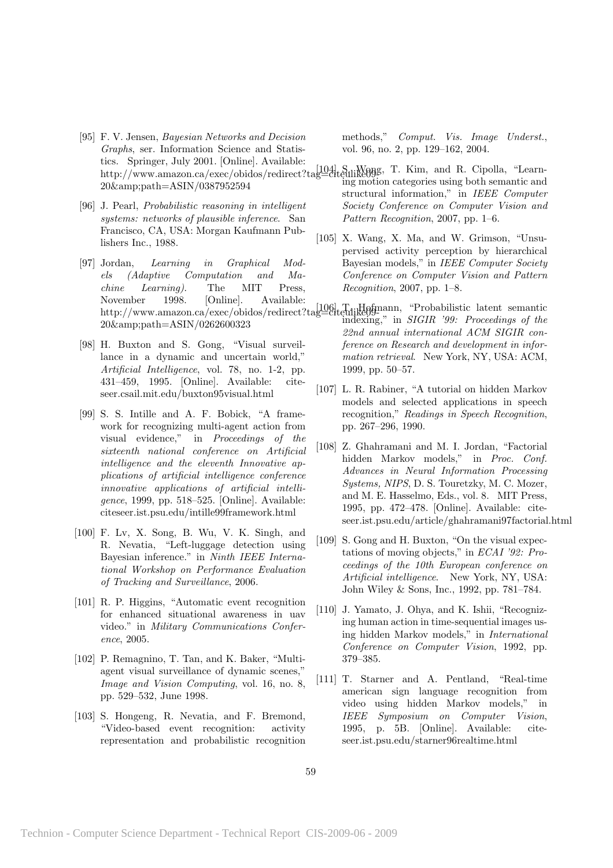- [95] F. V. Jensen, Bayesian Networks and Decision Graphs, ser. Information Science and Statistics. Springer, July 2001. [Online]. Available: 20&path=ASIN/0387952594
- [96] J. Pearl, Probabilistic reasoning in intelligent systems: networks of plausible inference. San Francisco, CA, USA: Morgan Kaufmann Publishers Inc., 1988.
- [97] Jordan, Learning in Graphical Models (Adaptive Computation and Machine Learning). The MIT Press, November 1998. [Online]. Available: 20&path=ASIN/0262600323
- [98] H. Buxton and S. Gong, "Visual surveillance in a dynamic and uncertain world," Artificial Intelligence, vol. 78, no. 1-2, pp. 431–459, 1995. [Online]. Available: citeseer.csail.mit.edu/buxton95visual.html
- [99] S. S. Intille and A. F. Bobick, "A framework for recognizing multi-agent action from visual evidence," in Proceedings of the sixteenth national conference on Artificial intelligence and the eleventh Innovative applications of artificial intelligence conference innovative applications of artificial intelligence, 1999, pp. 518–525. [Online]. Available: citeseer.ist.psu.edu/intille99framework.html
- [100] F. Lv, X. Song, B. Wu, V. K. Singh, and R. Nevatia, "Left-luggage detection using Bayesian inference." in Ninth IEEE International Workshop on Performance Evaluation of Tracking and Surveillance, 2006.
- [101] R. P. Higgins, "Automatic event recognition for enhanced situational awareness in uav video." in Military Communications Conference, 2005.
- [102] P. Remagnino, T. Tan, and K. Baker, "Multiagent visual surveillance of dynamic scenes," Image and Vision Computing, vol. 16, no. 8, pp. 529–532, June 1998.
- [103] S. Hongeng, R. Nevatia, and F. Bremond, "Video-based event recognition: activity representation and probabilistic recognition

methods," Comput. Vis. Image Underst., vol. 96, no. 2, pp. 129–162, 2004.

- http://www.amazon.ca/exec/obidos/redirect?tag=citeulike09. T. Kim, and R. Cipolla, "Learning motion categories using both semantic and structural information," in IEEE Computer Society Conference on Computer Vision and Pattern Recognition, 2007, pp. 1–6.
	- [105] X. Wang, X. Ma, and W. Grimson, "Unsupervised activity perception by hierarchical Bayesian models," in IEEE Computer Society Conference on Computer Vision and Pattern Recognition, 2007, pp. 1–8.
- http://www.amazon.ca/exec/obidos/redirect?tag=citeulike09indexing," in  $SIGIR$  '99: Proceedings of the 22nd annual international ACM SIGIR conference on Research and development in information retrieval. New York, NY, USA: ACM, 1999, pp. 50–57.
	- [107] L. R. Rabiner, "A tutorial on hidden Markov models and selected applications in speech recognition," Readings in Speech Recognition, pp. 267–296, 1990.
	- [108] Z. Ghahramani and M. I. Jordan, "Factorial hidden Markov models," in Proc. Conf. Advances in Neural Information Processing Systems, NIPS, D. S. Touretzky, M. C. Mozer, and M. E. Hasselmo, Eds., vol. 8. MIT Press, 1995, pp. 472–478. [Online]. Available: citeseer.ist.psu.edu/article/ghahramani97factorial.html
	- [109] S. Gong and H. Buxton, "On the visual expectations of moving objects," in ECAI '92: Proceedings of the 10th European conference on Artificial intelligence. New York, NY, USA: John Wiley & Sons, Inc., 1992, pp. 781–784.
	- [110] J. Yamato, J. Ohya, and K. Ishii, "Recognizing human action in time-sequential images using hidden Markov models," in International Conference on Computer Vision, 1992, pp. 379–385.
	- [111] T. Starner and A. Pentland, "Real-time american sign language recognition from video using hidden Markov models," in IEEE Symposium on Computer Vision, 1995, p. 5B. [Online]. Available: citeseer.ist.psu.edu/starner96realtime.html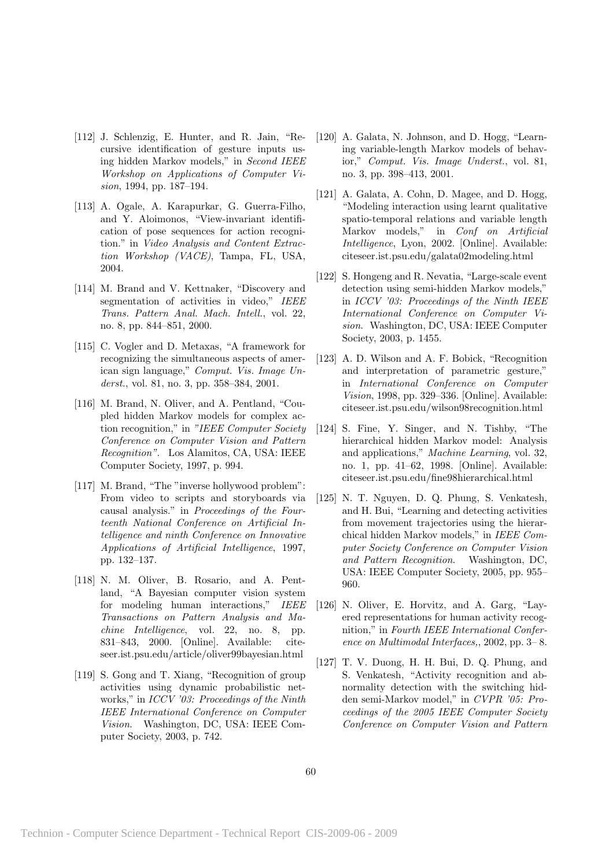- [112] J. Schlenzig, E. Hunter, and R. Jain, "Recursive identification of gesture inputs using hidden Markov models," in Second IEEE Workshop on Applications of Computer Vision, 1994, pp. 187–194.
- [113] A. Ogale, A. Karapurkar, G. Guerra-Filho, and Y. Aloimonos, "View-invariant identification of pose sequences for action recognition." in Video Analysis and Content Extraction Workshop (VACE), Tampa, FL, USA, 2004.
- [114] M. Brand and V. Kettnaker, "Discovery and segmentation of activities in video," IEEE Trans. Pattern Anal. Mach. Intell., vol. 22, no. 8, pp. 844–851, 2000.
- [115] C. Vogler and D. Metaxas, "A framework for recognizing the simultaneous aspects of american sign language," Comput. Vis. Image Underst., vol. 81, no. 3, pp. 358–384, 2001.
- [116] M. Brand, N. Oliver, and A. Pentland, "Coupled hidden Markov models for complex action recognition," in "IEEE Computer Society Conference on Computer Vision and Pattern Recognition". Los Alamitos, CA, USA: IEEE Computer Society, 1997, p. 994.
- [117] M. Brand, "The "inverse hollywood problem": From video to scripts and storyboards via causal analysis." in Proceedings of the Fourteenth National Conference on Artificial Intelligence and ninth Conference on Innovative Applications of Artificial Intelligence, 1997, pp. 132–137.
- [118] N. M. Oliver, B. Rosario, and A. Pentland, "A Bayesian computer vision system for modeling human interactions," IEEE Transactions on Pattern Analysis and Machine Intelligence, vol. 22, no. 8, pp. 831–843, 2000. [Online]. Available: citeseer.ist.psu.edu/article/oliver99bayesian.html
- [119] S. Gong and T. Xiang, "Recognition of group activities using dynamic probabilistic networks," in ICCV '03: Proceedings of the Ninth IEEE International Conference on Computer Vision. Washington, DC, USA: IEEE Computer Society, 2003, p. 742.
- [120] A. Galata, N. Johnson, and D. Hogg, "Learning variable-length Markov models of behavior," Comput. Vis. Image Underst., vol. 81, no. 3, pp. 398–413, 2001.
- [121] A. Galata, A. Cohn, D. Magee, and D. Hogg, "Modeling interaction using learnt qualitative spatio-temporal relations and variable length Markov models," in Conf on Artificial Intelligence, Lyon, 2002. [Online]. Available: citeseer.ist.psu.edu/galata02modeling.html
- [122] S. Hongeng and R. Nevatia, "Large-scale event detection using semi-hidden Markov models," in ICCV '03: Proceedings of the Ninth IEEE International Conference on Computer Vision. Washington, DC, USA: IEEE Computer Society, 2003, p. 1455.
- [123] A. D. Wilson and A. F. Bobick, "Recognition and interpretation of parametric gesture," in International Conference on Computer Vision, 1998, pp. 329–336. [Online]. Available: citeseer.ist.psu.edu/wilson98recognition.html
- [124] S. Fine, Y. Singer, and N. Tishby, "The hierarchical hidden Markov model: Analysis and applications," Machine Learning, vol. 32, no. 1, pp. 41–62, 1998. [Online]. Available: citeseer.ist.psu.edu/fine98hierarchical.html
- [125] N. T. Nguyen, D. Q. Phung, S. Venkatesh, and H. Bui, "Learning and detecting activities from movement trajectories using the hierarchical hidden Markov models," in IEEE Computer Society Conference on Computer Vision and Pattern Recognition. Washington, DC, USA: IEEE Computer Society, 2005, pp. 955– 960.
- [126] N. Oliver, E. Horvitz, and A. Garg, "Layered representations for human activity recognition," in Fourth IEEE International Conference on Multimodal Interfaces,, 2002, pp. 3– 8.
- [127] T. V. Duong, H. H. Bui, D. Q. Phung, and S. Venkatesh, "Activity recognition and abnormality detection with the switching hidden semi-Markov model," in CVPR '05: Proceedings of the 2005 IEEE Computer Society Conference on Computer Vision and Pattern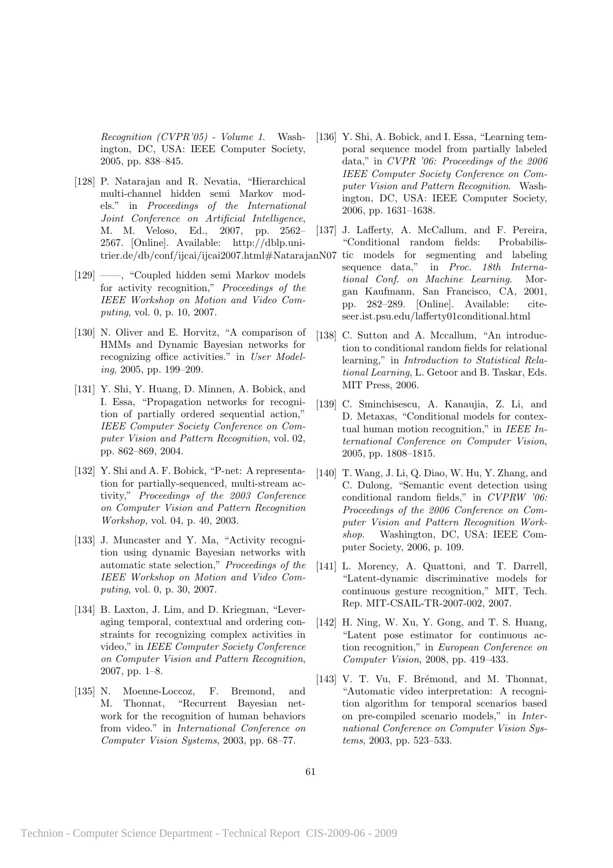Recognition (CVPR'05) - Volume 1. Washington, DC, USA: IEEE Computer Society, 2005, pp. 838–845.

- [128] P. Natarajan and R. Nevatia, "Hierarchical multi-channel hidden semi Markov models." in Proceedings of the International Joint Conference on Artificial Intelligence, M. M. Veloso, Ed., 2007, pp. 2562– 2567. [Online]. Available: http://dblp.unitrier.de/db/conf/ijcai/ijcai2007.html#NatarajanN07
- [129] ——, "Coupled hidden semi Markov models for activity recognition," Proceedings of the IEEE Workshop on Motion and Video Computing, vol. 0, p. 10, 2007.
- [130] N. Oliver and E. Horvitz, "A comparison of HMMs and Dynamic Bayesian networks for recognizing office activities." in User Modeling, 2005, pp. 199–209.
- [131] Y. Shi, Y. Huang, D. Minnen, A. Bobick, and I. Essa, "Propagation networks for recognition of partially ordered sequential action," IEEE Computer Society Conference on Computer Vision and Pattern Recognition, vol. 02, pp. 862–869, 2004.
- [132] Y. Shi and A. F. Bobick, "P-net: A representation for partially-sequenced, multi-stream activity," Proceedings of the 2003 Conference on Computer Vision and Pattern Recognition Workshop, vol. 04, p. 40, 2003.
- [133] J. Muncaster and Y. Ma, "Activity recognition using dynamic Bayesian networks with automatic state selection," Proceedings of the IEEE Workshop on Motion and Video Computing, vol. 0, p. 30, 2007.
- [134] B. Laxton, J. Lim, and D. Kriegman, "Leveraging temporal, contextual and ordering constraints for recognizing complex activities in video," in IEEE Computer Society Conference on Computer Vision and Pattern Recognition, 2007, pp. 1–8.
- [135] N. Moenne-Loccoz, F. Bremond, and M. Thonnat, "Recurrent Bayesian network for the recognition of human behaviors from video." in International Conference on Computer Vision Systems, 2003, pp. 68–77.
- [136] Y. Shi, A. Bobick, and I. Essa, "Learning temporal sequence model from partially labeled data," in CVPR '06: Proceedings of the 2006 IEEE Computer Society Conference on Computer Vision and Pattern Recognition. Washington, DC, USA: IEEE Computer Society, 2006, pp. 1631–1638.
- [137] J. Lafferty, A. McCallum, and F. Pereira, "Conditional random fields: Probabilis
	- tic models for segmenting and labeling sequence data," in Proc. 18th International Conf. on Machine Learning. Morgan Kaufmann, San Francisco, CA, 2001, pp. 282–289. [Online]. Available: citeseer.ist.psu.edu/lafferty01conditional.html
- [138] C. Sutton and A. Mccallum, "An introduction to conditional random fields for relational learning," in Introduction to Statistical Relational Learning, L. Getoor and B. Taskar, Eds. MIT Press, 2006.
- [139] C. Sminchisescu, A. Kanaujia, Z. Li, and D. Metaxas, "Conditional models for contextual human motion recognition," in IEEE International Conference on Computer Vision, 2005, pp. 1808–1815.
- [140] T. Wang, J. Li, Q. Diao, W. Hu, Y. Zhang, and C. Dulong, "Semantic event detection using conditional random fields," in CVPRW '06: Proceedings of the 2006 Conference on Computer Vision and Pattern Recognition Workshop. Washington, DC, USA: IEEE Computer Society, 2006, p. 109.
- [141] L. Morency, A. Quattoni, and T. Darrell, "Latent-dynamic discriminative models for continuous gesture recognition," MIT, Tech. Rep. MIT-CSAIL-TR-2007-002, 2007.
- [142] H. Ning, W. Xu, Y. Gong, and T. S. Huang, "Latent pose estimator for continuous action recognition," in European Conference on Computer Vision, 2008, pp. 419–433.
- [143] V. T. Vu, F. Brémond, and M. Thonnat, "Automatic video interpretation: A recognition algorithm for temporal scenarios based on pre-compiled scenario models," in International Conference on Computer Vision Systems, 2003, pp. 523–533.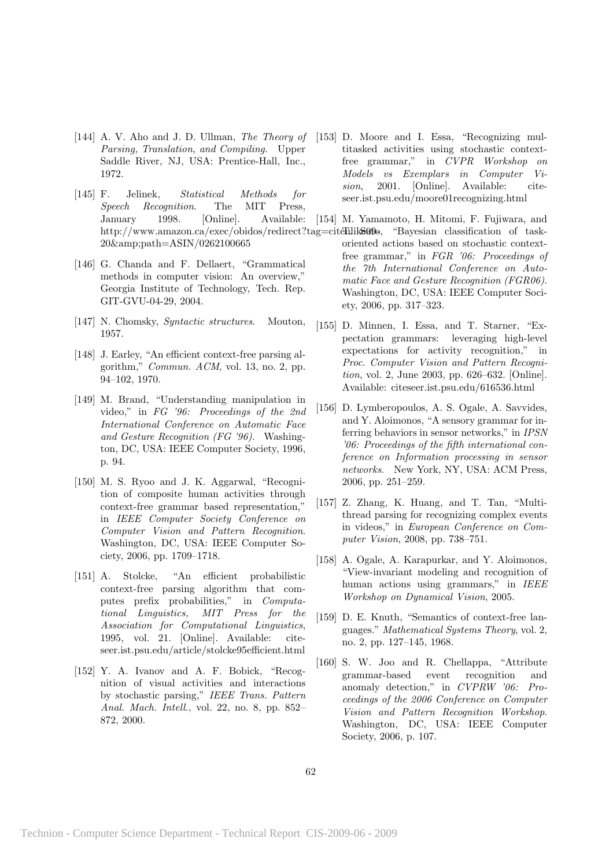- [144] A. V. Aho and J. D. Ullman, The Theory of Parsing, Translation, and Compiling. Upper Saddle River, NJ, USA: Prentice-Hall, Inc., 1972.
- [145] F. Jelinek, Statistical Methods for Speech Recognition. The MIT Press, January 1998. [Online]. Available: http://www.amazon.ca/exec/obidos/redirect?tag=citellike00. "Bayesian classification of task-20&path=ASIN/0262100665
- [146] G. Chanda and F. Dellaert, "Grammatical methods in computer vision: An overview," Georgia Institute of Technology, Tech. Rep. GIT-GVU-04-29, 2004.
- [147] N. Chomsky, Syntactic structures. Mouton, 1957.
- [148] J. Earley, "An efficient context-free parsing algorithm," Commun. ACM, vol. 13, no. 2, pp. 94–102, 1970.
- [149] M. Brand, "Understanding manipulation in video," in FG '96: Proceedings of the 2nd International Conference on Automatic Face and Gesture Recognition (FG '96). Washington, DC, USA: IEEE Computer Society, 1996, p. 94.
- [150] M. S. Ryoo and J. K. Aggarwal, "Recognition of composite human activities through context-free grammar based representation," in IEEE Computer Society Conference on Computer Vision and Pattern Recognition. Washington, DC, USA: IEEE Computer Society, 2006, pp. 1709–1718.
- [151] A. Stolcke, "An efficient probabilistic context-free parsing algorithm that computes prefix probabilities," in Computational Linguistics, MIT Press for the Association for Computational Linguistics, 1995, vol. 21. [Online]. Available: citeseer.ist.psu.edu/article/stolcke95efficient.html
- [152] Y. A. Ivanov and A. F. Bobick, "Recognition of visual activities and interactions by stochastic parsing," IEEE Trans. Pattern Anal. Mach. Intell., vol. 22, no. 8, pp. 852– 872, 2000.
- [153] D. Moore and I. Essa, "Recognizing multitasked activities using stochastic contextfree grammar," in CVPR Workshop on Models vs Exemplars in Computer Vision, 2001. [Online]. Available: citeseer.ist.psu.edu/moore01recognizing.html
- [154] M. Yamamoto, H. Mitomi, F. Fujiwara, and
- oriented actions based on stochastic contextfree grammar," in FGR '06: Proceedings of the 7th International Conference on Automatic Face and Gesture Recognition (FGR06). Washington, DC, USA: IEEE Computer Society, 2006, pp. 317–323.
- [155] D. Minnen, I. Essa, and T. Starner, "Expectation grammars: leveraging high-level expectations for activity recognition," in Proc. Computer Vision and Pattern Recognition, vol. 2, June 2003, pp. 626–632. [Online]. Available: citeseer.ist.psu.edu/616536.html
- [156] D. Lymberopoulos, A. S. Ogale, A. Savvides, and Y. Aloimonos, "A sensory grammar for inferring behaviors in sensor networks," in IPSN '06: Proceedings of the fifth international conference on Information processing in sensor networks. New York, NY, USA: ACM Press, 2006, pp. 251–259.
- [157] Z. Zhang, K. Huang, and T. Tan, "Multithread parsing for recognizing complex events in videos," in European Conference on Computer Vision, 2008, pp. 738–751.
- [158] A. Ogale, A. Karapurkar, and Y. Aloimonos, "View-invariant modeling and recognition of human actions using grammars," in IEEE Workshop on Dynamical Vision, 2005.
- [159] D. E. Knuth, "Semantics of context-free languages." Mathematical Systems Theory, vol. 2, no. 2, pp. 127–145, 1968.
- [160] S. W. Joo and R. Chellappa, "Attribute grammar-based event recognition and anomaly detection," in CVPRW '06: Proceedings of the 2006 Conference on Computer Vision and Pattern Recognition Workshop. Washington, DC, USA: IEEE Computer Society, 2006, p. 107.

62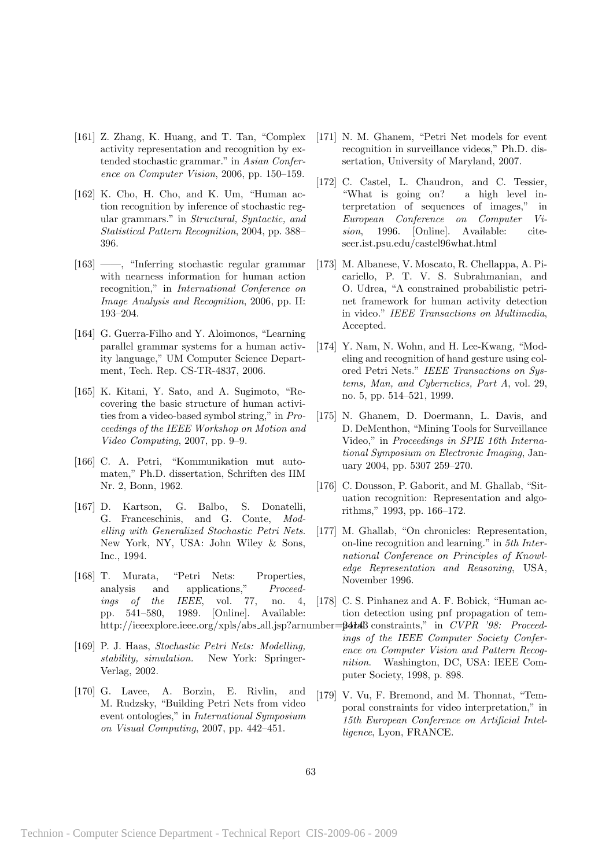- [161] Z. Zhang, K. Huang, and T. Tan, "Complex activity representation and recognition by extended stochastic grammar." in Asian Conference on Computer Vision, 2006, pp. 150–159.
- [162] K. Cho, H. Cho, and K. Um, "Human action recognition by inference of stochastic regular grammars." in Structural, Syntactic, and Statistical Pattern Recognition, 2004, pp. 388– 396.
- [163] ——, "Inferring stochastic regular grammar with nearness information for human action recognition," in International Conference on Image Analysis and Recognition, 2006, pp. II: 193–204.
- [164] G. Guerra-Filho and Y. Aloimonos, "Learning parallel grammar systems for a human activity language," UM Computer Science Department, Tech. Rep. CS-TR-4837, 2006.
- [165] K. Kitani, Y. Sato, and A. Sugimoto, "Recovering the basic structure of human activities from a video-based symbol string," in Proceedings of the IEEE Workshop on Motion and Video Computing, 2007, pp. 9–9.
- [166] C. A. Petri, "Kommunikation mut automaten," Ph.D. dissertation, Schriften des IIM Nr. 2, Bonn, 1962.
- [167] D. Kartson, G. Balbo, S. Donatelli, G. Franceschinis, and G. Conte, Modelling with Generalized Stochastic Petri Nets. New York, NY, USA: John Wiley & Sons, Inc., 1994.
- [168] T. Murata, "Petri Nets: Properties, analysis and applications," Proceedings of the IEEE, vol. 77, no. 4, pp. 541–580, 1989. [Online]. Available: http://ieeexplore.ieee.org/xpls/abs\_all.jsp?arnumber=
- [169] P. J. Haas, Stochastic Petri Nets: Modelling, stability, simulation. New York: Springer-Verlag, 2002.
- [170] G. Lavee, A. Borzin, E. Rivlin, and M. Rudzsky, "Building Petri Nets from video event ontologies," in International Symposium on Visual Computing, 2007, pp. 442–451.
- [171] N. M. Ghanem, "Petri Net models for event recognition in surveillance videos," Ph.D. dissertation, University of Maryland, 2007.
- [172] C. Castel, L. Chaudron, and C. Tessier, "What is going on? a high level interpretation of sequences of images," in European Conference on Computer Vision, 1996. [Online]. Available: citeseer.ist.psu.edu/castel96what.html
- [173] M. Albanese, V. Moscato, R. Chellappa, A. Picariello, P. T. V. S. Subrahmanian, and O. Udrea, "A constrained probabilistic petrinet framework for human activity detection in video." IEEE Transactions on Multimedia, Accepted.
- [174] Y. Nam, N. Wohn, and H. Lee-Kwang, "Modeling and recognition of hand gesture using colored Petri Nets." IEEE Transactions on Systems, Man, and Cybernetics, Part A, vol. 29, no. 5, pp. 514–521, 1999.
- [175] N. Ghanem, D. Doermann, L. Davis, and D. DeMenthon, "Mining Tools for Surveillance Video," in Proceedings in SPIE 16th International Symposium on Electronic Imaging, January 2004, pp. 5307 259–270.
- [176] C. Dousson, P. Gaborit, and M. Ghallab, "Situation recognition: Representation and algorithms," 1993, pp. 166–172.
- [177] M. Ghallab, "On chronicles: Representation, on-line recognition and learning." in 5th International Conference on Principles of Knowledge Representation and Reasoning, USA, November 1996.
- [178] C. S. Pinhanez and A. F. Bobick, "Human action detection using pnf propagation of tem-
	- $-$ **24t4B** constraints," in CVPR '98: Proceedings of the IEEE Computer Society Conference on Computer Vision and Pattern Recognition. Washington, DC, USA: IEEE Computer Society, 1998, p. 898.
- [179] V. Vu, F. Bremond, and M. Thonnat, "Temporal constraints for video interpretation," in 15th European Conference on Artificial Intelligence, Lyon, FRANCE.